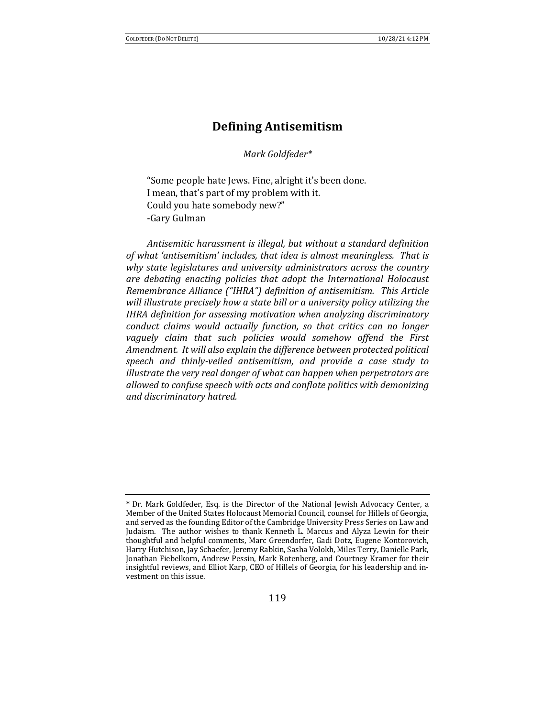# **Defining Antisemitism**

*Mark Goldfeder\**

"Some people hate Jews. Fine, alright it's been done. I mean, that's part of my problem with it. Could you hate somebody new?" -Gary Gulman

Antisemitic harassment is illegal, but without a standard definition of what 'antisemitism' includes, that idea is almost meaningless. That is why state *legislatures* and university administrators across the country are debating enacting policies that adopt the International Holocaust *Remembrance Alliance* ("IHRA") definition of antisemitism. This Article will illustrate precisely how a state bill or a university policy utilizing the *IHRA* definition for assessing motivation when analyzing discriminatory *conduct claims would actually function, so that critics can no longer* vaguely claim that such policies would somehow offend the First Amendment. It will also explain the difference between protected political *speech and thinly-veiled antisemitism, and provide a case study to illustrate the very real danger of what can happen when perpetrators are* allowed to confuse speech with acts and conflate politics with demonizing *and discriminatory hatred.*

<sup>\*</sup> Dr. Mark Goldfeder, Esq. is the Director of the National Jewish Advocacy Center, a Member of the United States Holocaust Memorial Council, counsel for Hillels of Georgia, and served as the founding Editor of the Cambridge University Press Series on Law and Judaism. The author wishes to thank Kenneth L. Marcus and Alyza Lewin for their thoughtful and helpful comments, Marc Greendorfer, Gadi Dotz, Eugene Kontorovich, Harry Hutchison, Jay Schaefer, Jeremy Rabkin, Sasha Volokh, Miles Terry, Danielle Park, Jonathan Fiebelkorn, Andrew Pessin, Mark Rotenberg, and Courtney Kramer for their insightful reviews, and Elliot Karp, CEO of Hillels of Georgia, for his leadership and investment on this issue.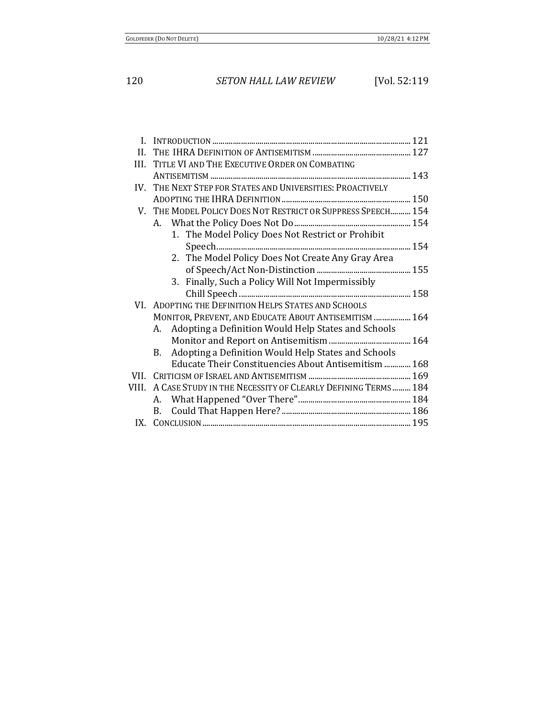| L        |                                                              |  |
|----------|--------------------------------------------------------------|--|
| H        |                                                              |  |
| HL.      | TITLE VI AND THE EXECUTIVE ORDER ON COMBATING                |  |
|          |                                                              |  |
| $IV_{-}$ | THE NEXT STEP FOR STATES AND UNIVERSITIES: PROACTIVELY       |  |
|          |                                                              |  |
|          | V. THE MODEL POLICY DOES NOT RESTRICT OR SUPPRESS SPEECH 154 |  |
|          |                                                              |  |
|          | 1. The Model Policy Does Not Restrict or Prohibit            |  |
|          |                                                              |  |
|          | 2. The Model Policy Does Not Create Any Gray Area            |  |
|          |                                                              |  |
|          | 3. Finally, Such a Policy Will Not Impermissibly             |  |
|          |                                                              |  |
| VI.      | ADOPTING THE DEFINITION HELPS STATES AND SCHOOLS             |  |
|          | MONITOR, PREVENT, AND EDUCATE ABOUT ANTISEMITISM  164        |  |
|          | Adopting a Definition Would Help States and Schools<br>A.    |  |
|          |                                                              |  |
|          | Adopting a Definition Would Help States and Schools<br>B.    |  |
|          | Educate Their Constituencies About Antisemitism  168         |  |
|          |                                                              |  |
| VIII.    | A CASE STUDY IN THE NECESSITY OF CLEARLY DEFINING TERMS 184  |  |
|          |                                                              |  |
|          | B.                                                           |  |
| IX.      |                                                              |  |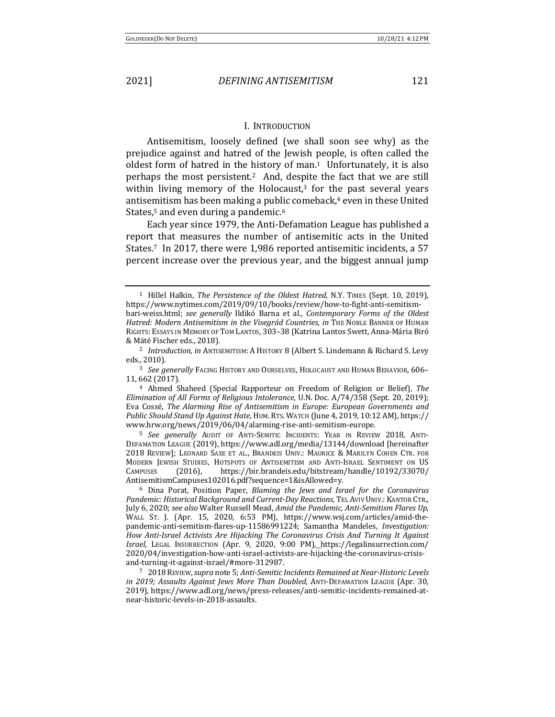#### I. INTRODUCTION

Antisemitism, loosely defined (we shall soon see why) as the prejudice against and hatred of the Jewish people, is often called the oldest form of hatred in the history of man.<sup>1</sup> Unfortunately, it is also perhaps the most persistent.<sup>2</sup> And, despite the fact that we are still within living memory of the Holocaust, $3$  for the past several years antisemitism has been making a public comeback, $4$  even in these United States, $5$  and even during a pandemic. $6$ 

Each year since 1979, the Anti-Defamation League has published a report that measures the number of antisemitic acts in the United States.<sup>7</sup> In 2017, there were 1,986 reported antisemitic incidents, a 57 percent increase over the previous year, and the biggest annual jump

<sup>&</sup>lt;sup>1</sup> Hillel Halkin, *The Persistence of the Oldest Hatred*, N.Y. TIMES (Sept. 10, 2019), https://www.nytimes.com/2019/09/10/books/review/how-to-fight-anti-semitismbari-weiss.html; see generally Ildikó Barna et al., Contemporary Forms of the Oldest *Hatred: Modern Antisemitism in the Visegrád Countries, in* THE NOBLE BANNER OF HUMAN RIGHTS: ESSAYS IN MEMORY OF TOM LANTOS, 303-38 (Katrina Lantos Swett, Anna-Mária Biró & Máté Fischer eds., 2018).

<sup>&</sup>lt;sup>2</sup> *Introduction, in* ANTISEMITISM: A HISTORY 8 (Albert S. Lindemann & Richard S. Levy eds., 2010).

<sup>&</sup>lt;sup>3</sup> See generally FACING HISTORY AND OURSELVES, HOLOCAUST AND HUMAN BEHAVIOR, 606-11, 662 (2017). 

<sup>&</sup>lt;sup>4</sup> Ahmed Shaheed (Special Rapporteur on Freedom of Religion or Belief), *The* Elimination of All Forms of Religious Intolerance, U.N. Doc. A/74/358 (Sept. 20, 2019); Eva Cossé, *The Alarming Rise of Antisemitism in Europe: European Governments and Public Should Stand Up Against Hate*, HUM. RTS. WATCH (June 4, 2019, 10:12 AM), https:// www.hrw.org/news/2019/06/04/alarming-rise-anti-semitism-europe. 

<sup>&</sup>lt;sup>5</sup> See generally AUDIT OF ANTI-SEMITIC INCIDENTS: YEAR IN REVIEW 2018, ANTI-DEFAMATION LEAGUE (2019), https://www.adl.org/media/13144/download [hereinafter] 2018 REVIEW]; LEONARD SAXE ET AL., BRANDEIS UNIV.: MAURICE & MARILYN COHEN CTR. FOR MODERN JEWISH STUDIES, HOTSPOTS OF ANTISEMITISM AND ANTI-ISRAEL SENTIMENT ON US CAMPUSES (2016), https://bir.brandeis.edu/bitstream/handle/10192/33070/ AntisemitismCampuses102016.pdf?sequence=1&isAllowed=y.

<sup>&</sup>lt;sup>6</sup> Dina Porat, Position Paper, *Blaming the Jews and Israel for the Coronavirus Pandemic: Historical Background and Current-Day Reactions*, TEL AVIV UNIV.: KANTOR CTR., July 6, 2020; see also Walter Russell Mead, *Amid the Pandemic, Anti-Semitism Flares Up*, WALL ST. J. (Apr. 15, 2020, 6:53 PM), https://www.wsj.com/articles/amid-thepandemic-anti-semitism-flares-up-11586991224; Samantha Mandeles, *Investigation:* How Anti-Israel Activists Are Hijacking The Coronavirus Crisis And Turning It Against *Israel*, LEGAL INSURRECTION (Apr. 9, 2020, 9:00 PM), https://legalinsurrection.com/ 2020/04/investigation-how-anti-israel-activists-are-hijacking-the-coronavirus-crisisand-turning-it-against-israel/#more-312987.

<sup>&</sup>lt;sup>7</sup> 2018 REVIEW, supra note 5; Anti-Semitic Incidents Remained at Near-Historic Levels *in* 2019; Assaults Against Jews More Than Doubled, ANTI-DEFAMATION LEAGUE (Apr. 30, 2019), https://www.adl.org/news/press-releases/anti-semitic-incidents-remained-atnear-historic-levels-in-2018-assaults.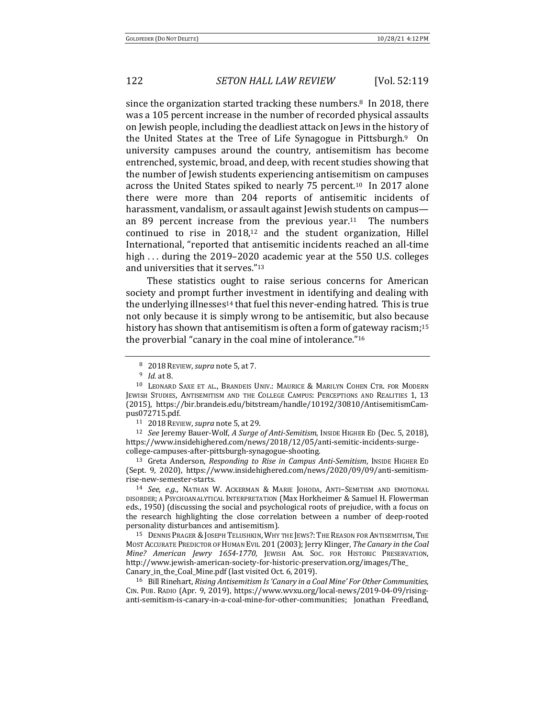since the organization started tracking these numbers.<sup>8</sup> In 2018, there was a 105 percent increase in the number of recorded physical assaults on Jewish people, including the deadliest attack on Jews in the history of the United States at the Tree of Life Synagogue in Pittsburgh.<sup>9</sup> On university campuses around the country, antisemitism has become entrenched, systemic, broad, and deep, with recent studies showing that the number of Jewish students experiencing antisemitism on campuses across the United States spiked to nearly 75 percent.<sup>10</sup> In 2017 alone there were more than 204 reports of antisemitic incidents of harassment, vandalism, or assault against Jewish students on campusan 89 percent increase from the previous year.<sup>11</sup> The numbers continued to rise in  $2018<sub>12</sub>$  and the student organization, Hillel International, "reported that antisemitic incidents reached an all-time high  $\ldots$  during the 2019–2020 academic year at the 550 U.S. colleges and universities that it serves."<sup>13</sup>

These statistics ought to raise serious concerns for American society and prompt further investment in identifying and dealing with the underlying illnesses<sup>14</sup> that fuel this never-ending hatred. This is true not only because it is simply wrong to be antisemitic, but also because history has shown that antisemitism is often a form of gateway racism;<sup>15</sup> the proverbial "canary in the coal mine of intolerance." $16$ 

11 2018 REVIEW, *supra* note 5, at 29.

<sup>12</sup> *See* Jeremy Bauer-Wolf, *A Surge of Anti-Semitism*, INSIDE HIGHER ED (Dec. 5, 2018), https://www.insidehighered.com/news/2018/12/05/anti-semitic-incidents-surgecollege-campuses-after-pittsburgh-synagogue-shooting.

<sup>13</sup> Greta Anderson, *Responding to Rise in Campus Anti-Semitism*, INSIDE HIGHER ED (Sept. 9, 2020), https://www.insidehighered.com/news/2020/09/09/anti-semitismrise-new-semester-starts.

<sup>14</sup> See, e.g., NATHAN W. ACKERMAN & MARIE JOHODA, ANTI-SEMITISM AND EMOTIONAL DISORDER; A PSYCHOANALYTICAL INTERPRETATION (Max Horkheimer & Samuel H. Flowerman eds., 1950) (discussing the social and psychological roots of prejudice, with a focus on the research highlighting the close correlation between a number of deep-rooted personality disturbances and antisemitism).

<sup>15</sup> DENNIS PRAGER & JOSEPH TELUSHKIN, WHY THE JEWS?: THE REASON FOR ANTISEMITISM, THE MOST ACCURATE PREDICTOR OF HUMAN EVIL 201 (2003); Jerry Klinger, *The Canary in the Coal Mine? American Jewry 1654-1770*, JEWISH AM. SOC. FOR HISTORIC PRESERVATION, http://www.jewish-american-society-for-historic-preservation.org/images/The\_ Canary\_in\_the\_Coal\_Mine.pdf (last visited Oct. 6, 2019).

16 Bill Rinehart, *Rising Antisemitism Is 'Canary in a Coal Mine' For Other Communities*, CIN. PUB. RADIO (Apr. 9, 2019), https://www.wvxu.org/local-news/2019-04-09/risinganti-semitism-is-canary-in-a-coal-mine-for-other-communities; Jonathan Freedland, 

<sup>8 2018</sup> REVIEW, *supra* note 5, at 7.

<sup>&</sup>lt;sup>9</sup> *Id.* at 8.

<sup>&</sup>lt;sup>10</sup> LEONARD SAXE ET AL., BRANDEIS UNIV.: MAURICE & MARILYN COHEN CTR. FOR MODERN JEWISH STUDIES, ANTISEMITISM AND THE COLLEGE CAMPUS: PERCEPTIONS AND REALITIES 1, 13 (2015), https://bir.brandeis.edu/bitstream/handle/10192/30810/AntisemitismCampus072715.pdf.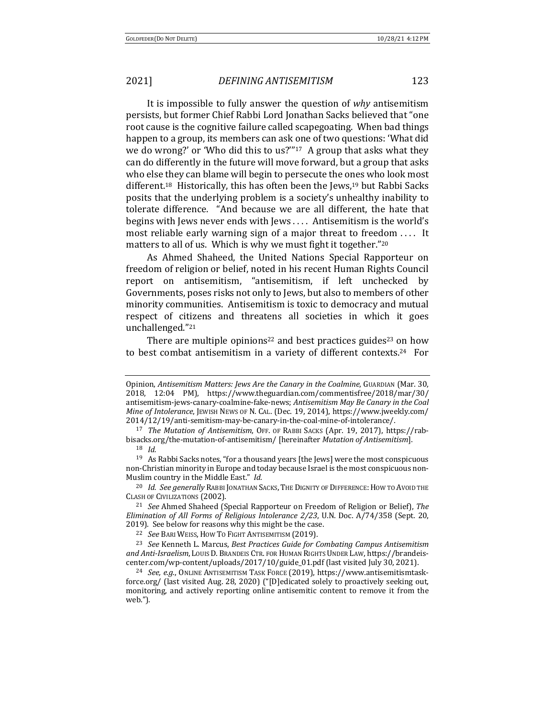It is impossible to fully answer the question of why antisemitism persists, but former Chief Rabbi Lord Jonathan Sacks believed that "one root cause is the cognitive failure called scapegoating. When bad things happen to a group, its members can ask one of two questions: 'What did we do wrong?' or 'Who did this to us?'"<sup>17</sup> A group that asks what they can do differently in the future will move forward, but a group that asks who else they can blame will begin to persecute the ones who look most different.<sup>18</sup> Historically, this has often been the Jews,<sup>19</sup> but Rabbi Sacks posits that the underlying problem is a society's unhealthy inability to tolerate difference. "And because we are all different, the hate that begins with Jews never ends with Jews  $\dots$  Antisemitism is the world's most reliable early warning sign of a major threat to freedom  $\dots$  It matters to all of us. Which is why we must fight it together."20

As Ahmed Shaheed, the United Nations Special Rapporteur on freedom of religion or belief, noted in his recent Human Rights Council report on antisemitism, "antisemitism, if left unchecked by Governments, poses risks not only to Jews, but also to members of other minority communities. Antisemitism is toxic to democracy and mutual respect of citizens and threatens all societies in which it goes unchallenged."21

There are multiple opinions<sup>22</sup> and best practices guides<sup>23</sup> on how to best combat antisemitism in a variety of different contexts.<sup>24</sup> For

<sup>20</sup> *Id. See generally* RABBI JONATHAN SACKS, THE DIGNITY OF DIFFERENCE: HOW TO AVOID THE CLASH OF CIVILIZATIONS (2002).

Opinion, *Antisemitism Matters: Jews Are the Canary in the Coalmine*, GUARDIAN (Mar. 30, 2018, 12:04 PM), https://www.theguardian.com/commentisfree/2018/mar/30/ antisemitism-jews-canary-coalmine-fake-news; Antisemitism May Be Canary in the Coal *Mine of Intolerance*, JEWISH NEWS OF N. CAL. (Dec. 19, 2014), https://www.jweekly.com/ 2014/12/19/anti-semitism-may-be-canary-in-the-coal-mine-of-intolerance/.

<sup>&</sup>lt;sup>17</sup> *The Mutation of Antisemitism*, OFF. OF RABBI SACKS (Apr. 19, 2017), https://rabbisacks.org/the-mutation-of-antisemitism/ [hereinafter *Mutation of Antisemitism*].

<sup>18</sup> *Id.*

 $19$  As Rabbi Sacks notes, "for a thousand years [the Jews] were the most conspicuous non-Christian minority in Europe and today because Israel is the most conspicuous non-Muslim country in the Middle East." *Id.* 

<sup>&</sup>lt;sup>21</sup> *See* Ahmed Shaheed (Special Rapporteur on Freedom of Religion or Belief), *The Elimination of All Forms of Religious Intolerance* 2/23, U.N. Doc. A/74/358 (Sept. 20, 2019). See below for reasons why this might be the case.

<sup>&</sup>lt;sup>22</sup> *See BARI WEISS, HOW TO FIGHT ANTISEMITISM* (2019).

<sup>&</sup>lt;sup>23</sup> See Kenneth L. Marcus, *Best Practices Guide for Combating Campus Antisemitism* and Anti-Israelism, Louis D. BRANDEIS CTR. FOR HUMAN RIGHTS UNDER LAW, https://brandeiscenter.com/wp-content/uploads/2017/10/guide\_01.pdf (last visited July 30, 2021).

<sup>&</sup>lt;sup>24</sup> *See, e.g.*, ONLINE ANTISEMITISM TASK FORCE (2019), https://www.antisemitismtaskforce.org/ (last visited Aug. 28, 2020) ("[D]edicated solely to proactively seeking out, monitoring, and actively reporting online antisemitic content to remove it from the web.").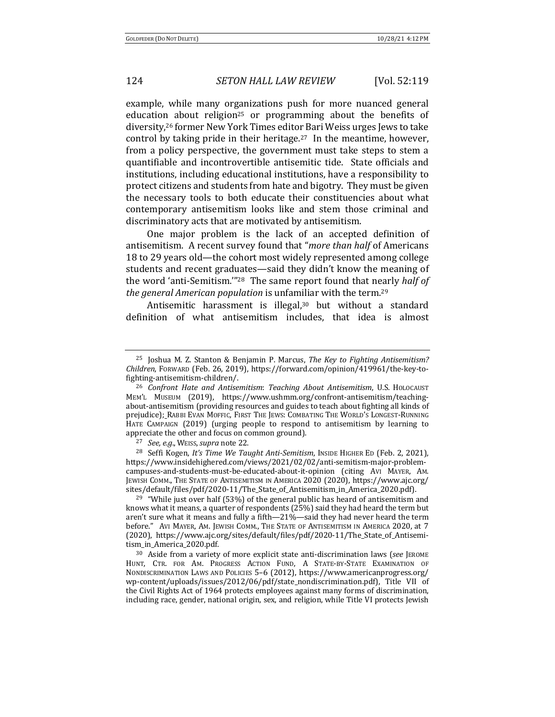example, while many organizations push for more nuanced general education about religion<sup>25</sup> or programming about the benefits of diversity,<sup>26</sup> former New York Times editor Bari Weiss urges Jews to take control by taking pride in their heritage.<sup>27</sup> In the meantime, however, from a policy perspective, the government must take steps to stem a quantifiable and incontrovertible antisemitic tide. State officials and institutions, including educational institutions, have a responsibility to protect citizens and students from hate and bigotry. They must be given the necessary tools to both educate their constituencies about what contemporary antisemitism looks like and stem those criminal and discriminatory acts that are motivated by antisemitism.

One major problem is the lack of an accepted definition of antisemitism. A recent survey found that "*more than half* of Americans 18 to 29 years old—the cohort most widely represented among college students and recent graduates—said they didn't know the meaning of the word 'anti-Semitism.<sup>"28</sup> The same report found that nearly *half of the general American population* is unfamiliar with the term.<sup>29</sup>

Antisemitic harassment is illegal, $30$  but without a standard definition of what antisemitism includes, that idea is almost

<sup>&</sup>lt;sup>25</sup> Joshua M. Z. Stanton & Benjamin P. Marcus, *The Key to Fighting Antisemitism? Children*, FORWARD (Feb. 26, 2019), https://forward.com/opinion/419961/the-key-tofighting-antisemitism-children/. 

<sup>&</sup>lt;sup>26</sup> Confront Hate and Antisemitism: Teaching About Antisemitism, U.S. HOLOCAUST MEM'L MUSEUM (2019), https://www.ushmm.org/confront-antisemitism/teachingabout-antisemitism (providing resources and guides to teach about fighting all kinds of prejudice); RABBI EVAN MOFFIC, FIRST THE JEWS: COMBATING THE WORLD'S LONGEST-RUNNING HATE CAMPAIGN  $(2019)$  (urging people to respond to antisemitism by learning to appreciate the other and focus on common ground).

<sup>&</sup>lt;sup>27</sup> *See, e.g.*, WEISS, supra note 22.

<sup>&</sup>lt;sup>28</sup> Seffi Kogen, *It's Time We Taught Anti-Semitism*, INSIDE HIGHER ED (Feb. 2, 2021), https://www.insidehighered.com/views/2021/02/02/anti-semitism-major-problemcampuses-and-students-must-be-educated-about-it-opinion (citing AvI MAYER, AM. JEWISH COMM., THE STATE OF ANTISEMITISM IN AMERICA 2020 (2020), https://www.ajc.org/ sites/default/files/pdf/2020-11/The\_State\_of\_Antisemitism\_in\_America\_2020.pdf).

<sup>&</sup>lt;sup>29</sup> "While just over half (53%) of the general public has heard of antisemitism and knows what it means, a quarter of respondents  $(25%)$  said they had heard the term but aren't sure what it means and fully a fifth—21%—said they had never heard the term before." AVI MAYER, AM. JEWISH COMM., THE STATE OF ANTISEMITISM IN AMERICA 2020, at 7 (2020), https://www.ajc.org/sites/default/files/pdf/2020-11/The State of Antisemitism\_in\_America\_2020.pdf.

<sup>30</sup> Aside from a variety of more explicit state anti-discrimination laws (*see* [EROME HUNT, CTR. FOR AM. PROGRESS ACTION FUND, A STATE-BY-STATE EXAMINATION OF NONDISCRIMINATION LAWS AND POLICIES 5-6 (2012), https://www.americanprogress.org/ wp-content/uploads/issues/2012/06/pdf/state\_nondiscrimination.pdf), Title VII of the Civil Rights Act of 1964 protects employees against many forms of discrimination, including race, gender, national origin, sex, and religion, while Title VI protects Jewish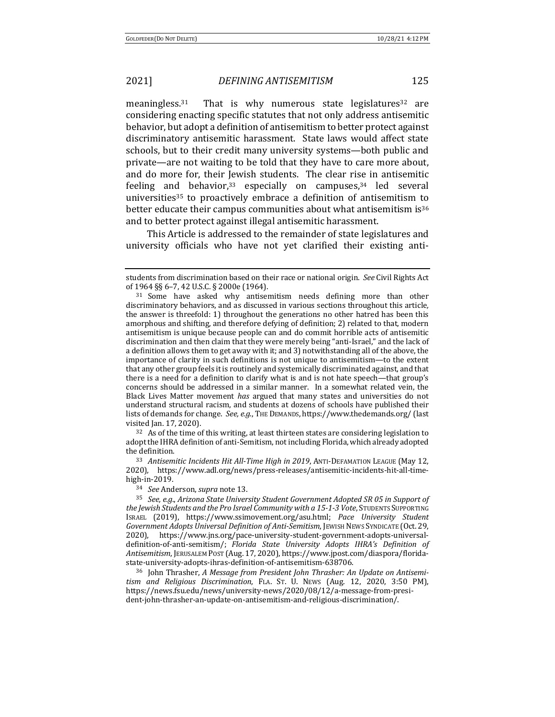meaningless.<sup>31</sup> That is why numerous state legislatures<sup>32</sup> are considering enacting specific statutes that not only address antisemitic behavior, but adopt a definition of antisemitism to better protect against discriminatory antisemitic harassment. State laws would affect state schools, but to their credit many university systems—both public and private—are not waiting to be told that they have to care more about, and do more for, their Jewish students. The clear rise in antisemitic feeling and behavior,<sup>33</sup> especially on campuses, $34$  led several universities<sup>35</sup> to proactively embrace a definition of antisemitism to better educate their campus communities about what antisemitism is<sup>36</sup> and to better protect against illegal antisemitic harassment.

This Article is addressed to the remainder of state legislatures and university officials who have not yet clarified their existing anti-

32 As of the time of this writing, at least thirteen states are considering legislation to adopt the IHRA definition of anti-Semitism, not including Florida, which already adopted the definition.

<sup>33</sup> Antisemitic Incidents Hit All-Time High in 2019, ANTI-DEFAMATION LEAGUE (May 12, 2020), https://www.adl.org/news/press-releases/antisemitic-incidents-hit-all-timehigh-in-2019. 

34 *See* Anderson, *supra* note 13.

students from discrimination based on their race or national origin. See Civil Rights Act of 1964 §§ 6-7, 42 U.S.C. § 2000e (1964).

<sup>&</sup>lt;sup>31</sup> Some have asked why antisemitism needs defining more than other discriminatory behaviors, and as discussed in various sections throughout this article, the answer is threefold: 1) throughout the generations no other hatred has been this amorphous and shifting, and therefore defying of definition; 2) related to that, modern antisemitism is unique because people can and do commit horrible acts of antisemitic discrimination and then claim that they were merely being "anti-Israel," and the lack of a definition allows them to get away with it; and 3) notwithstanding all of the above, the importance of clarity in such definitions is not unique to antisemitism—to the extent that any other group feels it is routinely and systemically discriminated against, and that there is a need for a definition to clarify what is and is not hate speech—that group's concerns should be addressed in a similar manner. In a somewhat related vein, the Black Lives Matter movement *has* argued that many states and universities do not understand structural racism, and students at dozens of schools have published their lists of demands for change. *See, e.g.*, THE DEMANDS, https://www.thedemands.org/ (last visited Jan. 17, 2020).

<sup>&</sup>lt;sup>35</sup> See, e.g., Arizona State University Student Government Adopted SR 05 in Support of the Jewish Students and the Pro Israel Community with a 15-1-3 Vote, STUDENTS SUPPORTING ISRAEL (2019), https://www.ssimovement.org/asu.html; *Pace University Student* Government Adopts Universal Definition of Anti-Semitism, JEWISH NEWS SYNDICATE (Oct. 29, 2020), https://www.jns.org/pace-university-student-government-adopts-universaldefinition-of-anti-semitism/; *Florida State University Adopts IHRA's Definition of Antisemitism*, JERUSALEM POST (Aug. 17, 2020), https://www.jpost.com/diaspora/floridastate-university-adopts-ihras-definition-of-antisemitism-638706.

<sup>&</sup>lt;sup>36</sup> John Thrasher, *A Message from President John Thrasher: An Update on Antisemitism and Religious Discrimination*, FLA. ST. U. NEWS (Aug. 12, 2020, 3:50 PM), https://news.fsu.edu/news/university-news/2020/08/12/a-message-from-president-john-thrasher-an-update-on-antisemitism-and-religious-discrimination/.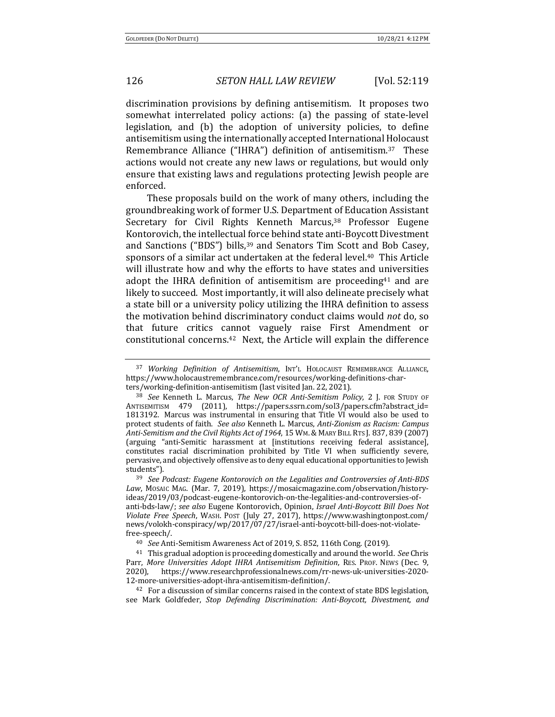discrimination provisions by defining antisemitism. It proposes two somewhat interrelated policy actions: (a) the passing of state-level legislation, and (b) the adoption of university policies, to define antisemitism using the internationally accepted International Holocaust Remembrance Alliance ("IHRA") definition of antisemitism.<sup>37</sup> These actions would not create any new laws or regulations, but would only ensure that existing laws and regulations protecting Jewish people are enforced.

These proposals build on the work of many others, including the groundbreaking work of former U.S. Department of Education Assistant Secretary for Civil Rights Kenneth Marcus,<sup>38</sup> Professor Eugene Kontorovich, the intellectual force behind state anti-Boycott Divestment and Sanctions ("BDS") bills,<sup>39</sup> and Senators Tim Scott and Bob Casey, sponsors of a similar act undertaken at the federal level.<sup>40</sup> This Article will illustrate how and why the efforts to have states and universities adopt the IHRA definition of antisemitism are proceeding<sup>41</sup> and are likely to succeed. Most importantly, it will also delineate precisely what a state bill or a university policy utilizing the IHRA definition to assess the motivation behind discriminatory conduct claims would *not* do, so that future critics cannot vaguely raise First Amendment or constitutional concerns.<sup>42</sup> Next, the Article will explain the difference

<sup>&</sup>lt;sup>37</sup> Working Definition of Antisemitism, INT'L HOLOCAUST REMEMBRANCE ALLIANCE, https://www.holocaustremembrance.com/resources/working-definitions-charters/working-definition-antisemitism (last visited Jan. 22, 2021).

<sup>38</sup> *See* Kenneth L. Marcus, *The New OCR Anti-Semitism Policy*, 2 J. FOR STUDY OF ANTISEMITISM 479 (2011), https://papers.ssrn.com/sol3/papers.cfm?abstract\_id= 1813192. Marcus was instrumental in ensuring that Title VI would also be used to protect students of faith. See also Kenneth L. Marcus, *Anti-Zionism as Racism: Campus* Anti-Semitism and the Civil Rights Act of 1964, 15 WM. & MARY BILL RTS J. 837, 839 (2007) (arguing "anti-Semitic harassment at [institutions receiving federal assistance], constitutes racial discrimination prohibited by Title VI when sufficiently severe, pervasive, and objectively offensive as to deny equal educational opportunities to Jewish students").

<sup>&</sup>lt;sup>39</sup> See Podcast: Eugene Kontorovich on the Legalities and Controversies of Anti-BDS Law, Mosaic Mag. (Mar. 7, 2019), https://mosaicmagazine.com/observation/historyideas/2019/03/podcast-eugene-kontorovich-on-the-legalities-and-controversies-ofanti-bds-law/; see also Eugene Kontorovich, Opinion, *Israel Anti-Boycott Bill Does Not Violate Free Speech*, WASH. Post (July 27, 2017), https://www.washingtonpost.com/ news/volokh-conspiracy/wp/2017/07/27/israel-anti-boycott-bill-does-not-violatefree-speech/.

<sup>&</sup>lt;sup>40</sup> *See* Anti-Semitism Awareness Act of 2019, S. 852, 116th Cong. (2019).

<sup>&</sup>lt;sup>41</sup> This gradual adoption is proceeding domestically and around the world. See Chris Parr, *More* Universities Adopt IHRA Antisemitism Definition, RES. PROF. NEWS (Dec. 9, 2020), https://www.researchprofessionalnews.com/rr-news-uk-universities-2020- 12-more-universities-adopt-ihra-antisemitism-definition/.

<sup>&</sup>lt;sup>42</sup> For a discussion of similar concerns raised in the context of state BDS legislation. see Mark Goldfeder, *Stop Defending Discrimination: Anti-Boycott, Divestment, and*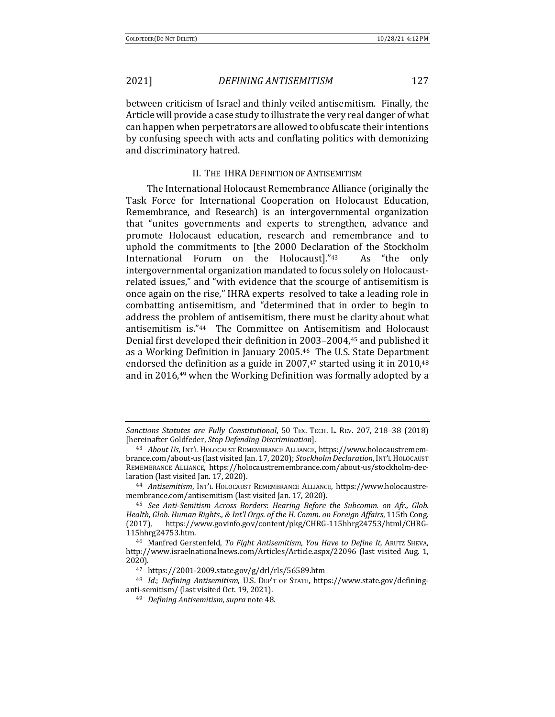between criticism of Israel and thinly veiled antisemitism. Finally, the Article will provide a case study to illustrate the very real danger of what can happen when perpetrators are allowed to obfuscate their intentions by confusing speech with acts and conflating politics with demonizing and discriminatory hatred.

#### II. THE IHRA DEFINITION OF ANTISEMITISM

The International Holocaust Remembrance Alliance (originally the Task Force for International Cooperation on Holocaust Education, Remembrance, and Research) is an intergovernmental organization that "unites governments and experts to strengthen, advance and promote Holocaust education, research and remembrance and to uphold the commitments to [the 2000 Declaration of the Stockholm International Forum on the Holocaust]."<sup>43</sup> As "the only intergovernmental organization mandated to focus solely on Holocaustrelated issues," and "with evidence that the scourge of antisemitism is once again on the rise," IHRA experts resolved to take a leading role in combatting antisemitism, and "determined that in order to begin to address the problem of antisemitism, there must be clarity about what antisemitism is."<sup>44</sup> The Committee on Antisemitism and Holocaust Denial first developed their definition in 2003–2004,<sup>45</sup> and published it as a Working Definition in January 2005.<sup>46</sup> The U.S. State Department endorsed the definition as a guide in 2007, $47$  started using it in 2010, $48$ and in  $2016<sup>49</sup>$  when the Working Definition was formally adopted by a

44 Antisemitism, INT'L HOLOCAUST REMEMBRANCE ALLIANCE, https://www.holocaustremembrance.com/antisemitism (last visited Jan. 17, 2020).

Sanctions Statutes are Fully Constitutional, 50 TEX. TECH. L. REV. 207, 218-38 (2018) [hereinafter Goldfeder, *Stop Defending Discrimination*].

<sup>&</sup>lt;sup>43</sup> About Us, INT'L HOLOCAUST REMEMBRANCE ALLIANCE, https://www.holocaustremembrance.com/about-us (last visited Jan. 17, 2020); *Stockholm Declaration*, INT'L HOLOCAUST REMEMBRANCE ALLIANCE, https://holocaustremembrance.com/about-us/stockholm-declaration (last visited Jan. 17, 2020).

<sup>&</sup>lt;sup>45</sup> See Anti-Semitism Across Borders: Hearing Before the Subcomm. on Afr., Glob. Health, Glob. Human Rights., & Int'l Orgs. of the H. Comm. on Foreign Affairs, 115th Cong. (2017), https://www.govinfo.gov/content/pkg/CHRG-115hhrg24753/html/CHRG-115hhrg24753.htm.

<sup>&</sup>lt;sup>46</sup> Manfred Gerstenfeld, *To Fight Antisemitism, You Have to Define It, ARUTZ SHEVA,* http://www.israelnationalnews.com/Articles/Article.aspx/22096 (last visited Aug. 1, 2020).

<sup>47</sup> https://2001-2009.state.gov/g/drl/rls/56589.htm

<sup>&</sup>lt;sup>48</sup> *Id.*; *Defining Antisemitism*, U.S. DEP'T OF STATE, https://www.state.gov/defininganti-semitism/ (last visited Oct. 19, 2021).

<sup>49</sup> *Defining Antisemitism, supra* note 48.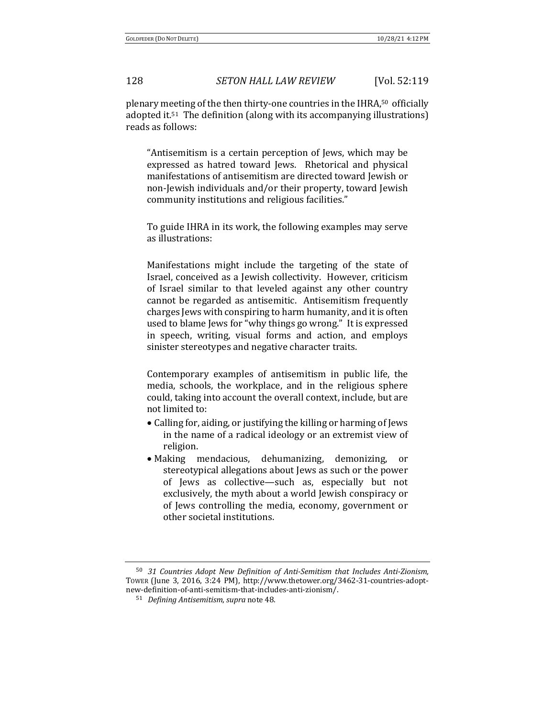plenary meeting of the then thirty-one countries in the IHRA,<sup>50</sup> officially adopted it.<sup>51</sup> The definition (along with its accompanying illustrations) reads as follows:

"Antisemitism is a certain perception of Jews, which may be expressed as hatred toward Jews. Rhetorical and physical manifestations of antisemitism are directed toward Jewish or non-Jewish individuals and/or their property, toward Jewish community institutions and religious facilities."

To guide IHRA in its work, the following examples may serve as illustrations:

Manifestations might include the targeting of the state of Israel, conceived as a Jewish collectivity. However, criticism of Israel similar to that leveled against any other country cannot be regarded as antisemitic. Antisemitism frequently charges Jews with conspiring to harm humanity, and it is often used to blame Jews for "why things go wrong." It is expressed in speech, writing, visual forms and action, and employs sinister stereotypes and negative character traits.

Contemporary examples of antisemitism in public life, the media, schools, the workplace, and in the religious sphere could, taking into account the overall context, include, but are not limited to:

- Calling for, aiding, or justifying the killing or harming of Jews in the name of a radical ideology or an extremist view of religion.
- Making mendacious, dehumanizing, demonizing, or stereotypical allegations about Jews as such or the power of Jews as collective—such as, especially but not exclusively, the myth about a world Jewish conspiracy or of Jews controlling the media, economy, government or other societal institutions.

<sup>50</sup> *31 Countries Adopt New Definition of Anti-Semitism that Includes Anti-Zionism,* TOWER (June 3, 2016, 3:24 PM), http://www.thetower.org/3462-31-countries-adoptnew-definition-of-anti-semitism-that-includes-anti-zionism/.

<sup>51</sup> *Defining Antisemitism, supra note 48.*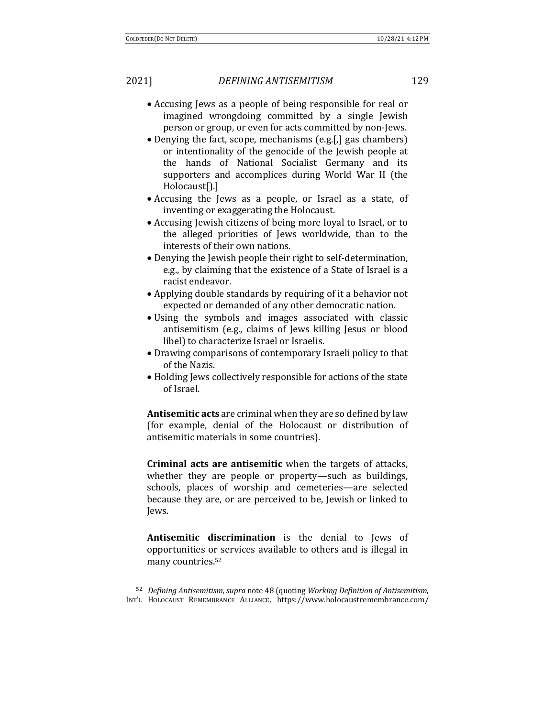- Accusing Jews as a people of being responsible for real or imagined wrongdoing committed by a single Jewish person or group, or even for acts committed by non-Jews.
- Denying the fact, scope, mechanisms (e.g.[,] gas chambers) or intentionality of the genocide of the Jewish people at the hands of National Socialist Germany and its supporters and accomplices during World War II (the Holocaust<sup>[]</sup>.]
- Accusing the Jews as a people, or Israel as a state, of inventing or exaggerating the Holocaust.
- Accusing Jewish citizens of being more loyal to Israel, or to the alleged priorities of Jews worldwide, than to the interests of their own nations.
- Denying the Jewish people their right to self-determination, e.g., by claiming that the existence of a State of Israel is a racist endeavor.
- Applying double standards by requiring of it a behavior not expected or demanded of any other democratic nation.
- Using the symbols and images associated with classic antisemitism (e.g., claims of Jews killing Jesus or blood libel) to characterize Israel or Israelis.
- Drawing comparisons of contemporary Israeli policy to that of the Nazis.
- Holding Jews collectively responsible for actions of the state of Israel.

**Antisemitic acts** are criminal when they are so defined by law (for example, denial of the Holocaust or distribution of antisemitic materials in some countries).

**Criminal acts are antisemitic** when the targets of attacks, whether they are people or property—such as buildings, schools, places of worship and cemeteries—are selected because they are, or are perceived to be, Jewish or linked to Jews. 

**Antisemitic discrimination** is the denial to Jews of opportunities or services available to others and is illegal in many countries.<sup>52</sup>

<sup>52</sup> *Defining Antisemitism, supra* note 48 (quoting *Working Definition of Antisemitism,* INT'L HOLOCAUST REMEMBRANCE ALLIANCE, https://www.holocaustremembrance.com/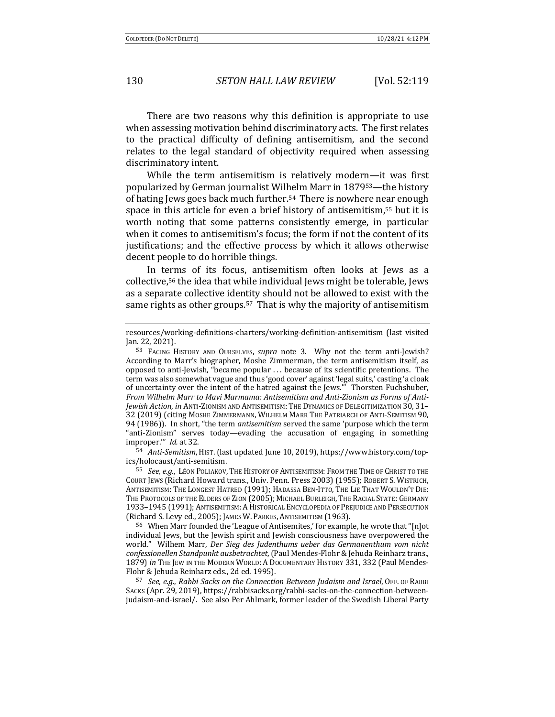There are two reasons why this definition is appropriate to use when assessing motivation behind discriminatory acts. The first relates to the practical difficulty of defining antisemitism, and the second relates to the legal standard of objectivity required when assessing discriminatory intent.

While the term antisemitism is relatively modern—it was first popularized by German journalist Wilhelm Marr in 1879<sup>53</sup>—the history of hating Jews goes back much further.<sup>54</sup> There is nowhere near enough space in this article for even a brief history of antisemitism,<sup>55</sup> but it is worth noting that some patterns consistently emerge, in particular when it comes to antisemitism's focus; the form if not the content of its justifications; and the effective process by which it allows otherwise decent people to do horrible things.

In terms of its focus, antisemitism often looks at Jews as a collective,<sup>56</sup> the idea that while individual Jews might be tolerable, Jews as a separate collective identity should not be allowed to exist with the same rights as other groups.<sup>57</sup> That is why the majority of antisemitism

<sup>54</sup> Anti-Semitism, HIST. (last updated June 10, 2019), https://www.history.com/topics/holocaust/anti-semitism.

resources/working-definitions-charters/working-definition-antisemitism (last visited Jan. 22, 2021).

<sup>53</sup> FACING HISTORY AND OURSELVES, *supra* note 3. Why not the term anti-Jewish? According to Marr's biographer, Moshe Zimmerman, the term antisemitism itself, as opposed to anti-Jewish, "became popular  $\dots$  because of its scientific pretentions. The term was also somewhat vague and thus 'good cover' against 'legal suits,' casting 'a cloak of uncertainty over the intent of the hatred against the Jews." Thorsten Fuchshuber, From Wilhelm Marr to Mavi Marmama: Antisemitism and Anti-Zionism as Forms of Anti-*Jewish Action, in ANTI-ZIONISM AND ANTISEMITISM: THE DYNAMICS OF DELEGITIMIZATION 30, 31-*32 (2019) (citing Moshe Zimmermann, Wilhelm Marr The Patriarch of Anti-Semitism 90, 94 (1986)). In short, "the term *antisemitism* served the same 'purpose which the term "anti-Zionism" serves today—evading the accusation of engaging in something improper.'" *Id.* at 32.

<sup>55</sup> *See, e.g.*, LÉON POLIAKOV, THE HISTORY OF ANTISEMITISM: FROM THE TIME OF CHRIST TO THE COURT JEWS (Richard Howard trans., Univ. Penn. Press 2003) (1955); ROBERT S. WISTRICH, ANTISEMITISM: THE LONGEST HATRED (1991); HADASSA BEN-ITTO, THE LIE THAT WOULDN'T DIE: THE PROTOCOLS OF THE ELDERS OF ZION (2005); MICHAEL BURLEIGH, THE RACIAL STATE: GERMANY 1933-1945 (1991); ANTISEMITISM: A HISTORICAL ENCYCLOPEDIA OF PREJUDICE AND PERSECUTION (Richard S. Levy ed., 2005); JAMES W. PARKES, ANTISEMITISM (1963).

 $56$  When Marr founded the 'League of Antisemites,' for example, he wrote that "[n]ot individual Jews, but the Jewish spirit and Jewish consciousness have overpowered the world." Wilhem Marr, *Der Sieg des Judenthums ueber das Germanenthum vom nicht confessionellen Standpunkt ausbetrachtet*, (Paul Mendes-Flohr & Jehuda Reinharz trans., 1879) *in* The Jew IN THE MODERN WORLD: A DOCUMENTARY HISTORY 331, 332 (Paul Mendes-Flohr & Jehuda Reinharz eds., 2d ed. 1995).

<sup>57</sup> See, e.g., Rabbi Sacks on the Connection Between Judaism and Israel, OFF. OF RABBI SACKS (Apr. 29, 2019), https://rabbisacks.org/rabbi-sacks-on-the-connection-betweenjudaism-and-israel/. See also Per Ahlmark, former leader of the Swedish Liberal Party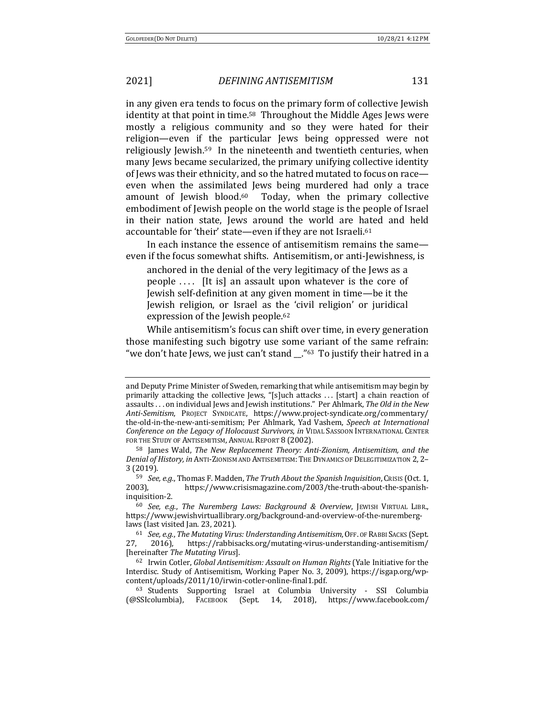in any given era tends to focus on the primary form of collective Jewish identity at that point in time.<sup>58</sup> Throughout the Middle Ages Jews were mostly a religious community and so they were hated for their religion—even if the particular Jews being oppressed were not religiously Jewish.<sup>59</sup> In the nineteenth and twentieth centuries, when many Jews became secularized, the primary unifying collective identity of Jews was their ethnicity, and so the hatred mutated to focus on raceeven when the assimilated Jews being murdered had only a trace amount of Jewish blood. $60$  Today, when the primary collective embodiment of Jewish people on the world stage is the people of Israel in their nation state, Jews around the world are hated and held accountable for 'their' state—even if they are not Israeli.<sup>61</sup>

In each instance the essence of antisemitism remains the same $$ even if the focus somewhat shifts. Antisemitism, or anti-Jewishness, is

anchored in the denial of the very legitimacy of the Jews as a people  $\ldots$  [It is] an assault upon whatever is the core of Jewish self-definition at any given moment in time—be it the Jewish religion, or Israel as the 'civil religion' or juridical expression of the Jewish people.<sup>62</sup>

While antisemitism's focus can shift over time, in every generation those manifesting such bigotry use some variant of the same refrain: "we don't hate Jews, we just can't stand  $\frac{1}{10}$ "<sup>63</sup> To justify their hatred in a

and Deputy Prime Minister of Sweden, remarking that while antisemitism may begin by primarily attacking the collective Jews, "[s]uch attacks ... [start] a chain reaction of assaults . . . on individual Jews and Jewish institutions." Per Ahlmark, *The Old in the New Anti-Semitism*, PROJECT SYNDICATE, https://www.project-syndicate.org/commentary/ the-old-in-the-new-anti-semitism; Per Ahlmark, Yad Vashem, Speech at International *Conference on the Legacy of Holocaust Survivors, in VIDAL SASSOON INTERNATIONAL CENTER* FOR THE STUDY OF ANTISEMITISM, ANNUAL REPORT 8 (2002).

<sup>&</sup>lt;sup>58</sup> James Wald, *The New Replacement Theory: Anti-Zionism, Antisemitism, and the Denial of History, in ANTI-ZIONISM AND ANTISEMITISM: THE DYNAMICS OF DELEGITIMIZATION 2, 2-*3 (2019).

<sup>59</sup> *See, e.g.*, Thomas F. Madden, *The Truth About the Spanish Inquisition*, CRISIS (Oct. 1, 2003), https://www.crisismagazine.com/2003/the-truth-about-the-spanishinquisition-2.

<sup>&</sup>lt;sup>60</sup> See, e.g., The Nuremberg Laws: Background & Overview, JEWISH VIRTUAL LIBR., https://www.jewishvirtuallibrary.org/background-and-overview-of-the-nuremberglaws (last visited Jan. 23, 2021).

<sup>61</sup> *See, e.g., The Mutating Virus: Understanding Antisemitism*, OFF. OF RABBI SACKS (Sept. 27, 2016), https://rabbisacks.org/mutating-virus-understanding-antisemitism/ [hereinafter *The Mutating Virus*].

<sup>&</sup>lt;sup>62</sup> Irwin Cotler, *Global Antisemitism: Assault on Human Rights* (Yale Initiative for the Interdisc. Study of Antisemitism, Working Paper No. 3, 2009), https://isgap.org/wpcontent/uploads/2011/10/irwin-cotler-online-final1.pdf.

 $63$  Students Supporting Israel at Columbia University - SSI Columbia (@SSIcolumbia), FACEBOOK (Sept. 14, 2018), https://www.facebook.com/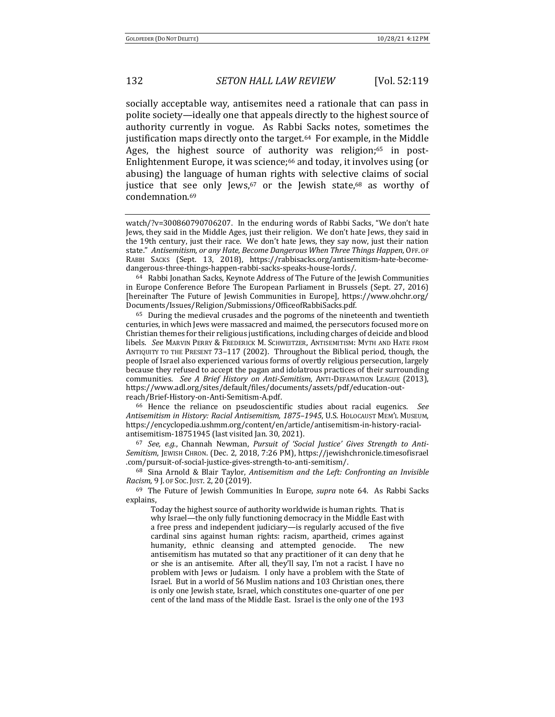socially acceptable way, antisemites need a rationale that can pass in polite society—ideally one that appeals directly to the highest source of authority currently in vogue. As Rabbi Sacks notes, sometimes the justification maps directly onto the target. $64$  For example, in the Middle Ages, the highest source of authority was religion; $65$  in post-Enlightenment Europe, it was science;<sup>66</sup> and today, it involves using (or abusing) the language of human rights with selective claims of social justice that see only  $I_{\text{ews}}$ ,  $67$  or the  $I_{\text{ews}}$  state,  $68$  as worthy of condemnation.69 

 $64$  Rabbi Jonathan Sacks, Keynote Address of The Future of the Jewish Communities in Europe Conference Before The European Parliament in Brussels (Sept. 27, 2016) [hereinafter The Future of Jewish Communities in Europe], https://www.ohchr.org/ Documents/Issues/Religion/Submissions/OfficeofRabbiSacks.pdf.

 $65$  During the medieval crusades and the pogroms of the nineteenth and twentieth centuries, in which Jews were massacred and maimed, the persecutors focused more on Christian themes for their religious justifications, including charges of deicide and blood libels. See Marvin Perry & Frederick M. Schweitzer, Antisemitism: Myth and Hate from ANTIQUITY TO THE PRESENT 73-117 (2002). Throughout the Biblical period, though, the people of Israel also experienced various forms of overtly religious persecution, largely because they refused to accept the pagan and idolatrous practices of their surrounding communities. See A Brief History on Anti-Semitism, ANTI-DEFAMATION LEAGUE (2013), https://www.adl.org/sites/default/files/documents/assets/pdf/education-outreach/Brief-History-on-Anti-Semitism-A.pdf. 

<sup>66</sup> Hence the reliance on pseudoscientific studies about racial eugenics. See *Antisemitism in History: Racial Antisemitism, 1875–1945*, U.S. HOLOCAUST MEM'L MUSEUM, https://encyclopedia.ushmm.org/content/en/article/antisemitism-in-history-racialantisemitism-18751945 (last visited Jan. 30, 2021).

<sup>67</sup> See, e.g., Channah Newman, *Pursuit of 'Social Justice' Gives Strength to Anti-*Semitism, JEWISH CHRON. (Dec. 2, 2018, 7:26 PM), https://jewishchronicle.timesofisrael .com/pursuit-of-social-justice-gives-strength-to-anti-semitism/.

<sup>68</sup> Sina Arnold & Blair Taylor, *Antisemitism and the Left: Confronting an Invisible Racism*, 9 J. of Soc. JUST. 2, 20 (2019).

<sup>69</sup> The Future of Jewish Communities In Europe, *supra* note 64. As Rabbi Sacks explains,

Today the highest source of authority worldwide is human rights. That is why Israel—the only fully functioning democracy in the Middle East with a free press and independent judiciary-is regularly accused of the five cardinal sins against human rights: racism, apartheid, crimes against humanity, ethnic cleansing and attempted genocide. The new antisemitism has mutated so that any practitioner of it can deny that he or she is an antisemite. After all, they'll say, I'm not a racist. I have no problem with Jews or Judaism. I only have a problem with the State of Israel. But in a world of 56 Muslim nations and 103 Christian ones, there is only one Jewish state, Israel, which constitutes one-quarter of one per cent of the land mass of the Middle East. Israel is the only one of the 193

watch/?v=300860790706207. In the enduring words of Rabbi Sacks, "We don't hate Jews, they said in the Middle Ages, just their religion. We don't hate Jews, they said in the 19th century, just their race. We don't hate Jews, they say now, just their nation state." Antisemitism, or any Hate, Become Dangerous When Three Things Happen, OFF. OF RABBI SACKS (Sept. 13, 2018), https://rabbisacks.org/antisemitism-hate-becomedangerous-three-things-happen-rabbi-sacks-speaks-house-lords/.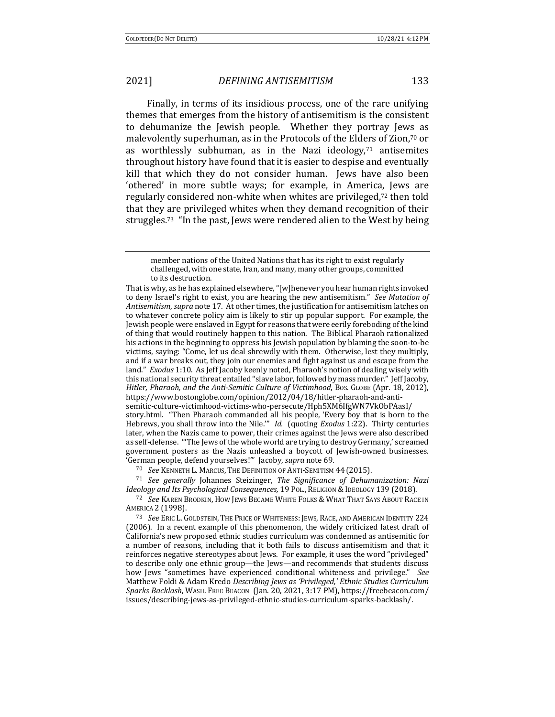Finally, in terms of its insidious process, one of the rare unifying themes that emerges from the history of antisemitism is the consistent to dehumanize the Jewish people. Whether they portray Jews as malevolently superhuman, as in the Protocols of the Elders of Zion,<sup>70</sup> or as worthlessly subhuman, as in the Nazi ideology, $71$  antisemites throughout history have found that it is easier to despise and eventually kill that which they do not consider human. Jews have also been 'othered' in more subtle ways; for example, in America, Jews are regularly considered non-white when whites are privileged,<sup>72</sup> then told that they are privileged whites when they demand recognition of their struggles.<sup>73</sup> "In the past, Jews were rendered alien to the West by being

<sup>70</sup> *See* KENNETH L. MARCUS, THE DEFINITION OF ANTI-SEMITISM 44 (2015).

<sup>71</sup> *See generally* Johannes Steizinger, *The Significance of Dehumanization: Nazi Ideology and Its Psychological Consequences,* 19 PoL., RELIGION & IDEOLOGY 139 (2018).

<sup>72</sup> See Karen Brodkin, How Jews Became White Folks & What That Says About Race in AMERICA 2 (1998).

<sup>73</sup> *See* Eric L. Goldstein, The Price of Whiteness: Jews, Race, and American Identity 224 (2006). In a recent example of this phenomenon, the widely criticized latest draft of California's new proposed ethnic studies curriculum was condemned as antisemitic for a number of reasons, including that it both fails to discuss antisemitism and that it reinforces negative stereotypes about Jews. For example, it uses the word "privileged" to describe only one ethnic group—the Jews—and recommends that students discuss how Jews "sometimes have experienced conditional whiteness and privilege." See Matthew Foldi & Adam Kredo *Describing Jews as 'Privileged,' Ethnic Studies Curriculum Sparks Backlash*, WASH. FREE BEACON (Jan. 20, 2021, 3:17 PM), https://freebeacon.com/ issues/describing-jews-as-privileged-ethnic-studies-curriculum-sparks-backlash/.

member nations of the United Nations that has its right to exist regularly challenged, with one state, Iran, and many, many other groups, committed to its destruction.

That is why, as he has explained elsewhere, "[w]henever you hear human rights invoked to deny Israel's right to exist, you are hearing the new antisemitism." See Mutation of *Antisemitism, supra* note 17. At other times, the justification for antisemitism latches on to whatever concrete policy aim is likely to stir up popular support. For example, the Jewish people were enslaved in Egypt for reasons that were eerily foreboding of the kind of thing that would routinely happen to this nation. The Biblical Pharaoh rationalized his actions in the beginning to oppress his Jewish population by blaming the soon-to-be victims, saying: "Come, let us deal shrewdly with them. Otherwise, lest they multiply, and if a war breaks out, they join our enemies and fight against us and escape from the land." *Exodus* 1:10. As Jeff Jacoby keenly noted, Pharaoh's notion of dealing wisely with this national security threat entailed "slave labor, followed by mass murder." Jeff Jacoby, Hitler, Pharaoh, and the Anti-Semitic Culture of Victimhood, Bos. GLOBE (Apr. 18, 2012), https://www.bostonglobe.com/opinion/2012/04/18/hitler-pharaoh-and-antisemitic-culture-victimhood-victims-who-persecute/Hph5XM6IfgWN7VkObPAasI/ story.html. "Then Pharaoh commanded all his people, 'Every boy that is born to the Hebrews, you shall throw into the Nile.<sup>""</sup> *Id.* (quoting *Exodus* 1:22). Thirty centuries later, when the Nazis came to power, their crimes against the Jews were also described as self-defense. "The Jews of the whole world are trying to destroy Germany,' screamed government posters as the Nazis unleashed a boycott of Jewish-owned businesses. 'German people, defend yourselves!" Jacoby, *supra* note 69.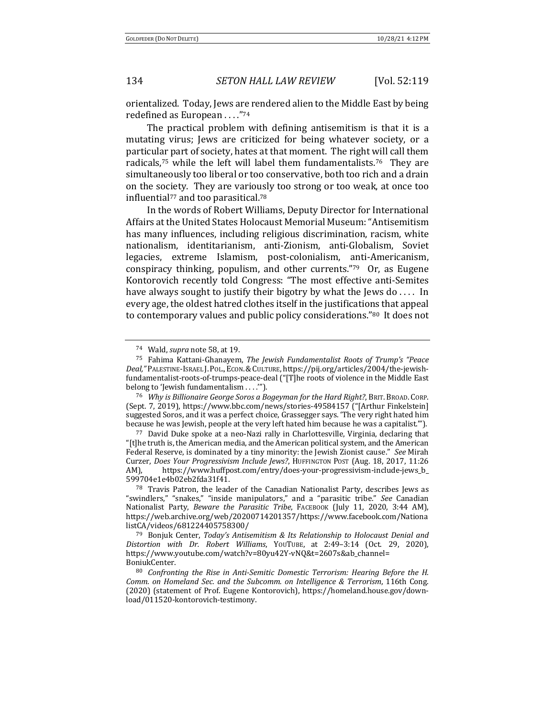orientalized. Today, Jews are rendered alien to the Middle East by being redefined as European . . . . "74

The practical problem with defining antisemitism is that it is a mutating virus; Jews are criticized for being whatever society, or a particular part of society, hates at that moment. The right will call them radicals,<sup>75</sup> while the left will label them fundamentalists.<sup>76</sup> They are simultaneously too liberal or too conservative, both too rich and a drain on the society. They are variously too strong or too weak, at once too influential<sup>77</sup> and too parasitical.<sup>78</sup>

In the words of Robert Williams, Deputy Director for International Affairs at the United States Holocaust Memorial Museum: "Antisemitism has many influences, including religious discrimination, racism, white nationalism, identitarianism, anti-Zionism, anti-Globalism, Soviet legacies, extreme Islamism, post-colonialism, anti-Americanism, conspiracy thinking, populism, and other currents." $79$  Or, as Eugene Kontorovich recently told Congress: "The most effective anti-Semites have always sought to justify their bigotry by what the Jews do .... In every age, the oldest hatred clothes itself in the justifications that appeal to contemporary values and public policy considerations."<sup>80</sup> It does not

<sup>&</sup>lt;sup>74</sup> Wald, *supra* note 58, at 19.

<sup>&</sup>lt;sup>75</sup> Fahima Kattani-Ghanayem, *The Jewish Fundamentalist Roots of Trump's* "Peace Deal,"PALESTINE-ISRAEL J. POL., ECON. & CULTURE, https://pij.org/articles/2004/the-jewishfundamentalist-roots-of-trumps-peace-deal ("[T]he roots of violence in the Middle East belong to 'Jewish fundamentalism . . . . "').

<sup>76</sup> *Why is Billionaire George Soros a Bogeyman for the Hard Right?*, BRIT. BROAD. CORP. (Sept. 7, 2019), https://www.bbc.com/news/stories-49584157 ("[Arthur Finkelstein] suggested Soros, and it was a perfect choice, Grassegger says. 'The very right hated him because he was Jewish, people at the very left hated him because he was a capitalist."').

 $77$  David Duke spoke at a neo-Nazi rally in Charlottesville, Virginia, declaring that "[t]he truth is, the American media, and the American political system, and the American Federal Reserve, is dominated by a tiny minority: the Jewish Zionist cause." See Mirah Curzer, *Does Your Progressivism Include Jews?*, HUFFINGTON POST (Aug. 18, 2017, 11:26 AM), https://www.huffpost.com/entry/does-your-progressivism-include-jews b 599704e1e4b02eb2fda31f41. 

 $78$  Travis Patron, the leader of the Canadian Nationalist Party, describes Jews as "swindlers," "snakes," "inside manipulators," and a "parasitic tribe." *See* Canadian Nationalist Party, *Beware the Parasitic Tribe*, FACEBOOK (July 11, 2020, 3:44 AM), https://web.archive.org/web/20200714201357/https://www.facebook.com/Nationa listCA/videos/681224405758300/

<sup>&</sup>lt;sup>79</sup> Bonjuk Center, *Today's Antisemitism & Its Relationship to Holocaust Denial and Distortion with Dr. Robert Williams*, YOUTUBE, at 2:49–3:14 (Oct. 29, 2020), https://www.youtube.com/watch?v=80yu42Y-vNQ&t=2607s&ab\_channel= BoniukCenter.

<sup>&</sup>lt;sup>80</sup> Confronting the Rise in Anti-Semitic Domestic Terrorism: Hearing Before the H. *Comm.* on Homeland Sec. and the Subcomm. on Intelligence & Terrorism, 116th Cong. (2020) (statement of Prof. Eugene Kontorovich), https://homeland.house.gov/download/011520-kontorovich-testimony.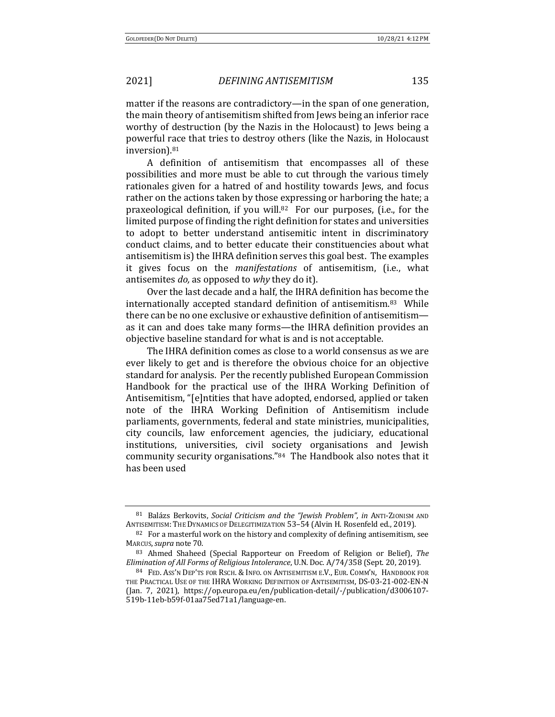matter if the reasons are contradictory—in the span of one generation, the main theory of antisemitism shifted from Jews being an inferior race worthy of destruction (by the Nazis in the Holocaust) to Jews being a powerful race that tries to destroy others (like the Nazis, in Holocaust inversion).81

A definition of antisemitism that encompasses all of these possibilities and more must be able to cut through the various timely rationales given for a hatred of and hostility towards Jews, and focus rather on the actions taken by those expressing or harboring the hate; a praxeological definition, if you will.<sup>82</sup> For our purposes, (i.e., for the limited purpose of finding the right definition for states and universities to adopt to better understand antisemitic intent in discriminatory conduct claims, and to better educate their constituencies about what antisemitism is) the IHRA definition serves this goal best. The examples it gives focus on the *manifestations* of antisemitism, (i.e., what antisemites *do*, as opposed to *why* they do it).

Over the last decade and a half, the IHRA definition has become the internationally accepted standard definition of antisemitism.<sup>83</sup> While there can be no one exclusive or exhaustive definition of antisemitism as it can and does take many forms—the IHRA definition provides an objective baseline standard for what is and is not acceptable.

The IHRA definition comes as close to a world consensus as we are ever likely to get and is therefore the obvious choice for an objective standard for analysis. Per the recently published European Commission Handbook for the practical use of the IHRA Working Definition of Antisemitism, "[e]ntities that have adopted, endorsed, applied or taken note of the IHRA Working Definition of Antisemitism include parliaments, governments, federal and state ministries, municipalities, city councils, law enforcement agencies, the judiciary, educational institutions, universities, civil society organisations and Jewish community security organisations."<sup>84</sup> The Handbook also notes that it has been used

<sup>81</sup> Balázs Berkovits, *Social Criticism and the "Jewish Problem"*, *in* ANTI-ZIONISM AND ANTISEMITISM: THE DYNAMICS OF DELEGITIMIZATION 53-54 (Alvin H. Rosenfeld ed., 2019).

 $82$  For a masterful work on the history and complexity of defining antisemitism, see MARCUS,*supra* note 70.

<sup>83</sup> Ahmed Shaheed (Special Rapporteur on Freedom of Religion or Belief), *The Elimination of All Forms of Religious Intolerance*, U.N. Doc. A/74/358 (Sept. 20, 2019).

<sup>84</sup> FED. ASS'N DEP'TS FOR RSCH. & INFO. ON ANTISEMITISM E.V., EUR. COMM'N, HANDBOOK FOR THE PRACTICAL USE OF THE IHRA WORKING DEFINITION OF ANTISEMITISM, DS-03-21-002-EN-N (Jan. 7, 2021), https://op.europa.eu/en/publication-detail/-/publication/d3006107- 519b-11eb-b59f-01aa75ed71a1/language-en.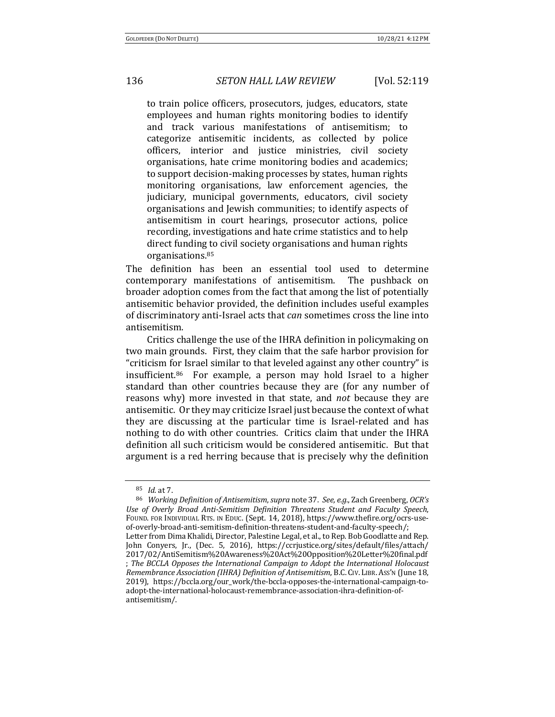to train police officers, prosecutors, judges, educators, state employees and human rights monitoring bodies to identify and track various manifestations of antisemitism; to categorize antisemitic incidents, as collected by police officers, interior and justice ministries, civil society organisations, hate crime monitoring bodies and academics; to support decision-making processes by states, human rights monitoring organisations, law enforcement agencies, the judiciary, municipal governments, educators, civil society organisations and Jewish communities; to identify aspects of antisemitism in court hearings, prosecutor actions, police recording, investigations and hate crime statistics and to help direct funding to civil society organisations and human rights organisations.<sup>85</sup>

The definition has been an essential tool used to determine contemporary manifestations of antisemitism. The pushback on broader adoption comes from the fact that among the list of potentially antisemitic behavior provided, the definition includes useful examples of discriminatory anti-Israel acts that *can* sometimes cross the line into antisemitism.

Critics challenge the use of the IHRA definition in policymaking on two main grounds. First, they claim that the safe harbor provision for "criticism for Israel similar to that leveled against any other country" is insufficient.<sup>86</sup> For example, a person may hold Israel to a higher standard than other countries because they are (for any number of reasons why) more invested in that state, and *not* because they are antisemitic. Or they may criticize Israel just because the context of what they are discussing at the particular time is Israel-related and has nothing to do with other countries. Critics claim that under the IHRA definition all such criticism would be considered antisemitic. But that argument is a red herring because that is precisely why the definition

<sup>85</sup> *Id.* at 7.

<sup>86</sup> *Working Definition of Antisemitism, supra note 37. See, e.g., Zach Greenberg, OCR's* Use of Overly Broad Anti-Semitism Definition Threatens Student and Faculty Speech, FOUND. FOR INDIVIDUAL RTS. IN EDUC. (Sept. 14, 2018), https://www.thefire.org/ocrs-useof-overly-broad-anti-semitism-definition-threatens-student-and-faculty-speech/; Letter from Dima Khalidi, Director, Palestine Legal, et al., to Rep. Bob Goodlatte and Rep. John Conyers, Jr., (Dec. 5, 2016), https://ccrjustice.org/sites/default/files/attach/ 2017/02/AntiSemitism%20Awareness%20Act%20Opposition%20Letter%20final.pdf ; The BCCLA Opposes the International Campaign to Adopt the International Holocaust *Remembrance Association (IHRA) Definition of Antisemitism, B.C. CIV. LIBR. Ass'N (June 18,* 2019), https://bccla.org/our\_work/the-bccla-opposes-the-international-campaign-toadopt-the-international-holocaust-remembrance-association-ihra-definition-ofantisemitism/.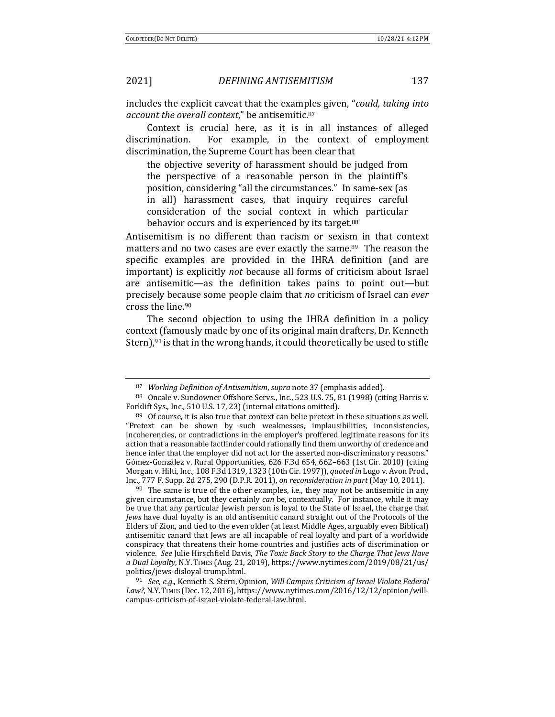includes the explicit caveat that the examples given, "could, taking into *account the overall context*," be antisemitic.<sup>87</sup>

Context is crucial here, as it is in all instances of alleged discrimination. For example, in the context of employment discrimination, the Supreme Court has been clear that

the objective severity of harassment should be judged from the perspective of a reasonable person in the plaintiff's position, considering "all the circumstances." In same-sex (as in all) harassment cases, that inquiry requires careful consideration of the social context in which particular behavior occurs and is experienced by its target.<sup>88</sup>

Antisemitism is no different than racism or sexism in that context matters and no two cases are ever exactly the same.<sup>89</sup> The reason the specific examples are provided in the IHRA definition (and are important) is explicitly *not* because all forms of criticism about Israel are antisemitic—as the definition takes pains to point out—but precisely because some people claim that *no* criticism of Israel can *ever* cross the line.<sup>90</sup>

The second objection to using the IHRA definition in a policy context (famously made by one of its original main drafters, Dr. Kenneth Stern), $91$  is that in the wrong hands, it could theoretically be used to stifle

 $90$  The same is true of the other examples, i.e., they may not be antisemitic in any given circumstance, but they certainly *can* be, contextually. For instance, while it may be true that any particular Jewish person is loyal to the State of Israel, the charge that Jews have dual loyalty is an old antisemitic canard straight out of the Protocols of the Elders of Zion, and tied to the even older (at least Middle Ages, arguably even Biblical) antisemitic canard that lews are all incapable of real loyalty and part of a worldwide conspiracy that threatens their home countries and justifies acts of discrimination or violence. See Julie Hirschfield Davis, *The Toxic Back Story to the Charge That Jews Have a Dual Loyalty*, N.Y. TIMES (Aug. 21, 2019), https://www.nytimes.com/2019/08/21/us/ politics/jews-disloyal-trump.html.

<sup>87</sup> *Working Definition of Antisemitism, supra note* 37 (emphasis added).

<sup>88</sup> Oncale v. Sundowner Offshore Servs., Inc., 523 U.S. 75, 81 (1998) (citing Harris v. Forklift Sys., Inc., 510 U.S. 17, 23) (internal citations omitted).

 $89$  Of course, it is also true that context can belie pretext in these situations as well. "Pretext can be shown by such weaknesses, implausibilities, inconsistencies, incoherencies, or contradictions in the employer's proffered legitimate reasons for its action that a reasonable factfinder could rationally find them unworthy of credence and hence infer that the employer did not act for the asserted non-discriminatory reasons." Gómez-González v. Rural Opportunities, 626 F.3d 654, 662-663 (1st Cir. 2010) (citing Morgan v. Hilti, Inc., 108 F.3d 1319, 1323 (10th Cir. 1997)), *quoted in Lugo v. Avon Prod.*, Inc.*,* 777 F. Supp. 2d 275, 290 (D.P.R. 2011), *on reconsideration in part* (May 10, 2011). 

<sup>&</sup>lt;sup>91</sup> *See, e.g.*, Kenneth S. Stern, Opinion, Will Campus Criticism of Israel Violate Federal Law?, N.Y. TIMES (Dec. 12, 2016), https://www.nytimes.com/2016/12/12/opinion/willcampus-criticism-of-israel-violate-federal-law.html.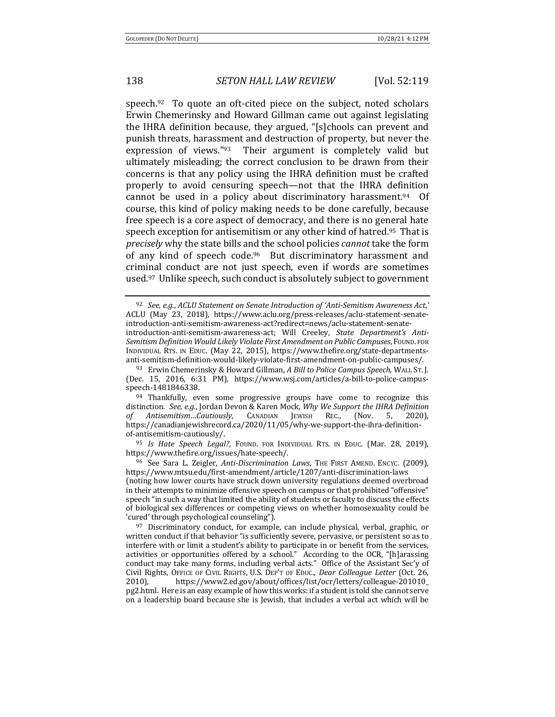speech. $92$  To quote an oft-cited piece on the subject, noted scholars Erwin Chemerinsky and Howard Gillman came out against legislating the IHRA definition because, they argued, "[s]chools can prevent and punish threats, harassment and destruction of property, but never the expression of views." $93$  Their argument is completely valid but ultimately misleading; the correct conclusion to be drawn from their concerns is that any policy using the IHRA definition must be crafted properly to avoid censuring speech—not that the IHRA definition cannot be used in a policy about discriminatory harassment.<sup>94</sup> Of course, this kind of policy making needs to be done carefully, because free speech is a core aspect of democracy, and there is no general hate speech exception for antisemitism or any other kind of hatred.<sup>95</sup> That is *precisely* why the state bills and the school policies *cannot* take the form of any kind of speech code.<sup>96</sup> But discriminatory harassment and criminal conduct are not just speech, even if words are sometimes used.<sup>97</sup> Unlike speech, such conduct is absolutely subject to government

94 Thankfully, even some progressive groups have come to recognize this distinction. See, e.g., Jordan Devon & Karen Mock, Why We Support the IHRA Definition *of Antisemitism…Cautiously*, CANADIAN JEWISH REC., (Nov. 5, 2020), https://canadianjewishrecord.ca/2020/11/05/why-we-support-the-ihra-definitionof-antisemitism-cautiously/.

95 *Is Hate Speech Legal?*, Found. For Individual Rts. in Educ. (Mar. 28, 2019), https://www.thefire.org/issues/hate-speech/. 

<sup>96</sup> See Sara L. Zeigler, *Anti-Discrimination Laws*, THE FIRST AMEND. ENCYC. (2009), https://www.mtsu.edu/first-amendment/article/1207/anti-discrimination-laws (noting how lower courts have struck down university regulations deemed overbroad in their attempts to minimize offensive speech on campus or that prohibited "offensive" speech "in such a way that limited the ability of students or faculty to discuss the effects of biological sex differences or competing views on whether homosexuality could be 'cured' through psychological counseling").

97 Discriminatory conduct, for example, can include physical, verbal, graphic, or written conduct if that behavior "is sufficiently severe, pervasive, or persistent so as to interfere with or limit a student's ability to participate in or benefit from the services, activities or opportunities offered by a school." According to the OCR, "[h]arassing conduct may take many forms, including verbal acts." Office of the Assistant Sec'y of Civil Rights, OFFICE OF CIVIL RIGHTS, U.S. DEP'T OF EDUC., *Dear Colleague Letter* (Oct. 26, 2010), https://www2.ed.gov/about/offices/list/ocr/letters/colleague-201010\_ pg2.html. Here is an easy example of how this works: if a student is told she cannot serve on a leadership board because she is Jewish, that includes a verbal act which will be

<sup>92</sup> *See, e.g., ACLU Statement on Senate Introduction of 'Anti-Semitism Awareness Act,'* ACLU (May 23, 2018), https://www.aclu.org/press-releases/aclu-statement-senateintroduction-anti-semitism-awareness-act?redirect=news/aclu-statement-senateintroduction-anti-semitism-awareness-act; Will Creeley, *State Department's Anti-Semitism Definition Would Likely Violate First Amendment on Public Campuses*,FOUND. FOR INDIVIDUAL RTS. IN EDUC. (May 22, 2015), https://www.thefire.org/state-departmentsanti-semitism-definition-would-likely-violate-first-amendment-on-public-campuses/.

<sup>93</sup> Erwin Chemerinsky & Howard Gillman, *A Bill to Police Campus Speech*, WALL ST. J. (Dec. 15, 2016, 6:31 PM), https://www.wsj.com/articles/a-bill-to-police-campusspeech-1481846338.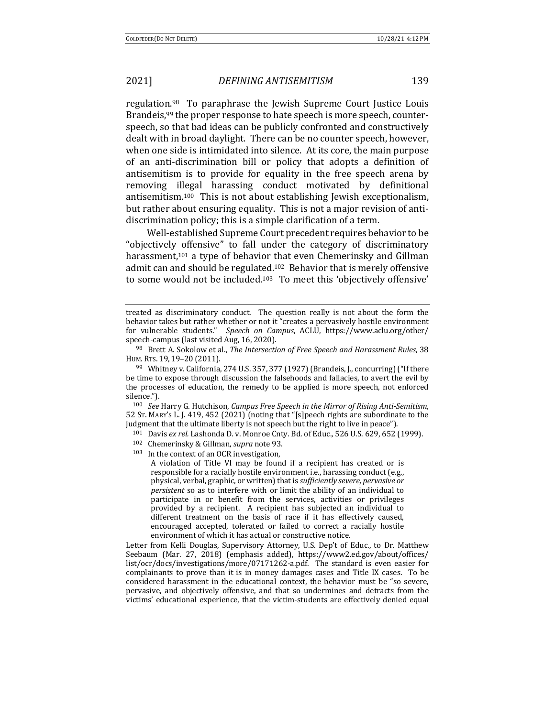regulation.<sup>98</sup> To paraphrase the Jewish Supreme Court Justice Louis Brandeis,<sup>99</sup> the proper response to hate speech is more speech, counterspeech, so that bad ideas can be publicly confronted and constructively dealt with in broad daylight. There can be no counter speech, however, when one side is intimidated into silence. At its core, the main purpose of an anti-discrimination bill or policy that adopts a definition of antisemitism is to provide for equality in the free speech arena by removing illegal harassing conduct motivated by definitional antisemitism.<sup>100</sup> This is not about establishing Jewish exceptionalism, but rather about ensuring equality. This is not a major revision of antidiscrimination policy; this is a simple clarification of a term.

Well-established Supreme Court precedent requires behavior to be "objectively offensive" to fall under the category of discriminatory harassment,<sup>101</sup> a type of behavior that even Chemerinsky and Gillman admit can and should be regulated.<sup>102</sup> Behavior that is merely offensive to some would not be included.<sup>103</sup> To meet this 'objectively offensive'

100 *See* Harry G. Hutchison, *Campus Free Speech in the Mirror of Rising Anti-Semitism*, 52 ST. MARY's L. J. 419, 452 (2021) (noting that "[s]peech rights are subordinate to the judgment that the ultimate liberty is not speech but the right to live in peace").

- 101 Davis ex rel. Lashonda D. v. Monroe Cnty. Bd. of Educ., 526 U.S. 629, 652 (1999).
- 102 Chemerinsky & Gillman, *supra* note 93.
- $103$  In the context of an OCR investigation,

A violation of Title VI may be found if a recipient has created or is responsible for a racially hostile environment i.e., harassing conduct (e.g., physical, verbal, graphic, or written) that is *sufficiently severe, pervasive or persistent* so as to interfere with or limit the ability of an individual to participate in or benefit from the services, activities or privileges provided by a recipient. A recipient has subjected an individual to different treatment on the basis of race if it has effectively caused, encouraged accepted, tolerated or failed to correct a racially hostile environment of which it has actual or constructive notice.

Letter from Kelli Douglas, Supervisory Attorney, U.S. Dep't of Educ., to Dr. Matthew Seebaum (Mar. 27, 2018) (emphasis added), https://www2.ed.gov/about/offices/ list/ocr/docs/investigations/more/07171262-a.pdf. The standard is even easier for complainants to prove than it is in money damages cases and Title IX cases. To be considered harassment in the educational context, the behavior must be "so severe, pervasive, and objectively offensive, and that so undermines and detracts from the victims' educational experience, that the victim-students are effectively denied equal

treated as discriminatory conduct. The question really is not about the form the behavior takes but rather whether or not it "creates a pervasively hostile environment for vulnerable students." Speech on Campus, ACLU, https://www.aclu.org/other/ speech-campus (last visited Aug, 16, 2020).

<sup>98</sup> Brett A. Sokolow et al., *The Intersection of Free Speech and Harassment Rules*, 38 HUM. RTS. 19, 19–20 (2011). 

<sup>99</sup> Whitney v. California, 274 U.S. 357, 377 (1927) (Brandeis, J., concurring) ("If there be time to expose through discussion the falsehoods and fallacies, to avert the evil by the processes of education, the remedy to be applied is more speech, not enforced silence.").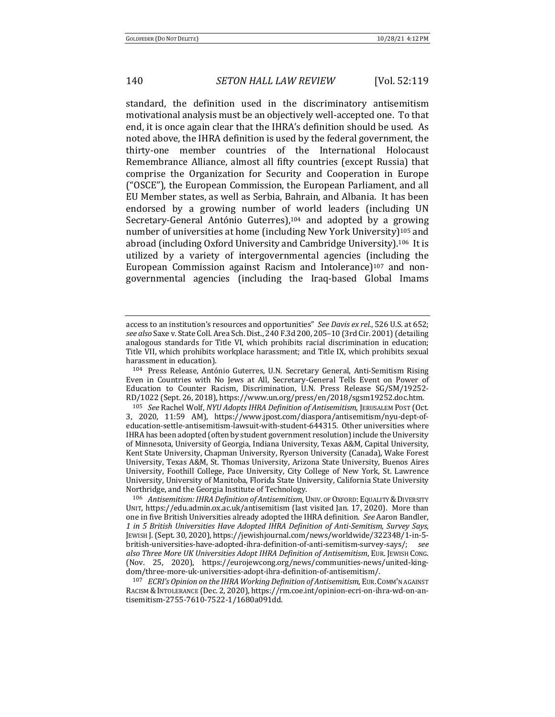standard, the definition used in the discriminatory antisemitism motivational analysis must be an objectively well-accepted one. To that end, it is once again clear that the IHRA's definition should be used. As noted above, the IHRA definition is used by the federal government, the thirty-one member countries of the International Holocaust Remembrance Alliance, almost all fifty countries (except Russia) that comprise the Organization for Security and Cooperation in Europe ("OSCE"), the European Commission, the European Parliament, and all EU Member states, as well as Serbia, Bahrain, and Albania. It has been endorsed by a growing number of world leaders (including UN Secretary-General António Guterres), $104$  and adopted by a growing number of universities at home (including New York University)<sup>105</sup> and abroad (including Oxford University and Cambridge University).<sup>106</sup> It is utilized by a variety of intergovernmental agencies (including the European Commission against Racism and Intolerance)<sup>107</sup> and nongovernmental agencies (including the Iraq-based Global Imams 

access to an institution's resources and opportunities" *See Davis ex rel.*, 526 U.S. at 652; *see also* Saxe v. State Coll. Area Sch. Dist., 240 F.3d 200, 205–10 (3rd Cir. 2001) (detailing analogous standards for Title VI, which prohibits racial discrimination in education; Title VII, which prohibits workplace harassment; and Title IX, which prohibits sexual harassment in education).

 $104$  Press Release, António Guterres, U.N. Secretary General, Anti-Semitism Rising Even in Countries with No Jews at All, Secretary-General Tells Event on Power of Education to Counter Racism, Discrimination, U.N. Press Release SG/SM/19252-RD/1022 (Sept. 26, 2018), https://www.un.org/press/en/2018/sgsm19252.doc.htm. 

<sup>105</sup> *See* Rachel Wolf, *NYU Adopts IHRA Definition of Antisemitism*, JERUSALEM POST (Oct. 3, 2020, 11:59 AM), https://www.jpost.com/diaspora/antisemitism/nyu-dept-ofeducation-settle-antisemitism-lawsuit-with-student-644315. Other universities where IHRA has been adopted (often by student government resolution) include the University of Minnesota, University of Georgia, Indiana University, Texas A&M, Capital University, Kent State University, Chapman University, Ryerson University (Canada), Wake Forest University, Texas A&M, St. Thomas University, Arizona State University, Buenos Aires University, Foothill College, Pace University, City College of New York, St. Lawrence University, University of Manitoba, Florida State University, California State University Northridge, and the Georgia Institute of Technology.

<sup>106</sup> *Antisemitism: IHRA Definition of Antisemitism*, UNIV. OF OXFORD: EQUALITY & DIVERSITY UNIT, https://edu.admin.ox.ac.uk/antisemitism (last visited Jan. 17, 2020). More than one in five British Universities already adopted the IHRA definition. See Aaron Bandler, *1 in 5 British Universities Have Adopted IHRA Definition of Anti-Semitism, Survey Says*, JEWISH J.(Sept. 30, 2020), https://jewishjournal.com/news/worldwide/322348/1-in-5 british-universities-have-adopted-ihra-definition-of-anti-semitism-survey-says/; *see*  also Three More UK Universities Adopt IHRA Definition of Antisemitism, EUR. JEWISH CONG. (Nov. 25, 2020), https://eurojewcong.org/news/communities-news/united-kingdom/three-more-uk-universities-adopt-ihra-definition-of-antisemitism/.

<sup>107</sup> *ECRI's Opinion on the IHRA Working Definition of Antisemitism*, EUR. COMM'N AGAINST RACISM & INTOLERANCE (Dec. 2, 2020), https://rm.coe.int/opinion-ecri-on-ihra-wd-on-antisemitism-2755-7610-7522-1/1680a091dd.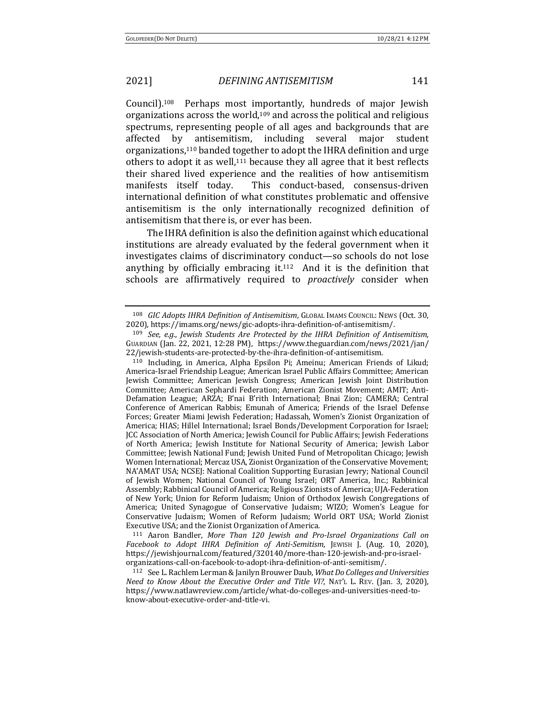Council).<sup>108</sup> Perhaps most importantly, hundreds of major Jewish organizations across the world, $109$  and across the political and religious spectrums, representing people of all ages and backgrounds that are affected by antisemitism, including several major student organizations,<sup>110</sup> banded together to adopt the IHRA definition and urge others to adopt it as well, $111$  because they all agree that it best reflects their shared lived experience and the realities of how antisemitism manifests itself today. This conduct-based, consensus-driven international definition of what constitutes problematic and offensive antisemitism is the only internationally recognized definition of antisemitism that there is, or ever has been.

The IHRA definition is also the definition against which educational institutions are already evaluated by the federal government when it investigates claims of discriminatory conduct—so schools do not lose anything by officially embracing it. $112$  And it is the definition that schools are affirmatively required to *proactively* consider when

110 Including, in America, Alpha Epsilon Pi; Ameinu; American Friends of Likud; America-Israel Friendship League; American Israel Public Affairs Committee; American Jewish Committee; American Jewish Congress; American Jewish Joint Distribution Committee; American Sephardi Federation; American Zionist Movement; AMIT; Anti-Defamation League; ARZA; B'nai B'rith International; Bnai Zion; CAMERA; Central Conference of American Rabbis; Emunah of America; Friends of the Israel Defense Forces; Greater Miami Jewish Federation; Hadassah, Women's Zionist Organization of America; HIAS; Hillel International; Israel Bonds/Development Corporation for Israel; JCC Association of North America; Jewish Council for Public Affairs; Jewish Federations of North America; Jewish Institute for National Security of America; Jewish Labor Committee; Jewish National Fund; Jewish United Fund of Metropolitan Chicago; Jewish Women International; Mercaz USA, Zionist Organization of the Conservative Movement; NA'AMAT USA; NCSEJ: National Coalition Supporting Eurasian Jewry; National Council of Jewish Women; National Council of Young Israel; ORT America, Inc.; Rabbinical Assembly; Rabbinical Council of America; Religious Zionists of America; UJA-Federation of New York; Union for Reform Judaism; Union of Orthodox Jewish Congregations of America; United Synagogue of Conservative Judaism; WIZO; Women's League for Conservative Judaism; Women of Reform Judaism; World ORT USA; World Zionist Executive USA; and the Zionist Organization of America.

<sup>111</sup> Aaron Bandler, *More Than 120 Jewish and Pro-Israel Organizations Call on Facebook to Adopt IHRA Definition of Anti-Semitism*, JEWISH J. (Aug. 10, 2020), https://jewishjournal.com/featured/320140/more-than-120-jewish-and-pro-israelorganizations-call-on-facebook-to-adopt-ihra-definition-of-anti-semitism/.

<sup>&</sup>lt;sup>108</sup> *GIC Adopts IHRA Definition of Antisemitism*, GLOBAL IMAMS COUNCIL: NEWS (Oct. 30, 2020), https://imams.org/news/gic-adopts-ihra-definition-of-antisemitism/.

<sup>&</sup>lt;sup>109</sup> *See, e.g., Jewish Students Are Protected by the IHRA Definition of Antisemitism,* GUARDIAN (Jan. 22, 2021, 12:28 PM), https://www.theguardian.com/news/2021/jan/ 22/jewish-students-are-protected-by-the-ihra-definition-of-antisemitism.

<sup>112</sup> See L. Rachlem Lerman & Janilyn Brouwer Daub, *What Do Colleges and Universities Need to Know About the Executive Order and Title VI?*, NAT'L L. REV. (Jan. 3, 2020), https://www.natlawreview.com/article/what-do-colleges-and-universities-need-toknow-about-executive-order-and-title-vi.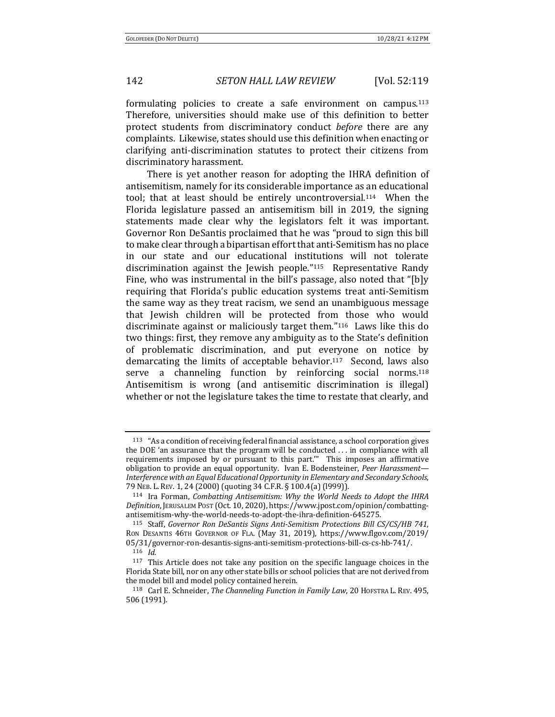formulating policies to create a safe environment on campus.<sup>113</sup> Therefore, universities should make use of this definition to better protect students from discriminatory conduct *before* there are any complaints. Likewise, states should use this definition when enacting or clarifying anti-discrimination statutes to protect their citizens from discriminatory harassment.

There is yet another reason for adopting the IHRA definition of antisemitism, namely for its considerable importance as an educational tool; that at least should be entirely uncontroversial.<sup>114</sup> When the Florida legislature passed an antisemitism bill in 2019, the signing statements made clear why the legislators felt it was important. Governor Ron DeSantis proclaimed that he was "proud to sign this bill to make clear through a bipartisan effort that anti-Semitism has no place in our state and our educational institutions will not tolerate discrimination against the Jewish people." $115$  Representative Randy Fine, who was instrumental in the bill's passage, also noted that "[b]y requiring that Florida's public education systems treat anti-Semitism the same way as they treat racism, we send an unambiguous message that Jewish children will be protected from those who would discriminate against or maliciously target them." $116$  Laws like this do two things: first, they remove any ambiguity as to the State's definition of problematic discrimination, and put everyone on notice by demarcating the limits of acceptable behavior.<sup>117</sup> Second, laws also serve a channeling function by reinforcing social norms.<sup>118</sup> Antisemitism is wrong (and antisemitic discrimination is illegal) whether or not the legislature takes the time to restate that clearly, and

 $113$  "As a condition of receiving federal financial assistance, a school corporation gives the DOE 'an assurance that the program will be conducted  $\dots$  in compliance with all requirements imposed by or pursuant to this part." This imposes an affirmative obligation to provide an equal opportunity. Ivan E. Bodensteiner, *Peer Harassment*— *Interference with an Equal Educational Opportunity in Elementary and Secondary Schools,* 79 NEB. L. REV. 1, 24 (2000) (quoting 34 C.F.R. § 100.4(a) (1999)).

<sup>&</sup>lt;sup>114</sup> Ira Forman, *Combatting Antisemitism: Why the World Needs to Adopt the IHRA* Definition, JERUSALEM POST (Oct. 10, 2020), https://www.jpost.com/opinion/combattingantisemitism-why-the-world-needs-to-adopt-the-ihra-definition-645275. 

<sup>115</sup> Staff, Governor Ron DeSantis Signs Anti-Semitism Protections Bill CS/CS/HB 741, RON DESANTIS 46TH GOVERNOR OF FLA. (May 31, 2019), https://www.flgov.com/2019/ 05/31/governor-ron-desantis-signs-anti-semitism-protections-bill-cs-cs-hb-741/. 

<sup>116</sup> *Id.*

 $117$  This Article does not take any position on the specific language choices in the Florida State bill, nor on any other state bills or school policies that are not derived from the model bill and model policy contained herein.

<sup>&</sup>lt;sup>118</sup> Carl E. Schneider, *The Channeling Function in Family Law*, 20 HOFSTRA L. REV. 495, 506 (1991).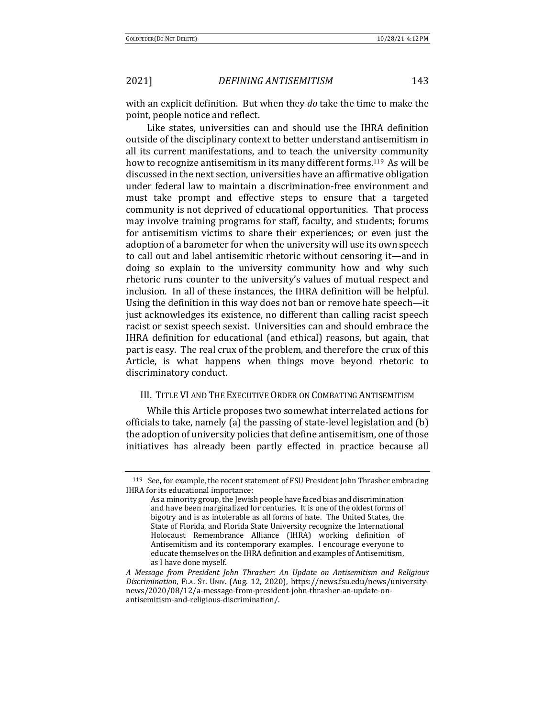with an explicit definition. But when they *do* take the time to make the point, people notice and reflect.

Like states, universities can and should use the IHRA definition outside of the disciplinary context to better understand antisemitism in all its current manifestations, and to teach the university community how to recognize antisemitism in its many different forms.<sup>119</sup> As will be discussed in the next section, universities have an affirmative obligation under federal law to maintain a discrimination-free environment and must take prompt and effective steps to ensure that a targeted community is not deprived of educational opportunities. That process may involve training programs for staff, faculty, and students; forums for antisemitism victims to share their experiences; or even just the adoption of a barometer for when the university will use its own speech to call out and label antisemitic rhetoric without censoring it—and in doing so explain to the university community how and why such rhetoric runs counter to the university's values of mutual respect and inclusion. In all of these instances, the IHRA definition will be helpful. Using the definition in this way does not ban or remove hate speech—it just acknowledges its existence, no different than calling racist speech racist or sexist speech sexist. Universities can and should embrace the IHRA definition for educational (and ethical) reasons, but again, that part is easy. The real crux of the problem, and therefore the crux of this Article, is what happens when things move beyond rhetoric to discriminatory conduct.

### III. TITLE VI AND THE EXECUTIVE ORDER ON COMBATING ANTISEMITISM

While this Article proposes two somewhat interrelated actions for officials to take, namely (a) the passing of state-level legislation and  $(b)$ the adoption of university policies that define antisemitism, one of those initiatives has already been partly effected in practice because all

 $119$  See, for example, the recent statement of FSU President John Thrasher embracing IHRA for its educational importance:

As a minority group, the Jewish people have faced bias and discrimination and have been marginalized for centuries. It is one of the oldest forms of bigotry and is as intolerable as all forms of hate. The United States, the State of Florida, and Florida State University recognize the International Holocaust Remembrance Alliance (IHRA) working definition of Antisemitism and its contemporary examples. I encourage everyone to educate themselves on the IHRA definition and examples of Antisemitism, as I have done myself.

*A Message from President John Thrasher: An Update on Antisemitism and Religious Discrimination*, FLA. ST. UNIV. (Aug. 12, 2020), https://news.fsu.edu/news/universitynews/2020/08/12/a-message-from-president-john-thrasher-an-update-onantisemitism-and-religious-discrimination/.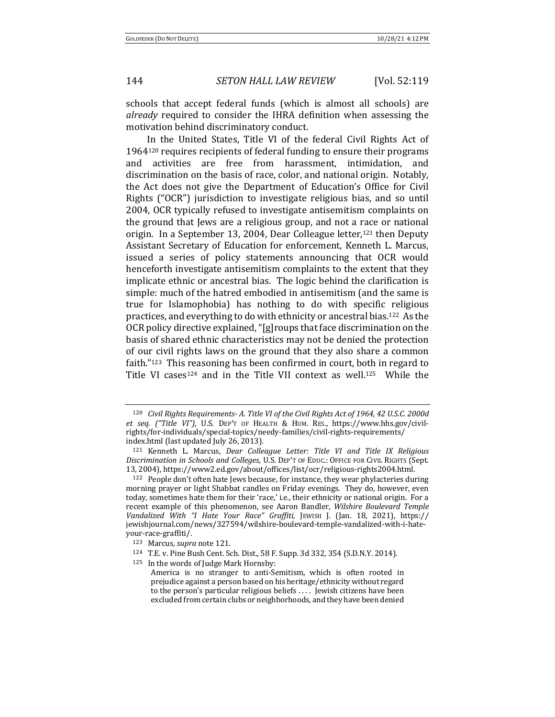schools that accept federal funds (which is almost all schools) are already required to consider the IHRA definition when assessing the motivation behind discriminatory conduct.

In the United States, Title VI of the federal Civil Rights Act of  $1964^{120}$  requires recipients of federal funding to ensure their programs and activities are free from harassment, intimidation, and discrimination on the basis of race, color, and national origin. Notably, the Act does not give the Department of Education's Office for Civil Rights  $("OCR")$  jurisdiction to investigate religious bias, and so until 2004, OCR typically refused to investigate antisemitism complaints on the ground that lews are a religious group, and not a race or national origin. In a September 13, 2004, Dear Colleague letter,<sup>121</sup> then Deputy Assistant Secretary of Education for enforcement, Kenneth L. Marcus, issued a series of policy statements announcing that OCR would henceforth investigate antisemitism complaints to the extent that they implicate ethnic or ancestral bias. The logic behind the clarification is simple: much of the hatred embodied in antisemitism (and the same is true for Islamophobia) has nothing to do with specific religious practices, and everything to do with ethnicity or ancestral bias.<sup>122</sup> As the OCR policy directive explained, "[g]roups that face discrimination on the basis of shared ethnic characteristics may not be denied the protection of our civil rights laws on the ground that they also share a common faith." $123$  This reasoning has been confirmed in court, both in regard to Title VI cases<sup>124</sup> and in the Title VII context as well.<sup>125</sup> While the

<sup>&</sup>lt;sup>120</sup> *Civil Rights Requirements-A. Title VI of the Civil Rights Act of 1964, 42 U.S.C. 2000d et seq. ("Title VI")*, U.S. DEP'T OF HEALTH & HUM. RES., https://www.hhs.gov/civilrights/for-individuals/special-topics/needy-families/civil-rights-requirements/ index.html (last updated July 26, 2013).

<sup>&</sup>lt;sup>121</sup> Kenneth L. Marcus, *Dear Colleague Letter: Title VI and Title IX Religious* Discrimination in Schools and Colleges, U.S. DEP'T OF EDUC.: OFFICE FOR CIVIL RIGHTS (Sept. 13, 2004), https://www2.ed.gov/about/offices/list/ocr/religious-rights2004.html.

 $122$  People don't often hate Jews because, for instance, they wear phylacteries during morning prayer or light Shabbat candles on Friday evenings. They do, however, even today, sometimes hate them for their 'race,' i.e., their ethnicity or national origin. For a recent example of this phenomenon, see Aaron Bandler, *Wilshire Boulevard Temple Vandalized With "I Hate Your Race" Graffiti,*  JEWISH J. (Jan. 18, 2021), https:// jewishjournal.com/news/327594/wilshire-boulevard-temple-vandalized-with-i-hateyour-race-graffiti/. 

<sup>123</sup> Marcus, *supra* note 121.

<sup>124</sup> T.E. v. Pine Bush Cent. Sch. Dist., 58 F. Supp. 3d 332, 354 (S.D.N.Y. 2014).

<sup>125</sup> In the words of Judge Mark Hornsby: America is no stranger to anti-Semitism, which is often rooted in prejudice against a person based on his heritage/ethnicity without regard to the person's particular religious beliefs  $\dots$  Jewish citizens have been excluded from certain clubs or neighborhoods, and they have been denied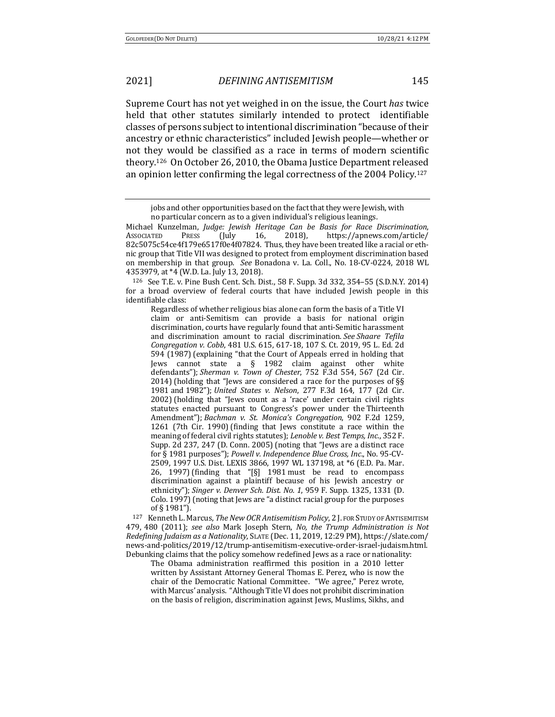Supreme Court has not yet weighed in on the issue, the Court has twice held that other statutes similarly intended to protect identifiable classes of persons subject to intentional discrimination "because of their ancestry or ethnic characteristics" included Jewish people—whether or not they would be classified as a race in terms of modern scientific theory.<sup>126</sup> On October 26, 2010, the Obama Justice Department released an opinion letter confirming the legal correctness of the 2004 Policy.<sup>127</sup>

 $126$  See T.E. v. Pine Bush Cent. Sch. Dist., 58 F. Supp. 3d 332, 354–55 (S.D.N.Y. 2014) for a broad overview of federal courts that have included Jewish people in this identifiable class:

127 Kenneth L. Marcus, *The New OCR Antisemitism Policy*, 2 J. FOR STUDY OF ANTISEMITISM 479, 480 (2011); see also Mark Joseph Stern, *No, the Trump Administration* is Not *Redefining Judaism as a Nationality*, SLATE (Dec. 11, 2019, 12:29 PM), https://slate.com/ news-and-politics/2019/12/trump-antisemitism-executive-order-israel-judaism.html. Debunking claims that the policy somehow redefined Jews as a race or nationality:

The Obama administration reaffirmed this position in a 2010 letter written by Assistant Attorney General Thomas E. Perez, who is now the chair of the Democratic National Committee. "We agree," Perez wrote, with Marcus' analysis. "Although Title VI does not prohibit discrimination on the basis of religion, discrimination against Jews, Muslims, Sikhs, and

jobs and other opportunities based on the fact that they were Jewish, with no particular concern as to a given individual's religious leanings.

Michael Kunzelman, *Judge: Jewish Heritage Can be Basis for Race Discrimination*, ASSOCIATED PRESS (July 16, 2018), https://apnews.com/article/ 82c5075c54ce4f179e6517f0e4f07824. Thus, they have been treated like a racial or ethnic group that Title VII was designed to protect from employment discrimination based on membership in that group. See Bonadona v. La. Coll., No. 18-CV-0224, 2018 WL 4353979, at \*4 (W.D. La. July 13, 2018).

Regardless of whether religious bias alone can form the basis of a Title VI claim or anti-Semitism can provide a basis for national origin discrimination, courts have regularly found that anti-Semitic harassment and discrimination amount to racial discrimination. *See Shaare Tefila Congregation v. Cobb*, 481 U.S. 615, 617-18, 107 S. Ct. 2019, 95 L. Ed. 2d 594 (1987) (explaining "that the Court of Appeals erred in holding that Jews cannot state a  $\S$  1982 claim against other white defendants"); *Sherman v. Town of Chester*, 752 F.3d 554, 567 (2d Cir. 2014) (holding that "Jews are considered a race for the purposes of  $\S$ § 1981 and 1982"); *United States v. Nelson*, 277 F.3d 164, 177 (2d Cir. 2002) (holding that "Jews count as a 'race' under certain civil rights statutes enacted pursuant to Congress's power under the Thirteenth Amendment"); *Bachman v. St. Monica's Congregation*, 902 F.2d 1259, 1261 (7th Cir. 1990) (finding that Jews constitute a race within the meaning of federal civil rights statutes); *Lenoble v. Best Temps, Inc*., 352 F. Supp. 2d 237, 247 (D. Conn. 2005) (noting that "Jews are a distinct race for § 1981 purposes"); *Powell v. Independence Blue Cross, Inc*., No. 95-CV-2509, 1997 U.S. Dist. LEXIS 3866, 1997 WL 137198, at \*6 (E.D. Pa. Mar. 26, 1997) (finding that " $[\S]$  1981 must be read to encompass discrimination against a plaintiff because of his Jewish ancestry or ethnicity"); *Singer v. Denver Sch. Dist. No. 1*, 959 F. Supp. 1325, 1331 (D. Colo. 1997) (noting that Jews are "a distinct racial group for the purposes of § 1981").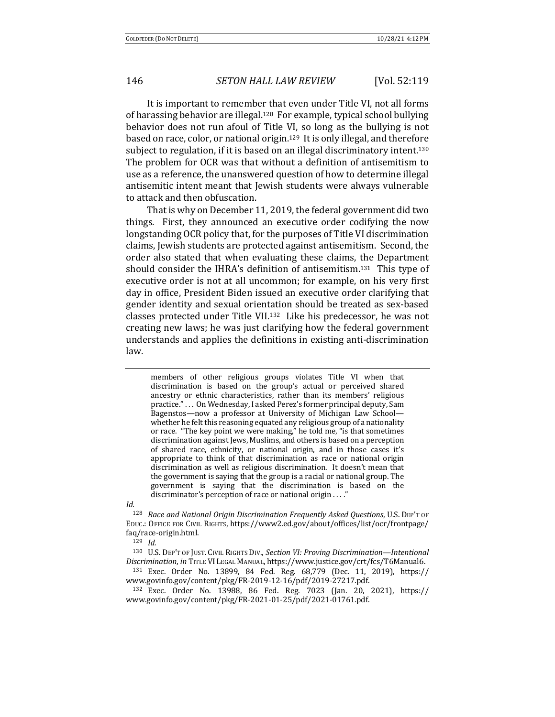It is important to remember that even under Title VI, not all forms of harassing behavior are illegal.<sup>128</sup> For example, typical school bullying behavior does not run afoul of Title VI, so long as the bullying is not based on race, color, or national origin.<sup>129</sup> It is only illegal, and therefore subject to regulation, if it is based on an illegal discriminatory intent.<sup>130</sup> The problem for OCR was that without a definition of antisemitism to use as a reference, the unanswered question of how to determine illegal antisemitic intent meant that Jewish students were always vulnerable to attack and then obfuscation.

That is why on December 11, 2019, the federal government did two things. First, they announced an executive order codifying the now longstanding OCR policy that, for the purposes of Title VI discrimination claims, Jewish students are protected against antisemitism. Second, the order also stated that when evaluating these claims, the Department should consider the IHRA's definition of antisemitism.<sup>131</sup> This type of executive order is not at all uncommon; for example, on his very first day in office, President Biden issued an executive order clarifying that gender identity and sexual orientation should be treated as sex-based classes protected under Title VII.<sup>132</sup> Like his predecessor, he was not creating new laws; he was just clarifying how the federal government understands and applies the definitions in existing anti-discrimination law. 

members of other religious groups violates Title VI when that discrimination is based on the group's actual or perceived shared ancestry or ethnic characteristics, rather than its members' religious practice." . . . On Wednesday, I asked Perez's former principal deputy, Sam Bagenstos—now a professor at University of Michigan Law School whether he felt this reasoning equated any religious group of a nationality or race. "The key point we were making," he told me, "is that sometimes discrimination against Jews, Muslims, and others is based on a perception of shared race, ethnicity, or national origin, and in those cases it's appropriate to think of that discrimination as race or national origin discrimination as well as religious discrimination. It doesn't mean that the government is saying that the group is a racial or national group. The government is saying that the discrimination is based on the discriminator's perception of race or national origin ...."

*Id.* 

<sup>128</sup> *Race and National Origin Discrimination Frequently Asked Questions*, U.S. DEP'T OF EDUC.: OFFICE FOR CIVIL RIGHTS, https://www2.ed.gov/about/offices/list/ocr/frontpage/ faq/race-origin.html.

<sup>129</sup> *Id.*

<sup>130</sup> U.S. DEP'T OF JUST. CIVIL RIGHTS DIV., Section VI: Proving Discrimination—Intentional Discrimination, in TITLE VI LEGAL MANUAL, https://www.justice.gov/crt/fcs/T6Manual6. <sup>131</sup> Exec. Order No. 13899, 84 Fed. Reg. 68,779 (Dec. 11, 2019), https://

www.govinfo.gov/content/pkg/FR-2019-12-16/pdf/2019-27217.pdf. 

<sup>132</sup> Exec. Order No. 13988, 86 Fed. Reg. 7023 (Jan. 20, 2021), https:// www.govinfo.gov/content/pkg/FR-2021-01-25/pdf/2021-01761.pdf.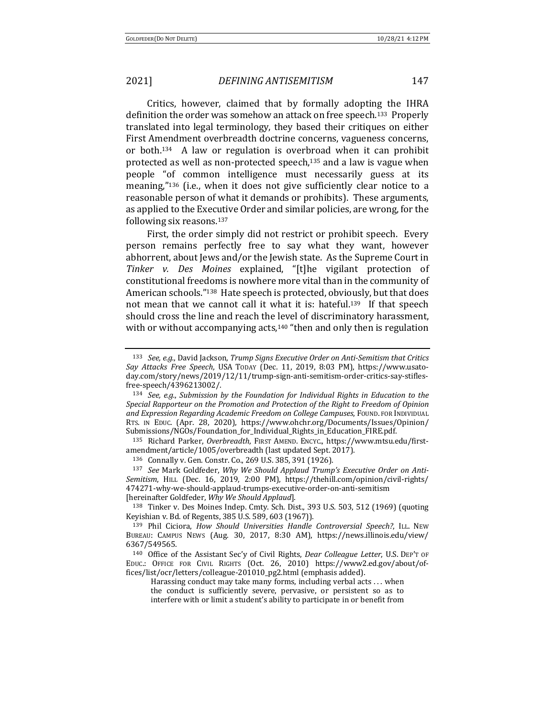Critics, however, claimed that by formally adopting the IHRA definition the order was somehow an attack on free speech.<sup>133</sup> Properly translated into legal terminology, they based their critiques on either First Amendment overbreadth doctrine concerns, vagueness concerns, or both.<sup>134</sup> A law or regulation is overbroad when it can prohibit protected as well as non-protected speech,<sup>135</sup> and a law is vague when people "of common intelligence must necessarily guess at its meaning,"136 (i.e., when it does not give sufficiently clear notice to a reasonable person of what it demands or prohibits). These arguments, as applied to the Executive Order and similar policies, are wrong, for the following six reasons. $137$ 

First, the order simply did not restrict or prohibit speech. Every person remains perfectly free to say what they want, however abhorrent, about Jews and/or the Jewish state. As the Supreme Court in Tinker v. Des Moines explained, "[t]he vigilant protection of constitutional freedoms is nowhere more vital than in the community of American schools."<sup>138</sup> Hate speech is protected, obviously, but that does not mean that we cannot call it what it is: hateful.<sup>139</sup> If that speech should cross the line and reach the level of discriminatory harassment, with or without accompanying  $acts<sub>140</sub>$  "then and only then is regulation

135 Richard Parker, Overbreadth, FIRST AMEND. ENCYC., https://www.mtsu.edu/firstamendment/article/1005/overbreadth (last updated Sept. 2017).

136 Connally v. Gen. Constr. Co., 269 U.S. 385, 391 (1926).

<sup>137</sup> See Mark Goldfeder, Why We Should Applaud Trump's Executive Order on Anti-Semitism, HILL (Dec. 16, 2019, 2:00 PM), https://thehill.com/opinion/civil-rights/ 474271-why-we-should-applaud-trumps-executive-order-on-anti-semitism [hereinafter Goldfeder, *Why We Should Applaud*].

<sup>138</sup> Tinker v. Des Moines Indep. Cmty. Sch. Dist., 393 U.S. 503, 512 (1969) (quoting Keyishian v. Bd. of Regents, 385 U.S. 589, 603 (1967)).

<sup>139</sup> Phil Ciciora, *How Should Universities Handle Controversial Speech?*, ILL. NEW BUREAU: CAMPUS NEWS (Aug. 30, 2017, 8:30 AM), https://news.illinois.edu/view/ 6367/549565.

140 Office of the Assistant Sec'y of Civil Rights, *Dear Colleague Letter*, U.S. DEP'T OF EDUC.: OFFICE FOR CIVIL RIGHTS (Oct. 26, 2010) https://www2.ed.gov/about/offices/list/ocr/letters/colleague-201010\_pg2.html (emphasis added).

Harassing conduct may take many forms, including verbal acts ... when the conduct is sufficiently severe, pervasive, or persistent so as to interfere with or limit a student's ability to participate in or benefit from

<sup>&</sup>lt;sup>133</sup> *See, e.g.*, David Jackson, *Trump Signs Executive Order on Anti-Semitism that Critics Say Attacks Free Speech*, USA TODAY (Dec. 11, 2019, 8:03 PM), https://www.usatoday.com/story/news/2019/12/11/trump-sign-anti-semitism-order-critics-say-stiflesfree-speech/4396213002/.

<sup>134</sup> *See, e.g., Submission by the Foundation for Individual Rights in Education to the* Special Rapporteur on the Promotion and Protection of the Right to Freedom of Opinion and Expression Regarding Academic Freedom on College Campuses, FOUND. FOR INDIVIDUAL RTS. IN EDUC. (Apr. 28, 2020), https://www.ohchr.org/Documents/Issues/Opinion/ Submissions/NGOs/Foundation\_for\_Individual\_Rights\_in\_Education\_FIRE.pdf.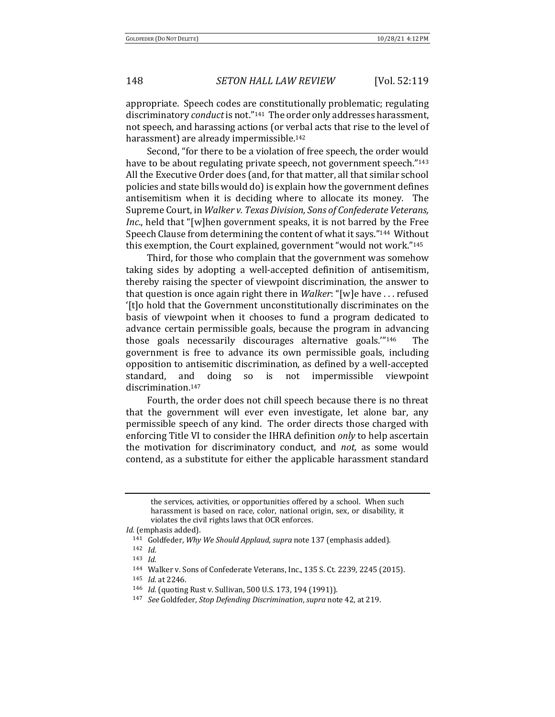appropriate. Speech codes are constitutionally problematic; regulating discriminatory *conduct* is not."<sup>141</sup> The order only addresses harassment, not speech, and harassing actions (or verbal acts that rise to the level of harassment) are already impermissible.<sup>142</sup>

Second, "for there to be a violation of free speech, the order would have to be about regulating private speech, not government speech."<sup>143</sup> All the Executive Order does (and, for that matter, all that similar school policies and state bills would do) is explain how the government defines antisemitism when it is deciding where to allocate its money. The Supreme Court, in *Walker v. Texas Division, Sons of Confederate Veterans, Inc.*, held that "[w]hen government speaks, it is not barred by the Free Speech Clause from determining the content of what it says."<sup>144</sup> Without this exemption, the Court explained, government "would not work." $145$ 

Third, for those who complain that the government was somehow taking sides by adopting a well-accepted definition of antisemitism, thereby raising the specter of viewpoint discrimination, the answer to that question is once again right there in *Walker*: "[w]e have ... refused '[t]o hold that the Government unconstitutionally discriminates on the basis of viewpoint when it chooses to fund a program dedicated to advance certain permissible goals, because the program in advancing those goals necessarily discourages alternative goals. $1446$  The government is free to advance its own permissible goals, including opposition to antisemitic discrimination, as defined by a well-accepted standard, and doing so is not impermissible viewpoint discrimination.147

Fourth, the order does not chill speech because there is no threat that the government will ever even investigate, let alone bar, any permissible speech of any kind. The order directs those charged with enforcing Title VI to consider the IHRA definition *only* to help ascertain the motivation for discriminatory conduct, and *not*, as some would contend, as a substitute for either the applicable harassment standard

the services, activities, or opportunities offered by a school. When such harassment is based on race, color, national origin, sex, or disability, it violates the civil rights laws that OCR enforces.

*Id.* (emphasis added).

<sup>141</sup> Goldfeder, *Why We Should Applaud*, *supra* note 137 (emphasis added).

<sup>142</sup> *Id.*

<sup>143</sup> *Id.*

<sup>144</sup> Walker v. Sons of Confederate Veterans, Inc., 135 S. Ct. 2239, 2245 (2015).

<sup>145</sup> *Id.* at 2246.

<sup>&</sup>lt;sup>146</sup> *Id.* (quoting Rust v. Sullivan, 500 U.S. 173, 194 (1991)).

<sup>147</sup> *See* Goldfeder, *Stop Defending Discrimination*, *supra* note 42, at 219.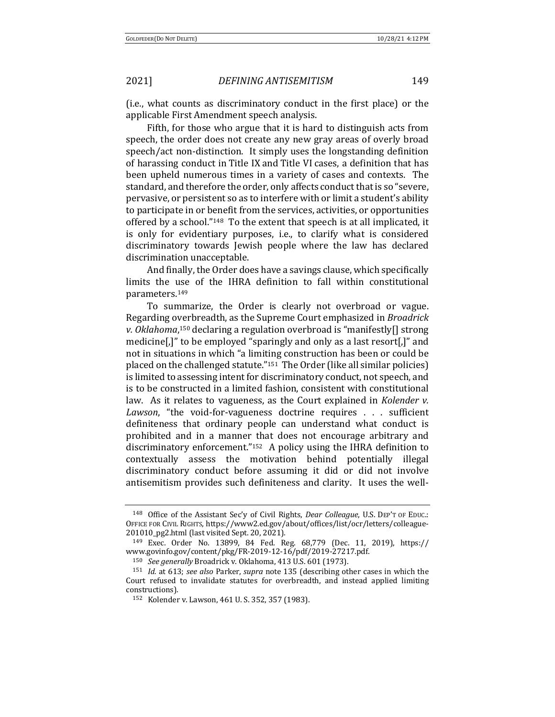(i.e., what counts as discriminatory conduct in the first place) or the applicable First Amendment speech analysis.

Fifth, for those who argue that it is hard to distinguish acts from speech, the order does not create any new gray areas of overly broad speech/act non-distinction. It simply uses the longstanding definition of harassing conduct in Title IX and Title VI cases, a definition that has been upheld numerous times in a variety of cases and contexts. The standard, and therefore the order, only affects conduct that is so "severe, pervasive, or persistent so as to interfere with or limit a student's ability to participate in or benefit from the services, activities, or opportunities offered by a school."<sup>148</sup> To the extent that speech is at all implicated, it is only for evidentiary purposes, i.e., to clarify what is considered discriminatory towards Jewish people where the law has declared discrimination unacceptable.

And finally, the Order does have a savings clause, which specifically limits the use of the IHRA definition to fall within constitutional parameters.149 

To summarize, the Order is clearly not overbroad or vague. Regarding overbreadth, as the Supreme Court emphasized in *Broadrick* v. Oklahoma,<sup>150</sup> declaring a regulation overbroad is "manifestly[] strong medicine[,]" to be employed "sparingly and only as a last resort[,]" and not in situations in which "a limiting construction has been or could be placed on the challenged statute."<sup>151</sup> The Order (like all similar policies) is limited to assessing intent for discriminatory conduct, not speech, and is to be constructed in a limited fashion, consistent with constitutional law. As it relates to vagueness, as the Court explained in *Kolender v.* Lawson, "the void-for-vagueness doctrine requires . . . sufficient definiteness that ordinary people can understand what conduct is prohibited and in a manner that does not encourage arbitrary and discriminatory enforcement."<sup>152</sup> A policy using the IHRA definition to contextually assess the motivation behind potentially illegal discriminatory conduct before assuming it did or did not involve antisemitism provides such definiteness and clarity. It uses the well-

<sup>148</sup> Office of the Assistant Sec'y of Civil Rights, *Dear Colleague*, U.S. DEP'T OF EDUC.: OFFICE FOR CIVIL RIGHTS, https://www2.ed.gov/about/offices/list/ocr/letters/colleague-201010\_pg2.html (last visited Sept. 20, 2021).

<sup>149</sup> Exec. Order No. 13899, 84 Fed. Reg. 68,779 (Dec. 11, 2019), https:// www.govinfo.gov/content/pkg/FR-2019-12-16/pdf/2019-27217.pdf. 

<sup>&</sup>lt;sup>150</sup> *See generally* Broadrick v. Oklahoma, 413 U.S. 601 (1973).

<sup>&</sup>lt;sup>151</sup> *Id.* at 613; *see also* Parker, *supra* note 135 (describing other cases in which the Court refused to invalidate statutes for overbreadth, and instead applied limiting constructions).

<sup>152</sup> Kolender v. Lawson, 461 U. S. 352, 357 (1983).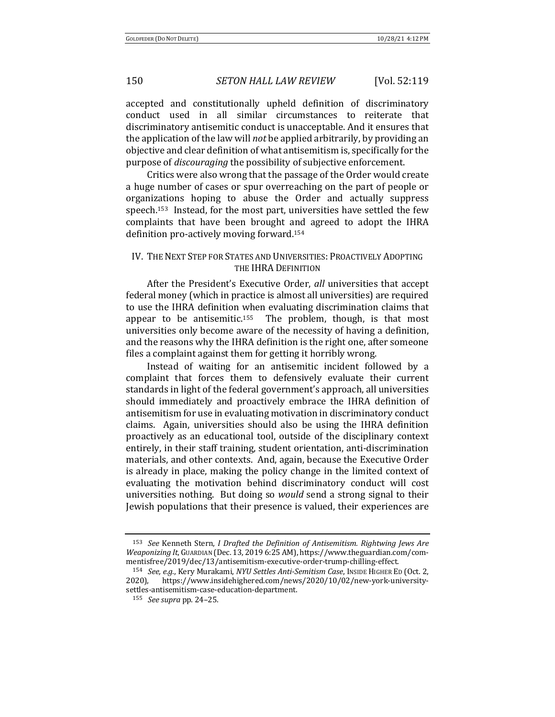accepted and constitutionally upheld definition of discriminatory conduct used in all similar circumstances to reiterate that discriminatory antisemitic conduct is unacceptable. And it ensures that the application of the law will *not* be applied arbitrarily, by providing an objective and clear definition of what antisemitism is, specifically for the purpose of *discouraging* the possibility of subjective enforcement.

Critics were also wrong that the passage of the Order would create a huge number of cases or spur overreaching on the part of people or organizations hoping to abuse the Order and actually suppress speech.<sup>153</sup> Instead, for the most part, universities have settled the few complaints that have been brought and agreed to adopt the IHRA definition pro-actively moving forward.<sup>154</sup>

## IV. THE NEXT STEP FOR STATES AND UNIVERSITIES: PROACTIVELY ADOPTING THE IHRA DEFINITION

After the President's Executive Order, *all* universities that accept federal money (which in practice is almost all universities) are required to use the IHRA definition when evaluating discrimination claims that appear to be antisemitic.<sup>155</sup> The problem, though, is that most universities only become aware of the necessity of having a definition, and the reasons why the IHRA definition is the right one, after someone files a complaint against them for getting it horribly wrong.

Instead of waiting for an antisemitic incident followed by a complaint that forces them to defensively evaluate their current standards in light of the federal government's approach, all universities should immediately and proactively embrace the IHRA definition of antisemitism for use in evaluating motivation in discriminatory conduct claims. Again, universities should also be using the IHRA definition proactively as an educational tool, outside of the disciplinary context entirely, in their staff training, student orientation, anti-discrimination materials, and other contexts. And, again, because the Executive Order is already in place, making the policy change in the limited context of evaluating the motivation behind discriminatory conduct will cost universities nothing. But doing so *would* send a strong signal to their Jewish populations that their presence is valued, their experiences are

<sup>&</sup>lt;sup>153</sup> See Kenneth Stern, *I Drafted the Definition of Antisemitism. Rightwing Jews Are Weaponizing It, GUARDIAN* (Dec. 13, 2019 6:25 AM), https://www.theguardian.com/commentisfree/2019/dec/13/antisemitism-executive-order-trump-chilling-effect.

<sup>154</sup> *See, e.g.*, Kery Murakami, *NYU Settles Anti-Semitism Case*, INSIDE HIGHER ED (Oct. 2, 2020), https://www.insidehighered.com/news/2020/10/02/new-york-universitysettles-antisemitism-case-education-department.

<sup>155</sup> *See supra* pp. 24–25.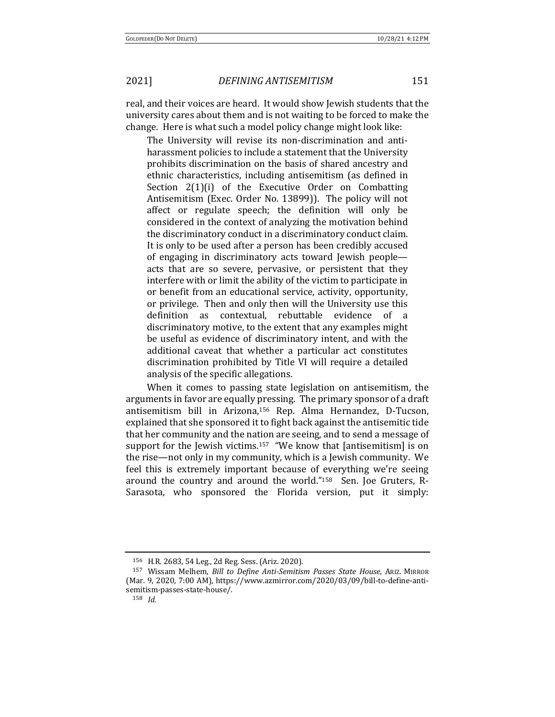real, and their voices are heard. It would show Jewish students that the university cares about them and is not waiting to be forced to make the change. Here is what such a model policy change might look like:

The University will revise its non-discrimination and antiharassment policies to include a statement that the University prohibits discrimination on the basis of shared ancestry and ethnic characteristics, including antisemitism (as defined in Section  $2(1)(i)$  of the Executive Order on Combatting Antisemitism (Exec. Order No. 13899)). The policy will not affect or regulate speech; the definition will only be considered in the context of analyzing the motivation behind the discriminatory conduct in a discriminatory conduct claim. It is only to be used after a person has been credibly accused of engaging in discriminatory acts toward Jewish people acts that are so severe, pervasive, or persistent that they interfere with or limit the ability of the victim to participate in or benefit from an educational service, activity, opportunity, or privilege. Then and only then will the University use this definition as contextual, rebuttable evidence of a discriminatory motive, to the extent that any examples might be useful as evidence of discriminatory intent, and with the additional caveat that whether a particular act constitutes discrimination prohibited by Title VI will require a detailed analysis of the specific allegations.

When it comes to passing state legislation on antisemitism, the arguments in favor are equally pressing. The primary sponsor of a draft antisemitism bill in Arizona,<sup>156</sup> Rep. Alma Hernandez, D-Tucson, explained that she sponsored it to fight back against the antisemitic tide that her community and the nation are seeing, and to send a message of support for the Jewish victims.<sup>157</sup> "We know that [antisemitism] is on the rise—not only in my community, which is a Jewish community. We feel this is extremely important because of everything we're seeing around the country and around the world." $158$  Sen. Joe Gruters, R-Sarasota, who sponsored the Florida version, put it simply:

<sup>156</sup> H.R. 2683, 54 Leg., 2d Reg. Sess. (Ariz. 2020).

<sup>157</sup> Wissam Melhem, *Bill to Define Anti-Semitism Passes State House*, ARIZ. MIRROR (Mar. 9, 2020, 7:00 AM), https://www.azmirror.com/2020/03/09/bill-to-define-antisemitism-passes-state-house/.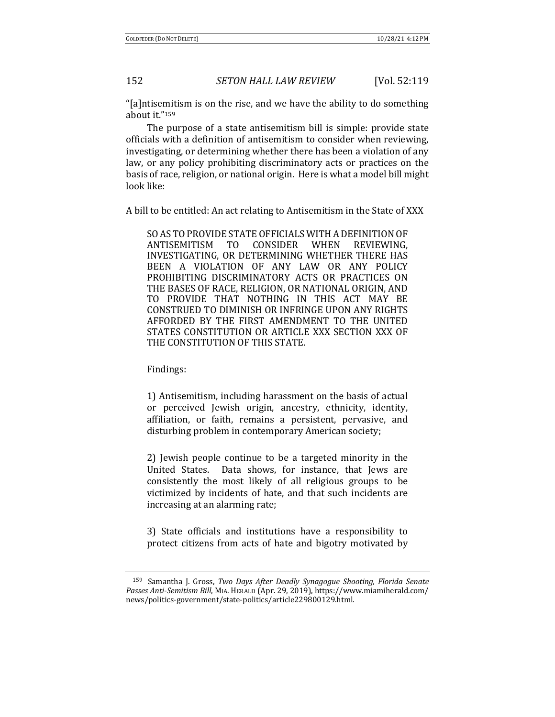"[a]ntisemitism is on the rise, and we have the ability to do something about it."159

The purpose of a state antisemitism bill is simple: provide state officials with a definition of antisemitism to consider when reviewing, investigating, or determining whether there has been a violation of any law, or any policy prohibiting discriminatory acts or practices on the basis of race, religion, or national origin. Here is what a model bill might look like:

A bill to be entitled: An act relating to Antisemitism in the State of XXX

SO AS TO PROVIDE STATE OFFICIALS WITH A DEFINITION OF ANTISEMITISM TO CONSIDER WHEN REVIEWING, INVESTIGATING, OR DETERMINING WHETHER THERE HAS BEEN A VIOLATION OF ANY LAW OR ANY POLICY PROHIBITING DISCRIMINATORY ACTS OR PRACTICES ON THE BASES OF RACE, RELIGION, OR NATIONAL ORIGIN, AND TO PROVIDE THAT NOTHING IN THIS ACT MAY BE CONSTRUED TO DIMINISH OR INFRINGE UPON ANY RIGHTS AFFORDED BY THE FIRST AMENDMENT TO THE UNITED STATES CONSTITUTION OR ARTICLE XXX SECTION XXX OF THE CONSTITUTION OF THIS STATE.

Findings:

1) Antisemitism, including harassment on the basis of actual or perceived Jewish origin, ancestry, ethnicity, identity, affiliation, or faith, remains a persistent, pervasive, and disturbing problem in contemporary American society;

2) Jewish people continue to be a targeted minority in the United States. Data shows, for instance, that Jews are consistently the most likely of all religious groups to be victimized by incidents of hate, and that such incidents are increasing at an alarming rate;

3) State officials and institutions have a responsibility to protect citizens from acts of hate and bigotry motivated by

<sup>&</sup>lt;sup>159</sup> Samantha J. Gross, *Two Days After Deadly Synagogue Shooting, Florida Senate* Passes Anti-Semitism Bill, MIA. HERALD (Apr. 29, 2019), https://www.miamiherald.com/ news/politics-government/state-politics/article229800129.html.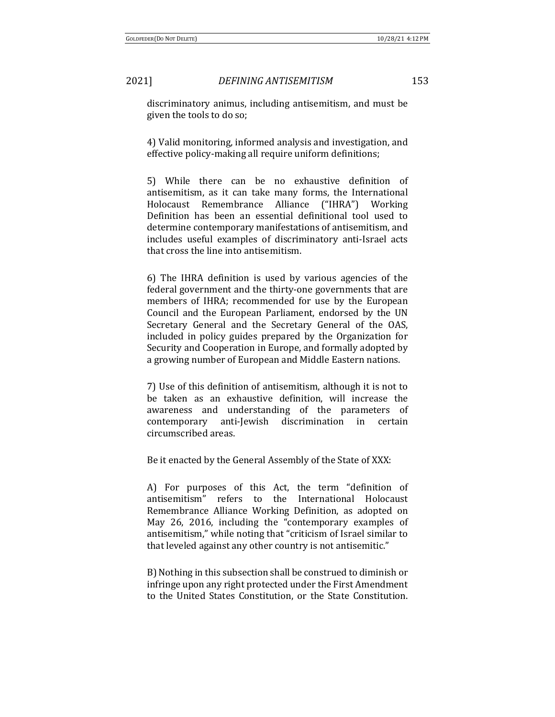discriminatory animus, including antisemitism, and must be given the tools to do so;

4) Valid monitoring, informed analysis and investigation, and effective policy-making all require uniform definitions;

5) While there can be no exhaustive definition of antisemitism, as it can take many forms, the International Holocaust Remembrance Alliance ("IHRA") Working Definition has been an essential definitional tool used to determine contemporary manifestations of antisemitism, and includes useful examples of discriminatory anti-Israel acts that cross the line into antisemitism.

6) The IHRA definition is used by various agencies of the federal government and the thirty-one governments that are members of IHRA; recommended for use by the European Council and the European Parliament, endorsed by the UN Secretary General and the Secretary General of the OAS, included in policy guides prepared by the Organization for Security and Cooperation in Europe, and formally adopted by a growing number of European and Middle Eastern nations.

7) Use of this definition of antisemitism, although it is not to be taken as an exhaustive definition, will increase the awareness and understanding of the parameters of contemporary anti-Jewish discrimination in certain circumscribed areas. 

Be it enacted by the General Assembly of the State of XXX:

A) For purposes of this Act, the term "definition of antisemitism" refers to the International Holocaust Remembrance Alliance Working Definition, as adopted on May 26, 2016, including the "contemporary examples of antisemitism," while noting that "criticism of Israel similar to that leveled against any other country is not antisemitic."

B) Nothing in this subsection shall be construed to diminish or infringe upon any right protected under the First Amendment to the United States Constitution, or the State Constitution.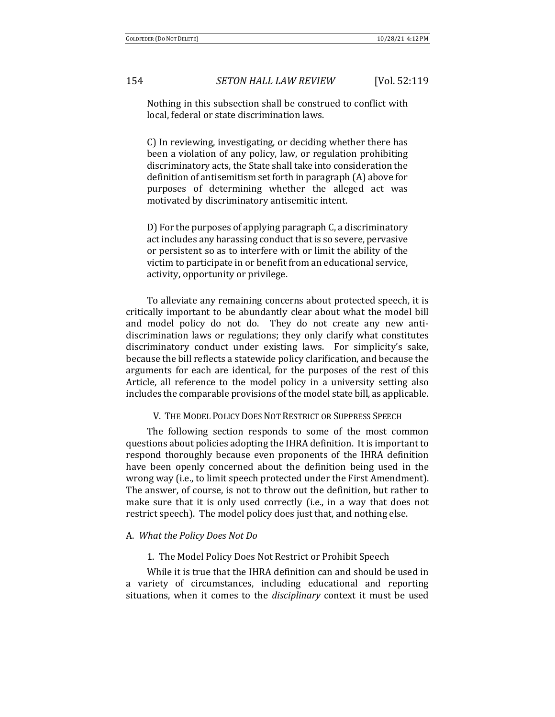Nothing in this subsection shall be construed to conflict with local, federal or state discrimination laws.

C) In reviewing, investigating, or deciding whether there has been a violation of any policy, law, or regulation prohibiting discriminatory acts, the State shall take into consideration the definition of antisemitism set forth in paragraph  $(A)$  above for purposes of determining whether the alleged act was motivated by discriminatory antisemitic intent.

D) For the purposes of applying paragraph C, a discriminatory act includes any harassing conduct that is so severe, pervasive or persistent so as to interfere with or limit the ability of the victim to participate in or benefit from an educational service, activity, opportunity or privilege.

To alleviate any remaining concerns about protected speech, it is critically important to be abundantly clear about what the model bill and model policy do not do. They do not create any new antidiscrimination laws or regulations; they only clarify what constitutes discriminatory conduct under existing laws. For simplicity's sake, because the bill reflects a statewide policy clarification, and because the arguments for each are identical, for the purposes of the rest of this Article, all reference to the model policy in a university setting also includes the comparable provisions of the model state bill, as applicable.

V. THE MODEL POLICY DOES NOT RESTRICT OR SUPPRESS SPEECH

The following section responds to some of the most common questions about policies adopting the IHRA definition. It is important to respond thoroughly because even proponents of the IHRA definition have been openly concerned about the definition being used in the wrong way (i.e., to limit speech protected under the First Amendment). The answer, of course, is not to throw out the definition, but rather to make sure that it is only used correctly (i.e., in a way that does not restrict speech). The model policy does just that, and nothing else.

### A. *What the Policy Does Not Do*

1. The Model Policy Does Not Restrict or Prohibit Speech

While it is true that the IHRA definition can and should be used in a variety of circumstances, including educational and reporting situations, when it comes to the *disciplinary* context it must be used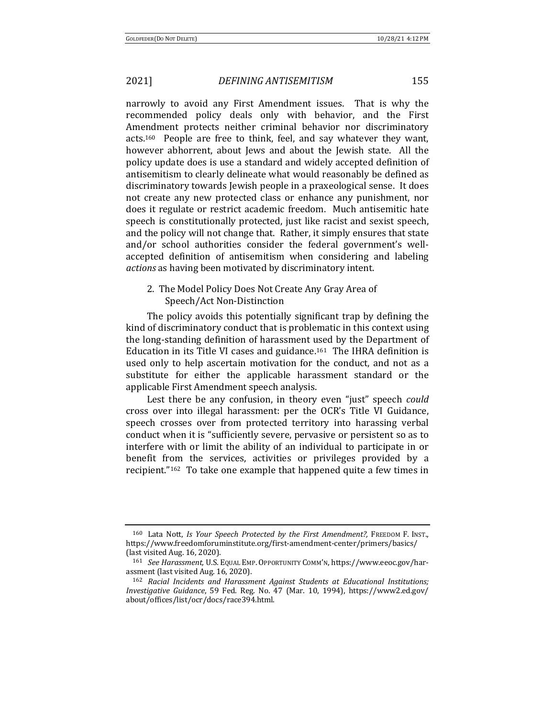narrowly to avoid any First Amendment issues. That is why the recommended policy deals only with behavior, and the First Amendment protects neither criminal behavior nor discriminatory  $acts.<sup>160</sup>$  People are free to think, feel, and say whatever they want, however abhorrent, about Jews and about the Jewish state. All the policy update does is use a standard and widely accepted definition of antisemitism to clearly delineate what would reasonably be defined as discriminatory towards Jewish people in a praxeological sense. It does not create any new protected class or enhance any punishment, nor does it regulate or restrict academic freedom. Much antisemitic hate speech is constitutionally protected, just like racist and sexist speech, and the policy will not change that. Rather, it simply ensures that state and/or school authorities consider the federal government's wellaccepted definition of antisemitism when considering and labeling actions as having been motivated by discriminatory intent.

# 2. The Model Policy Does Not Create Any Gray Area of Speech/Act Non-Distinction

The policy avoids this potentially significant trap by defining the kind of discriminatory conduct that is problematic in this context using the long-standing definition of harassment used by the Department of Education in its Title VI cases and guidance.<sup>161</sup> The IHRA definition is used only to help ascertain motivation for the conduct, and not as a substitute for either the applicable harassment standard or the applicable First Amendment speech analysis.

Lest there be any confusion, in theory even "just" speech *could* cross over into illegal harassment: per the OCR's Title VI Guidance, speech crosses over from protected territory into harassing verbal conduct when it is "sufficiently severe, pervasive or persistent so as to interfere with or limit the ability of an individual to participate in or benefit from the services, activities or privileges provided by a recipient."<sup>162</sup> To take one example that happened quite a few times in

<sup>160</sup> Lata Nott, *Is Your Speech Protected by the First Amendment?*, FREEDOM F. INST., https://www.freedomforuminstitute.org/first-amendment-center/primers/basics/ (last visited Aug. 16, 2020).

<sup>161</sup> *See Harassment, U.S. EQUAL EMP. OPPORTUNITY COMM'N, https://www.eeoc.gov/har*assment (last visited Aug. 16, 2020).

<sup>162</sup> *Racial Incidents and Harassment Against Students at Educational Institutions; Investigative Guidance*, 59 Fed. Reg. No. 47 (Mar. 10, 1994), https://www2.ed.gov/ about/offices/list/ocr/docs/race394.html.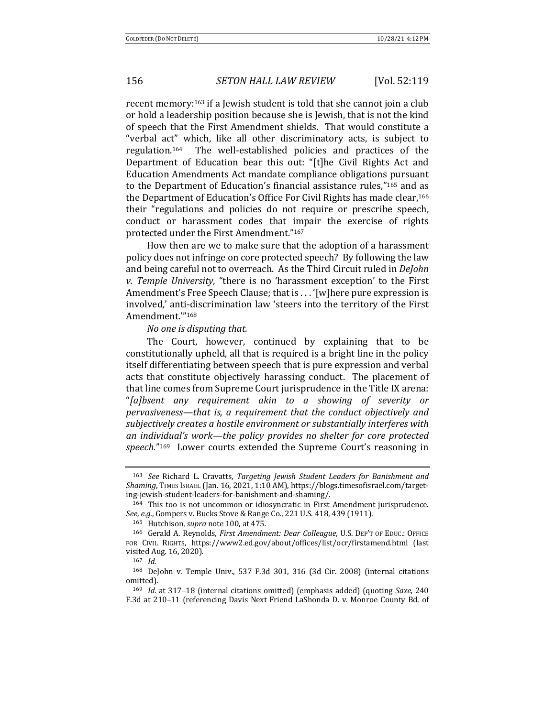recent memory:<sup>163</sup> if a Jewish student is told that she cannot join a club or hold a leadership position because she is Jewish, that is not the kind of speech that the First Amendment shields. That would constitute a "verbal act" which, like all other discriminatory acts, is subject to regulation.<sup>164</sup> The well-established policies and practices of the Department of Education bear this out: "[t]he Civil Rights Act and Education Amendments Act mandate compliance obligations pursuant to the Department of Education's financial assistance rules,"<sup>165</sup> and as the Department of Education's Office For Civil Rights has made clear,<sup>166</sup> their "regulations and policies do not require or prescribe speech, conduct or harassment codes that impair the exercise of rights protected under the First Amendment."167

How then are we to make sure that the adoption of a harassment policy does not infringe on core protected speech? By following the law and being careful not to overreach. As the Third Circuit ruled in *DeJohn v.* Temple University, "there is no 'harassment exception' to the First Amendment's Free Speech Clause; that is  $\dots$  '[w]here pure expression is involved,' anti-discrimination law 'steers into the territory of the First Amendment.'"168

### *No one is disputing that.*

The Court, however, continued by explaining that to be constitutionally upheld, all that is required is a bright line in the policy itself differentiating between speech that is pure expression and verbal acts that constitute objectively harassing conduct. The placement of that line comes from Supreme Court jurisprudence in the Title IX arena: "*[a]bsent any requirement akin to a showing of severity or pervasiveness—that is, a requirement that the conduct objectively and* subjectively creates a hostile environment or substantially interferes with an individual's work—the policy provides no shelter for core protected speech."<sup>169</sup> Lower courts extended the Supreme Court's reasoning in

<sup>163</sup> *See* Richard L. Cravatts, *Targeting Jewish Student Leaders for Banishment and* Shaming, TIMES ISRAEL (Jan. 16, 2021, 1:10 AM), https://blogs.timesofisrael.com/targeting-jewish-student-leaders-for-banishment-and-shaming/.

<sup>164</sup> This too is not uncommon or idiosyncratic in First Amendment jurisprudence. *See, e.g.*, Gompers v. Bucks Stove & Range Co., 221 U.S. 418, 439 (1911).

<sup>165</sup> Hutchison, *supra* note 100, at 475.

<sup>166</sup> Gerald A. Reynolds, *First Amendment: Dear Colleague*, U.S. DEP'T OF EDUC.: OFFICE FOR CIVIL RIGHTS, https://www2.ed.gov/about/offices/list/ocr/firstamend.html (last visited Aug. 16, 2020).

<sup>167</sup> *Id.*

 $168$  DeJohn v. Temple Univ., 537 F.3d 301, 316 (3d Cir. 2008) (internal citations omitted).

<sup>&</sup>lt;sup>169</sup> *Id.* at 317-18 (internal citations omitted) (emphasis added) (quoting *Saxe*, 240 F.3d at 210–11 (referencing Davis Next Friend LaShonda D. v. Monroe County Bd. of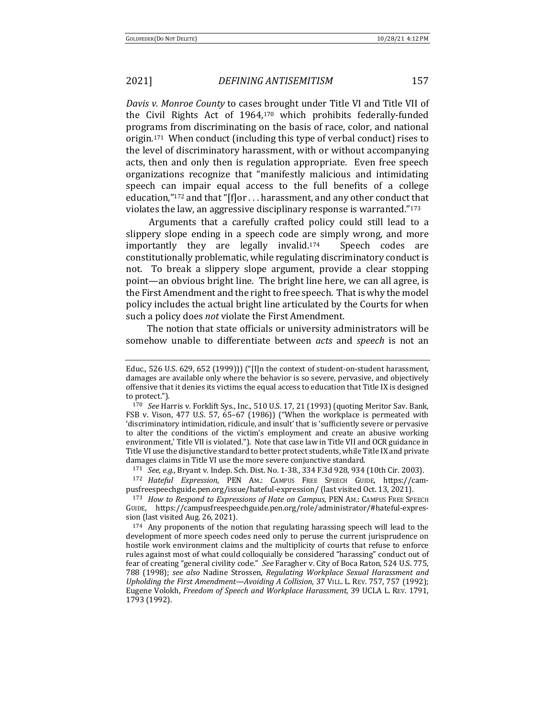*Davis v. Monroe County* to cases brought under Title VI and Title VII of the Civil Rights Act of  $1964,170$  which prohibits federally-funded programs from discriminating on the basis of race, color, and national origin.<sup>171</sup> When conduct (including this type of verbal conduct) rises to the level of discriminatory harassment, with or without accompanying acts, then and only then is regulation appropriate. Even free speech organizations recognize that "manifestly malicious and intimidating speech can impair equal access to the full benefits of a college education," $172$  and that "[f]or ... harassment, and any other conduct that violates the law, an aggressive disciplinary response is warranted." $173$ 

Arguments that a carefully crafted policy could still lead to a slippery slope ending in a speech code are simply wrong, and more importantly they are legally invalid.<sup>174</sup> Speech codes are constitutionally problematic, while regulating discriminatory conduct is not. To break a slippery slope argument, provide a clear stopping point—an obvious bright line. The bright line here, we can all agree, is the First Amendment and the right to free speech. That is why the model policy includes the actual bright line articulated by the Courts for when such a policy does *not* violate the First Amendment.

The notion that state officials or university administrators will be somehow unable to differentiate between *acts* and *speech* is not an

171 *See, e.g.*, Bryant v. Indep. Sch. Dist. No. 1-38., 334 F.3d 928, 934 (10th Cir. 2003).

173 *How to Respond to Expressions of Hate on Campus*, PEN AM.: CAMPUS FREE SPEECH GUIDE, https://campusfreespeechguide.pen.org/role/administrator/#hateful-expression (last visited Aug. 26, 2021).

Educ., 526 U.S. 629, 652 (1999))) ("[I]n the context of student-on-student harassment, damages are available only where the behavior is so severe, pervasive, and objectively offensive that it denies its victims the equal access to education that Title IX is designed to protect.").

<sup>&</sup>lt;sup>170</sup> *See* Harris v. Forklift Sys., Inc., 510 U.S. 17, 21 (1993) (quoting Meritor Sav. Bank, FSB v. Vison, 477 U.S. 57, 65-67 (1986)) ("When the workplace is permeated with 'discriminatory intimidation, ridicule, and insult' that is 'sufficiently severe or pervasive to alter the conditions of the victim's employment and create an abusive working environment,' Title VII is violated."). Note that case law in Title VII and OCR guidance in Title VI use the disjunctive standard to better protect students, while Title IX and private damages claims in Title VI use the more severe conjunctive standard.

<sup>172</sup> *Hateful Expression*, PEN AM.: CAMPUS FREE SPEECH GUIDE, https://campusfreespeechguide.pen.org/issue/hateful-expression/ (last visited Oct. 13, 2021).

 $174$  Any proponents of the notion that regulating harassing speech will lead to the development of more speech codes need only to peruse the current jurisprudence on hostile work environment claims and the multiplicity of courts that refuse to enforce rules against most of what could colloquially be considered "harassing" conduct out of fear of creating "general civility code." See Faragher v. City of Boca Raton, 524 U.S. 775, 788 (1998); *see also* Nadine Strossen, *Regulating Workplace Sexual Harassment and Upholding the First Amendment*—*Avoiding A Collision*, 37 VILL. L. REV. 757, 757 (1992); Eugene Volokh, *Freedom of Speech and Workplace Harassment*, 39 UCLA L. REV. 1791, 1793 (1992).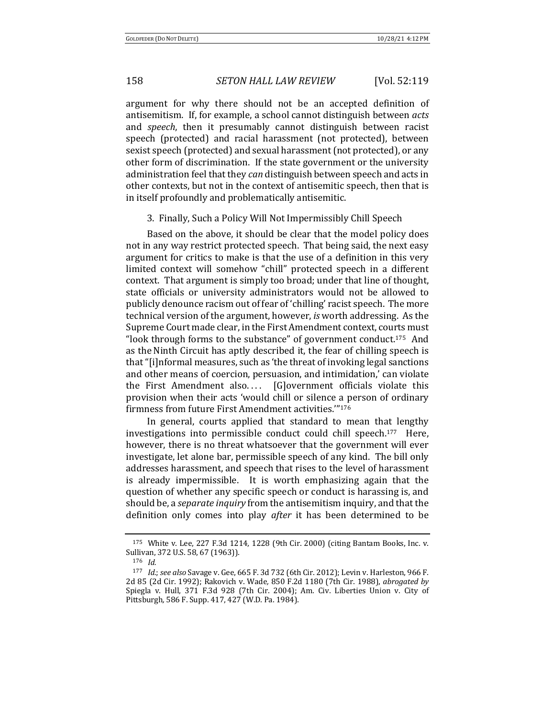argument for why there should not be an accepted definition of antisemitism. If, for example, a school cannot distinguish between *acts* and *speech*, then it presumably cannot distinguish between racist speech (protected) and racial harassment (not protected), between sexist speech (protected) and sexual harassment (not protected), or any other form of discrimination. If the state government or the university administration feel that they *can* distinguish between speech and acts in other contexts, but not in the context of antisemitic speech, then that is in itself profoundly and problematically antisemitic.

3. Finally, Such a Policy Will Not Impermissibly Chill Speech

Based on the above, it should be clear that the model policy does not in any way restrict protected speech. That being said, the next easy argument for critics to make is that the use of a definition in this very limited context will somehow "chill" protected speech in a different context. That argument is simply too broad; under that line of thought, state officials or university administrators would not be allowed to publicly denounce racism out of fear of 'chilling' racist speech. The more technical version of the argument, however, *is* worth addressing. As the Supreme Court made clear, in the First Amendment context, courts must "look through forms to the substance" of government conduct.<sup>175</sup> And as the Ninth Circuit has aptly described it, the fear of chilling speech is that "[i]nformal measures, such as 'the threat of invoking legal sanctions and other means of coercion, persuasion, and intimidation,' can violate the First Amendment also....  $[G] over the *reficials violate this*$ provision when their acts 'would chill or silence a person of ordinary firmness from future First Amendment activities.""176

In general, courts applied that standard to mean that lengthy investigations into permissible conduct could chill speech.<sup>177</sup> Here, however, there is no threat whatsoever that the government will ever investigate, let alone bar, permissible speech of any kind. The bill only addresses harassment, and speech that rises to the level of harassment is already impermissible. It is worth emphasizing again that the question of whether any specific speech or conduct is harassing is, and should be, a *separate inquiry* from the antisemitism inquiry, and that the definition only comes into play *after* it has been determined to be

 $175$  White v. Lee, 227 F.3d 1214, 1228 (9th Cir. 2000) (citing Bantam Books, Inc. v. Sullivan, 372 U.S. 58, 67 (1963)).

<sup>176</sup> *Id.*

<sup>177</sup> *Id.*; see also Savage v. Gee, 665 F. 3d 732 (6th Cir. 2012); Levin v. Harleston, 966 F. 2d 85 (2d Cir. 1992); Rakovich v. Wade*,* 850 F.2d 1180 (7th Cir. 1988), *abrogated by* Spiegla v. Hull, 371 F.3d 928 (7th Cir. 2004); Am. Civ. Liberties Union v. City of Pittsburgh, 586 F. Supp. 417, 427 (W.D. Pa. 1984).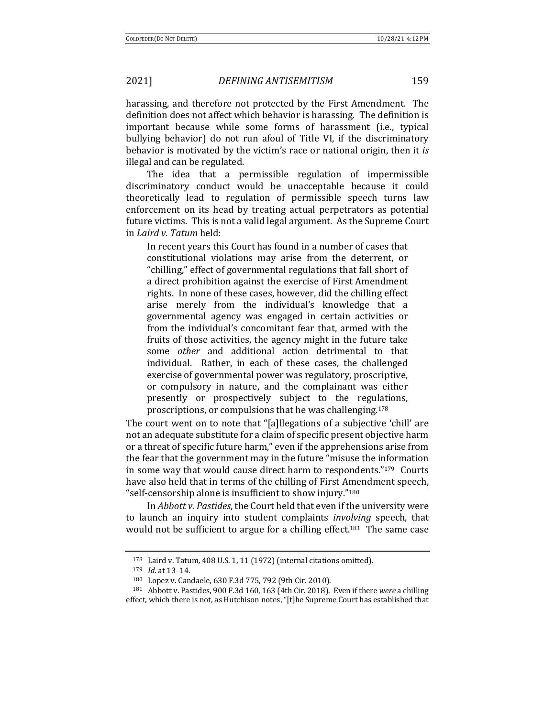harassing, and therefore not protected by the First Amendment. The definition does not affect which behavior is harassing. The definition is important because while some forms of harassment (i.e., typical bullying behavior) do not run afoul of Title VI, if the discriminatory behavior is motivated by the victim's race or national origin, then it *is* illegal and can be regulated.

The idea that a permissible regulation of impermissible discriminatory conduct would be unacceptable because it could theoretically lead to regulation of permissible speech turns law enforcement on its head by treating actual perpetrators as potential future victims. This is not a valid legal argument. As the Supreme Court in *Laird v. Tatum* held:

In recent years this Court has found in a number of cases that constitutional violations may arise from the deterrent, or "chilling," effect of governmental regulations that fall short of a direct prohibition against the exercise of First Amendment rights. In none of these cases, however, did the chilling effect arise merely from the individual's knowledge that a governmental agency was engaged in certain activities or from the individual's concomitant fear that, armed with the fruits of those activities, the agency might in the future take some *other* and additional action detrimental to that individual. Rather, in each of these cases, the challenged exercise of governmental power was regulatory, proscriptive, or compulsory in nature, and the complainant was either presently or prospectively subject to the regulations, proscriptions, or compulsions that he was challenging.<sup>178</sup>

The court went on to note that "[a]llegations of a subjective 'chill' are not an adequate substitute for a claim of specific present objective harm or a threat of specific future harm," even if the apprehensions arise from the fear that the government may in the future "misuse the information in some way that would cause direct harm to respondents." $179$  Courts have also held that in terms of the chilling of First Amendment speech, "self-censorship alone is insufficient to show injury."<sup>180</sup>

In *Abbott v. Pastides*, the Court held that even if the university were to launch an inquiry into student complaints *involving* speech, that would not be sufficient to argue for a chilling effect.<sup>181</sup> The same case

<sup>&</sup>lt;sup>178</sup> Laird v. Tatum, 408 U.S. 1, 11 (1972) (internal citations omitted).

<sup>179</sup> *Id.* at 13-14.

<sup>180</sup> Lopez v. Candaele, 630 F.3d 775, 792 (9th Cir. 2010).

<sup>&</sup>lt;sup>181</sup> Abbott v. Pastides, 900 F.3d 160, 163 (4th Cir. 2018). Even if there *were* a chilling effect, which there is not, as Hutchison notes, "[t]he Supreme Court has established that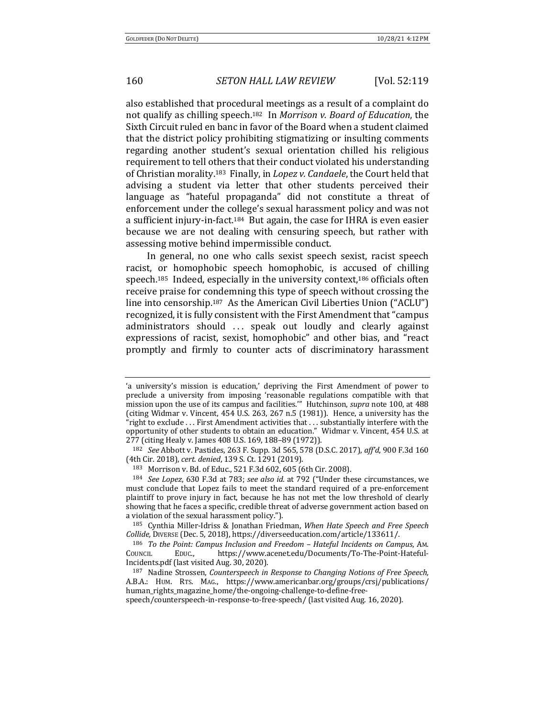also established that procedural meetings as a result of a complaint do not qualify as chilling speech.<sup>182</sup> In *Morrison v. Board of Education*, the Sixth Circuit ruled en banc in favor of the Board when a student claimed that the district policy prohibiting stigmatizing or insulting comments regarding another student's sexual orientation chilled his religious requirement to tell others that their conduct violated his understanding of Christian morality.<sup>183</sup> Finally, in *Lopez v. Candaele*, the Court held that advising a student via letter that other students perceived their language as "hateful propaganda" did not constitute a threat of enforcement under the college's sexual harassment policy and was not a sufficient injury-in-fact.<sup>184</sup> But again, the case for IHRA is even easier because we are not dealing with censuring speech, but rather with assessing motive behind impermissible conduct.

In general, no one who calls sexist speech sexist, racist speech racist, or homophobic speech homophobic, is accused of chilling speech.<sup>185</sup> Indeed, especially in the university context,<sup>186</sup> officials often receive praise for condemning this type of speech without crossing the line into censorship.<sup>187</sup> As the American Civil Liberties Union  $(^\text{``ACLU''})$ recognized, it is fully consistent with the First Amendment that "campus" administrators should ... speak out loudly and clearly against expressions of racist, sexist, homophobic" and other bias, and "react promptly and firmly to counter acts of discriminatory harassment

<sup>&#</sup>x27;a university's mission is education,' depriving the First Amendment of power to preclude a university from imposing 'reasonable regulations compatible with that mission upon the use of its campus and facilities.<sup>""</sup> Hutchinson, *supra* note 100, at 488 (citing Widmar v. Vincent, 454 U.S. 263, 267 n.5 (1981)). Hence, a university has the "right to exclude ... First Amendment activities that ... substantially interfere with the opportunity of other students to obtain an education." Widmar v. Vincent, 454 U.S. at 277 (citing Healy v. James 408 U.S. 169, 188-89 (1972)).

<sup>&</sup>lt;sup>182</sup> *See* Abbott v. Pastides, 263 F. Supp. 3d 565, 578 (D.S.C. 2017), aff'd, 900 F.3d 160 (4th Cir. 2018), cert. denied, 139 S. Ct. 1291 (2019).

<sup>183</sup> Morrison v. Bd. of Educ., 521 F.3d 602, 605 (6th Cir. 2008).

<sup>&</sup>lt;sup>184</sup> *See Lopez*, 630 F.3d at 783; *see also id.* at 792 ("Under these circumstances, we must conclude that Lopez fails to meet the standard required of a pre-enforcement plaintiff to prove injury in fact, because he has not met the low threshold of clearly showing that he faces a specific, credible threat of adverse government action based on a violation of the sexual harassment policy.").

<sup>185</sup> Cynthia Miller-Idriss & Jonathan Friedman, *When Hate Speech and Free Speech Collide,* DIVERSE (Dec. 5, 2018), https://diverseeducation.com/article/133611/.

<sup>186</sup> *To the Point: Campus Inclusion and Freedom – Hateful Incidents on Campus, AM.* COUNCIL EDUC., https://www.acenet.edu/Documents/To-The-Point-Hateful-Incidents.pdf (last visited Aug. 30, 2020).

<sup>&</sup>lt;sup>187</sup> Nadine Strossen, *Counterspeech in Response to Changing Notions of Free Speech,* A.B.A.: HUM. RTS. MAG., https://www.americanbar.org/groups/crsj/publications/ human\_rights\_magazine\_home/the-ongoing-challenge-to-define-freespeech/counterspeech-in-response-to-free-speech/ (last visited Aug. 16, 2020).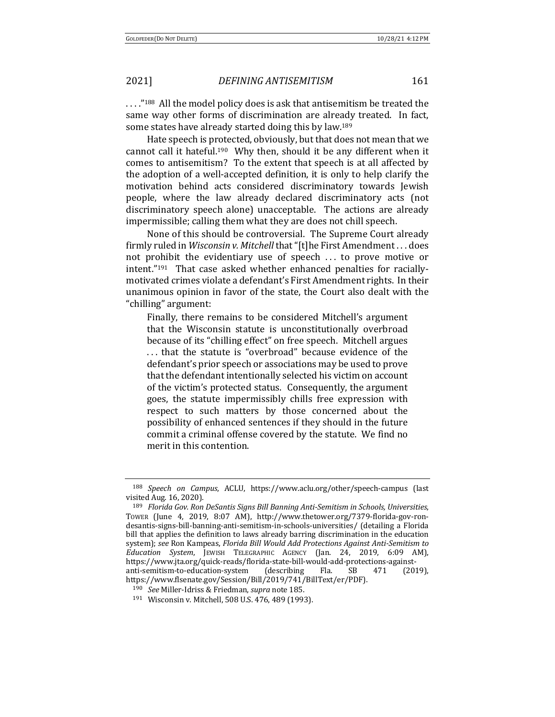...."<sup>188</sup> All the model policy does is ask that antisemitism be treated the same way other forms of discrimination are already treated. In fact, some states have already started doing this by law.<sup>189</sup>

Hate speech is protected, obviously, but that does not mean that we cannot call it hateful.<sup>190</sup> Why then, should it be any different when it comes to antisemitism? To the extent that speech is at all affected by the adoption of a well-accepted definition, it is only to help clarify the motivation behind acts considered discriminatory towards Jewish people, where the law already declared discriminatory acts (not discriminatory speech alone) unacceptable. The actions are already impermissible; calling them what they are does not chill speech.

None of this should be controversial. The Supreme Court already firmly ruled in *Wisconsin v. Mitchell* that "[t]he First Amendment . . . does not prohibit the evidentiary use of speech  $\dots$  to prove motive or intent."<sup>191</sup> That case asked whether enhanced penalties for raciallymotivated crimes violate a defendant's First Amendment rights. In their unanimous opinion in favor of the state, the Court also dealt with the "chilling" argument:

Finally, there remains to be considered Mitchell's argument that the Wisconsin statute is unconstitutionally overbroad because of its "chilling effect" on free speech. Mitchell argues ... that the statute is "overbroad" because evidence of the defendant's prior speech or associations may be used to prove that the defendant intentionally selected his victim on account of the victim's protected status. Consequently, the argument goes, the statute impermissibly chills free expression with respect to such matters by those concerned about the possibility of enhanced sentences if they should in the future commit a criminal offense covered by the statute. We find no merit in this contention.

<sup>&</sup>lt;sup>188</sup> Speech on Campus, ACLU, https://www.aclu.org/other/speech-campus (last visited Aug. 16, 2020).

<sup>&</sup>lt;sup>189</sup> Florida Gov. Ron DeSantis Signs Bill Banning Anti-Semitism in Schools, Universities, Tower (June 4, 2019, 8:07 AM), http://www.thetower.org/7379-florida-gov-rondesantis-signs-bill-banning-anti-semitism-in-schools-universities/ (detailing a Florida bill that applies the definition to laws already barring discrimination in the education system); see Ron Kampeas, *Florida Bill Would Add Protections Against Anti-Semitism to Education System*, JEWISH TELEGRAPHIC AGENCY (Jan. 24, 2019, 6:09 AM), https://www.jta.org/quick-reads/florida-state-bill-would-add-protections-againstanti-semitism-to-education-system (describing Fla. SB 471 (2019), https://www.flsenate.gov/Session/Bill/2019/741/BillText/er/PDF).

<sup>190</sup> *See* Miller-Idriss & Friedman, *supra* note 185.

<sup>191</sup> Wisconsin v. Mitchell, 508 U.S. 476, 489 (1993).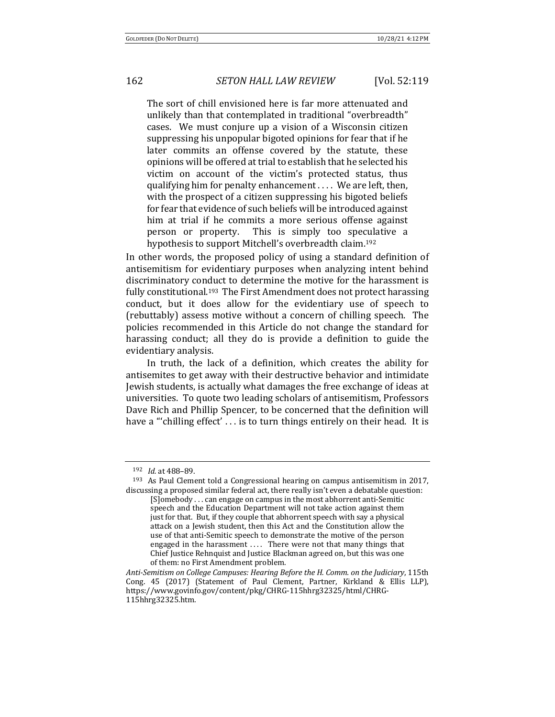The sort of chill envisioned here is far more attenuated and unlikely than that contemplated in traditional "overbreadth" cases. We must conjure up a vision of a Wisconsin citizen suppressing his unpopular bigoted opinions for fear that if he later commits an offense covered by the statute, these opinions will be offered at trial to establish that he selected his victim on account of the victim's protected status, thus qualifying him for penalty enhancement  $\dots$  We are left, then, with the prospect of a citizen suppressing his bigoted beliefs for fear that evidence of such beliefs will be introduced against him at trial if he commits a more serious offense against person or property. This is simply too speculative a hypothesis to support Mitchell's overbreadth claim.<sup>192</sup>

In other words, the proposed policy of using a standard definition of antisemitism for evidentiary purposes when analyzing intent behind discriminatory conduct to determine the motive for the harassment is fully constitutional.<sup>193</sup> The First Amendment does not protect harassing conduct, but it does allow for the evidentiary use of speech to (rebuttably) assess motive without a concern of chilling speech. The policies recommended in this Article do not change the standard for harassing conduct; all they do is provide a definition to guide the evidentiary analysis.

In truth, the lack of a definition, which creates the ability for antisemites to get away with their destructive behavior and intimidate Jewish students, is actually what damages the free exchange of ideas at universities. To quote two leading scholars of antisemitism, Professors Dave Rich and Phillip Spencer, to be concerned that the definition will have a "'chilling effect'... is to turn things entirely on their head. It is

<sup>192</sup> *Id.* at 488–89. 

 $193$  As Paul Clement told a Congressional hearing on campus antisemitism in 2017, discussing a proposed similar federal act, there really isn't even a debatable question: [S]omebody . . . can engage on campus in the most abhorrent anti-Semitic speech and the Education Department will not take action against them just for that. But, if they couple that abhorrent speech with say a physical attack on a Jewish student, then this Act and the Constitution allow the use of that anti-Semitic speech to demonstrate the motive of the person engaged in the harassment  $\dots$ . There were not that many things that Chief Justice Rehnquist and Justice Blackman agreed on, but this was one

of them: no First Amendment problem.

Anti-Semitism on College Campuses: Hearing Before the H. Comm. on the Judiciary, 115th Cong. 45 (2017) (Statement of Paul Clement, Partner, Kirkland & Ellis LLP), https://www.govinfo.gov/content/pkg/CHRG-115hhrg32325/html/CHRG-115hhrg32325.htm.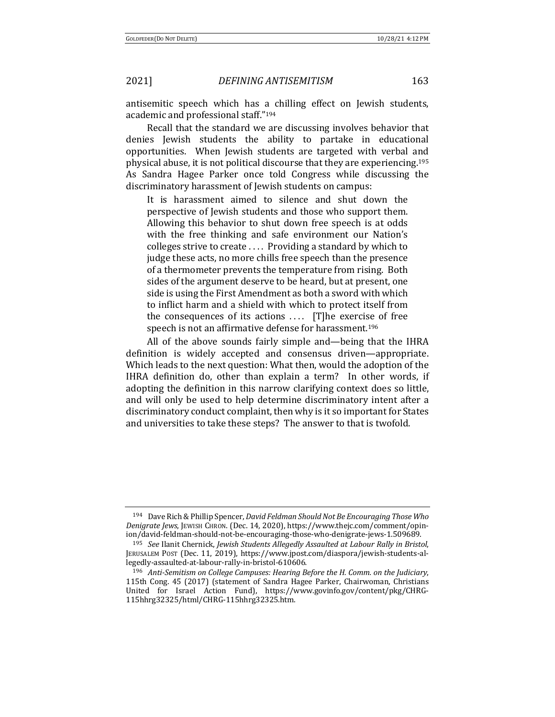antisemitic speech which has a chilling effect on Jewish students, academic and professional staff."<sup>194</sup>

Recall that the standard we are discussing involves behavior that denies Jewish students the ability to partake in educational opportunities. When Jewish students are targeted with verbal and physical abuse, it is not political discourse that they are experiencing.<sup>195</sup> As Sandra Hagee Parker once told Congress while discussing the discriminatory harassment of Jewish students on campus:

It is harassment aimed to silence and shut down the perspective of Jewish students and those who support them. Allowing this behavior to shut down free speech is at odds with the free thinking and safe environment our Nation's colleges strive to create  $\dots$ . Providing a standard by which to judge these acts, no more chills free speech than the presence of a thermometer prevents the temperature from rising. Both sides of the argument deserve to be heard, but at present, one side is using the First Amendment as both a sword with which to inflict harm and a shield with which to protect itself from the consequences of its actions  $\dots$  [T]he exercise of free speech is not an affirmative defense for harassment.<sup>196</sup>

All of the above sounds fairly simple and—being that the IHRA definition is widely accepted and consensus driven—appropriate. Which leads to the next question: What then, would the adoption of the IHRA definition do, other than explain a term? In other words, if adopting the definition in this narrow clarifying context does so little, and will only be used to help determine discriminatory intent after a discriminatory conduct complaint, then why is it so important for States and universities to take these steps? The answer to that is twofold.

<sup>194</sup> Dave Rich & Phillip Spencer, *David Feldman Should Not Be Encouraging Those Who Denigrate Jews*, JEWISH CHRON. (Dec. 14, 2020), https://www.thejc.com/comment/opinion/david-feldman-should-not-be-encouraging-those-who-denigrate-jews-1.509689.

<sup>&</sup>lt;sup>195</sup> *See Ilanit Chernick, Jewish Students Allegedly Assaulted at Labour Rally in Bristol,* JERUSALEM POST (Dec. 11, 2019), https://www.jpost.com/diaspora/jewish-students-allegedly-assaulted-at-labour-rally-in-bristol-610606*.*

<sup>&</sup>lt;sup>196</sup> Anti-Semitism on College Campuses: Hearing Before the H. Comm. on the Judiciary, 115th Cong. 45 (2017) (statement of Sandra Hagee Parker, Chairwoman, Christians United for Israel Action Fund), https://www.govinfo.gov/content/pkg/CHRG-115hhrg32325/html/CHRG-115hhrg32325.htm.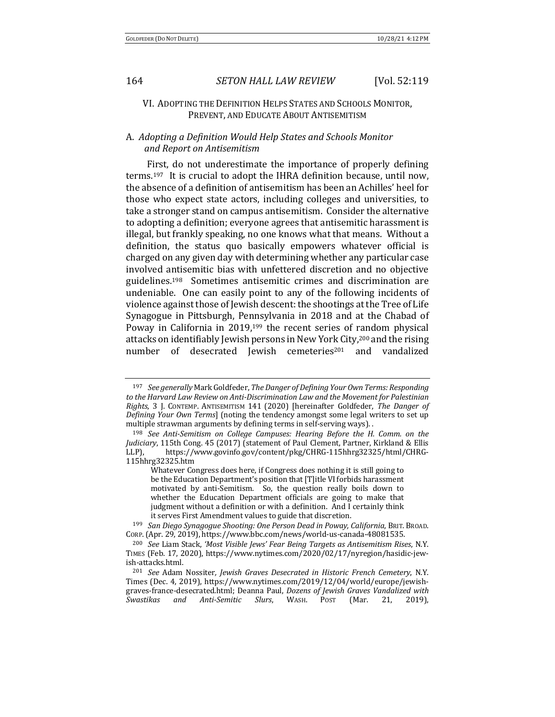## VI. ADOPTING THE DEFINITION HELPS STATES AND SCHOOLS MONITOR, PREVENT, AND EDUCATE ABOUT ANTISEMITISM

# A. *Adopting a Definition Would Help States and Schools Monitor and Report on Antisemitism*

First, do not underestimate the importance of properly defining terms.<sup>197</sup> It is crucial to adopt the IHRA definition because, until now, the absence of a definition of antisemitism has been an Achilles' heel for those who expect state actors, including colleges and universities, to take a stronger stand on campus antisemitism. Consider the alternative to adopting a definition; everyone agrees that antisemitic harassment is illegal, but frankly speaking, no one knows what that means. Without a definition, the status quo basically empowers whatever official is charged on any given day with determining whether any particular case involved antisemitic bias with unfettered discretion and no objective guidelines.<sup>198</sup> Sometimes antisemitic crimes and discrimination are undeniable. One can easily point to any of the following incidents of violence against those of Jewish descent: the shootings at the Tree of Life Synagogue in Pittsburgh, Pennsylvania in 2018 and at the Chabad of Poway in California in  $2019$ ,<sup>199</sup> the recent series of random physical attacks on identifiably Jewish persons in New York City,<sup>200</sup> and the rising number of desecrated Jewish cemeteries<sup>201</sup> and vandalized

<sup>&</sup>lt;sup>197</sup> *See generally* Mark Goldfeder, *The Danger of Defining Your Own Terms: Responding* to the Harvard Law Review on Anti-Discrimination Law and the Movement for Palestinian *Rights*, 3 J. CONTEMP. ANTISEMITISM 141 (2020) [hereinafter Goldfeder, *The Danger of Defining Your Own Terms*] (noting the tendency amongst some legal writers to set up multiple strawman arguments by defining terms in self-serving ways). .

<sup>&</sup>lt;sup>198</sup> See Anti-Semitism on College Campuses: Hearing Before the H. Comm. on the *Judiciary*, 115th Cong. 45 (2017) (statement of Paul Clement, Partner, Kirkland & Ellis LLP), https://www.govinfo.gov/content/pkg/CHRG-115hhrg32325/html/CHRG-115hhrg32325.htm

Whatever Congress does here, if Congress does nothing it is still going to be the Education Department's position that [T]itle VI forbids harassment motivated by anti-Semitism. So, the question really boils down to whether the Education Department officials are going to make that judgment without a definition or with a definition. And I certainly think it serves First Amendment values to guide that discretion.

<sup>199</sup> *San Diego Synagogue Shooting: One Person Dead in Poway, California, BRIT. BROAD.* CORP. (Apr. 29, 2019), https://www.bbc.com/news/world-us-canada-48081535.

<sup>&</sup>lt;sup>200</sup> See Liam Stack, 'Most Visible Jews' Fear Being Targets as Antisemitism Rises, N.Y. TIMES (Feb. 17, 2020), https://www.nytimes.com/2020/02/17/nyregion/hasidic-jewish-attacks.html. 

<sup>&</sup>lt;sup>201</sup> *See* Adam Nossiter, *Jewish Graves Desecrated in Historic French Cemetery*, N.Y. Times (Dec. 4, 2019), https://www.nytimes.com/2019/12/04/world/europe/jewishgraves-france-desecrated.html; Deanna Paul, *Dozens of Jewish Graves Vandalized with Swastikas and Anti-Semitic Slurs*, WASH. POST (Mar. 21, 2019),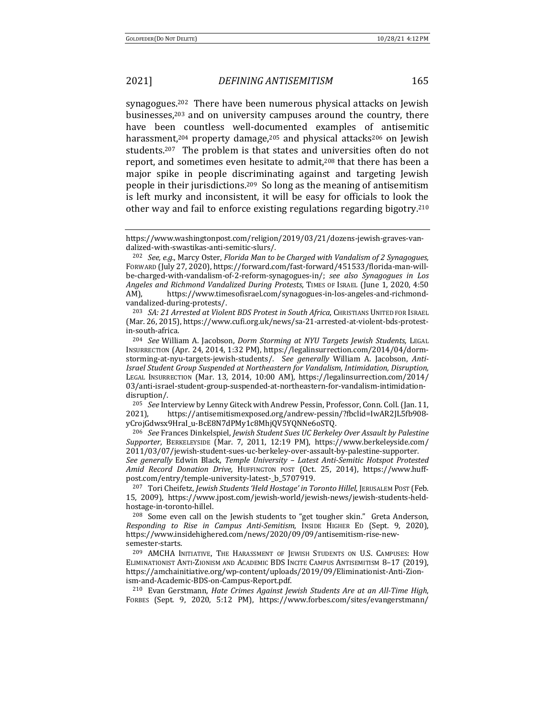synagogues.<sup>202</sup> There have been numerous physical attacks on Jewish businesses, $203$  and on university campuses around the country, there have been countless well-documented examples of antisemitic harassment,<sup>204</sup> property damage,<sup>205</sup> and physical attacks<sup>206</sup> on Jewish students.<sup>207</sup> The problem is that states and universities often do not report, and sometimes even hesitate to admit,<sup>208</sup> that there has been a major spike in people discriminating against and targeting Jewish people in their jurisdictions.<sup>209</sup> So long as the meaning of antisemitism is left murky and inconsistent, it will be easy for officials to look the other way and fail to enforce existing regulations regarding bigotry.<sup>210</sup>

<sup>205</sup> *See* Interview by Lenny Giteck with Andrew Pessin, Professor, Conn. Coll. (Jan. 11, 2021), https://antisemitismexposed.org/andrew-pessin/?fbclid=IwAR2JL5fb908 yCrojGdwsx9HraI\_u-BcE8N7dPMy1c8MhjQV5YQNNe6oSTQ.

<sup>206</sup> *See* Frances Dinkelspiel, *Jewish Student Sues UC Berkeley Over Assault by Palestine Supporter*, BERKELEYSIDE (Mar. 7, 2011, 12:19 PM), https://www.berkeleyside.com/ 2011/03/07/jewish-student-sues-uc-berkeley-over-assault-by-palestine-supporter. 

See generally Edwin Black, Temple University - Latest Anti-Semitic Hotspot Protested *Amid Record Donation Drive,*  HUFFINGTON POST (Oct. 25, 2014), https://www.huffpost.com/entry/temple-university-latest-\_b\_5707919.

<sup>207</sup> Tori Cheifetz, *Jewish Students 'Held Hostage' in Toronto Hillel*, JERUSALEM POST (Feb. 15, 2009), https://www.jpost.com/jewish-world/jewish-news/jewish-students-heldhostage-in-toronto-hillel.

<sup>209</sup> AMCHA INITIATIVE, THE HARASSMENT OF JEWISH STUDENTS ON U.S. CAMPUSES: HOW ELIMINATIONIST ANTI-ZIONISM AND ACADEMIC BDS INCITE CAMPUS ANTISEMITISM 8-17 (2019), https://amchainitiative.org/wp-content/uploads/2019/09/Eliminationist-Anti-Zionism-and-Academic-BDS-on-Campus-Report.pdf. 

<sup>210</sup> Evan Gerstmann, *Hate Crimes Against Jewish Students Are at an All-Time High*, FORBES (Sept. 9, 2020, 5:12 PM), https://www.forbes.com/sites/evangerstmann/

https://www.washingtonpost.com/religion/2019/03/21/dozens-jewish-graves-vandalized-with-swastikas-anti-semitic-slurs/*.*

<sup>&</sup>lt;sup>202</sup> *See, e.g.*, Marcy Oster, *Florida Man to be Charged with Vandalism of 2 Synagogues,* FORWARD (July 27, 2020), https://forward.com/fast-forward/451533/florida-man-willbe-charged-with-vandalism-of-2-reform-synagogues-in/; *see also Synagogues in Los*  Angeles and Richmond Vandalized During Protests, TIMES OF ISRAEL (June 1, 2020, 4:50 AM), https://www.timesofisrael.com/synagogues-in-los-angeles-and-richmondvandalized-during-protests/.

<sup>&</sup>lt;sup>203</sup> SA: 21 Arrested at Violent BDS Protest in South Africa, CHRISTIANS UNITED FOR ISRAEL (Mar. 26, 2015), https://www.cufi.org.uk/news/sa-21-arrested-at-violent-bds-protestin-south-africa.

<sup>&</sup>lt;sup>204</sup> See William A. Jacobson, *Dorm Storming at NYU Targets Jewish Students*, LEGAL INSURRECTION (Apr. 24, 2014, 1:32 PM), https://legalinsurrection.com/2014/04/dormstorming-at-nyu-targets-jewish-students/. See generally William A. Jacobson, Anti-*Israel Student Group Suspended at Northeastern for Vandalism, Intimidation, Disruption,* LEGAL INSURRECTION (Mar. 13, 2014, 10:00 AM), https://legalinsurrection.com/2014/ 03/anti-israel-student-group-suspended-at-northeastern-for-vandalism-intimidationdisruption/.

 $208$  Some even call on the Jewish students to "get tougher skin." Greta Anderson, *Responding to Rise in Campus Anti-Semitism*, INSIDE HIGHER ED (Sept. 9, 2020), https://www.insidehighered.com/news/2020/09/09/antisemitism-rise-newsemester-starts.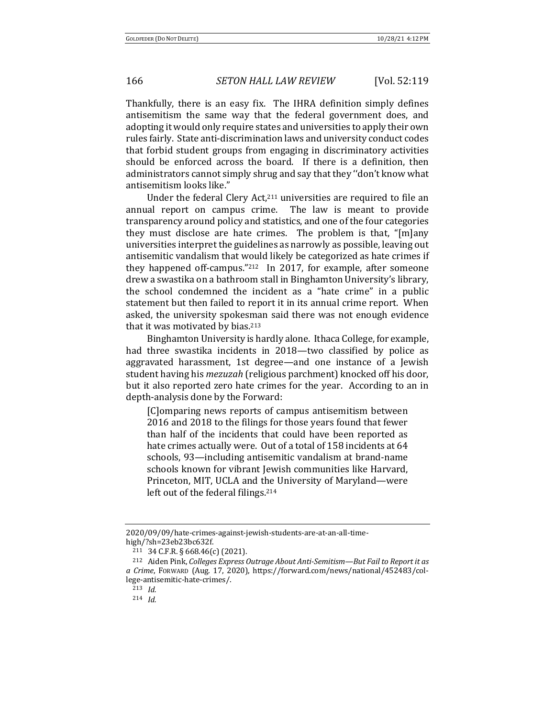Thankfully, there is an easy fix. The IHRA definition simply defines antisemitism the same way that the federal government does, and adopting it would only require states and universities to apply their own rules fairly. State anti-discrimination laws and university conduct codes that forbid student groups from engaging in discriminatory activities should be enforced across the board. If there is a definition, then administrators cannot simply shrug and say that they "don't know what antisemitism looks like."

Under the federal Clery Act, $211$  universities are required to file an annual report on campus crime. The law is meant to provide transparency around policy and statistics, and one of the four categories they must disclose are hate crimes. The problem is that, " $[m]$ any universities interpret the guidelines as narrowly as possible, leaving out antisemitic vandalism that would likely be categorized as hate crimes if they happened off-campus." $212$  In 2017, for example, after someone drew a swastika on a bathroom stall in Binghamton University's library, the school condemned the incident as a "hate crime" in a public statement but then failed to report it in its annual crime report. When asked, the university spokesman said there was not enough evidence that it was motivated by bias. $213$ 

Binghamton University is hardly alone. Ithaca College, for example, had three swastika incidents in 2018—two classified by police as aggravated harassment, 1st degree—and one instance of a Jewish student having his *mezuzah* (religious parchment) knocked off his door, but it also reported zero hate crimes for the year. According to an in depth-analysis done by the Forward:

[C]omparing news reports of campus antisemitism between 2016 and 2018 to the filings for those years found that fewer than half of the incidents that could have been reported as hate crimes actually were. Out of a total of 158 incidents at 64 schools, 93—including antisemitic vandalism at brand-name schools known for vibrant Jewish communities like Harvard, Princeton, MIT, UCLA and the University of Maryland—were left out of the federal filings.<sup>214</sup>

<sup>2020/09/09/</sup>hate-crimes-against-jewish-students-are-at-an-all-timehigh/?sh=23eb23bc632f.

 $211$  34 C.F.R. § 668.46(c) (2021).

<sup>&</sup>lt;sup>212</sup> Aiden Pink, *Colleges Express Outrage About Anti-Semitism—But Fail to Report it as a Crime*, FORWARD (Aug. 17, 2020), https://forward.com/news/national/452483/college-antisemitic-hate-crimes/.

<sup>213</sup> *Id.*

<sup>214</sup> *Id.*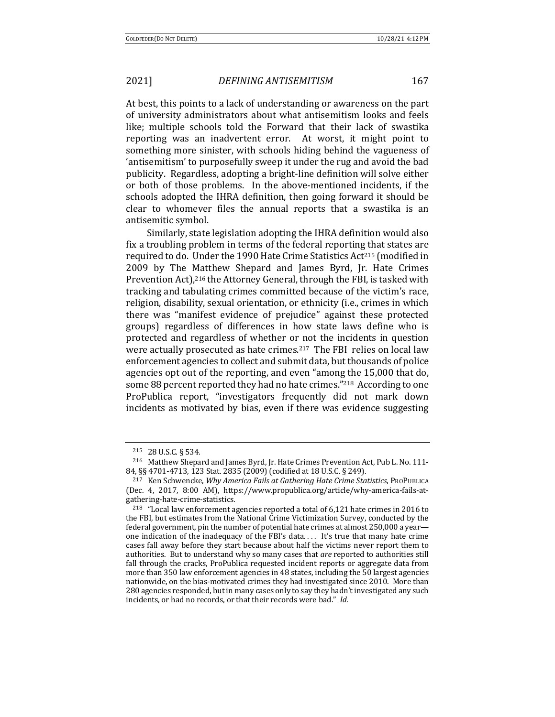At best, this points to a lack of understanding or awareness on the part of university administrators about what antisemitism looks and feels like; multiple schools told the Forward that their lack of swastika reporting was an inadvertent error. At worst, it might point to something more sinister, with schools hiding behind the vagueness of 'antisemitism' to purposefully sweep it under the rug and avoid the bad publicity. Regardless, adopting a bright-line definition will solve either or both of those problems. In the above-mentioned incidents, if the schools adopted the IHRA definition, then going forward it should be clear to whomever files the annual reports that a swastika is an antisemitic symbol.

Similarly, state legislation adopting the IHRA definition would also fix a troubling problem in terms of the federal reporting that states are required to do. Under the 1990 Hate Crime Statistics Act<sup>215</sup> (modified in 2009 by The Matthew Shepard and James Byrd, Jr. Hate Crimes Prevention Act),<sup>216</sup> the Attorney General, through the FBI, is tasked with tracking and tabulating crimes committed because of the victim's race, religion, disability, sexual orientation, or ethnicity (i.e., crimes in which there was "manifest evidence of prejudice" against these protected groups) regardless of differences in how state laws define who is protected and regardless of whether or not the incidents in question were actually prosecuted as hate crimes.<sup>217</sup> The FBI relies on local law enforcement agencies to collect and submit data, but thousands of police agencies opt out of the reporting, and even "among the 15,000 that do, some 88 percent reported they had no hate crimes."<sup>218</sup> According to one ProPublica report, "investigators frequently did not mark down incidents as motivated by bias, even if there was evidence suggesting

<sup>215</sup> 28 U.S.C. § 534.

<sup>&</sup>lt;sup>216</sup> Matthew Shepard and James Byrd, Jr. Hate Crimes Prevention Act, Pub L. No. 111-84, §§ 4701-4713, 123 Stat. 2835 (2009) (codified at 18 U.S.C. § 249).

<sup>&</sup>lt;sup>217</sup> Ken Schwencke, *Why America Fails at Gathering Hate Crime Statistics*, PROPUBLICA (Dec. 4, 2017, 8:00 AM), https://www.propublica.org/article/why-america-fails-atgathering-hate-crime-statistics.

 $218$  "Local law enforcement agencies reported a total of 6,121 hate crimes in 2016 to the FBI, but estimates from the National Crime Victimization Survey, conducted by the federal government, pin the number of potential hate crimes at almost 250,000 a yearone indication of the inadequacy of the FBI's data.... It's true that many hate crime cases fall away before they start because about half the victims never report them to authorities. But to understand why so many cases that *are* reported to authorities still fall through the cracks, ProPublica requested incident reports or aggregate data from more than 350 law enforcement agencies in 48 states, including the 50 largest agencies nationwide, on the bias-motivated crimes they had investigated since 2010. More than 280 agencies responded, but in many cases only to say they hadn't investigated any such incidents, or had no records, or that their records were bad." Id.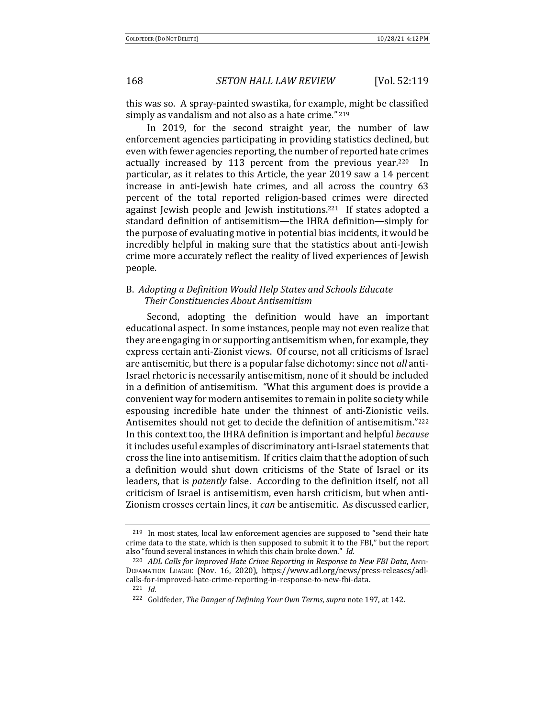this was so. A spray-painted swastika, for example, might be classified simply as vandalism and not also as a hate crime." 219

In 2019, for the second straight year, the number of law enforcement agencies participating in providing statistics declined, but even with fewer agencies reporting, the number of reported hate crimes actually increased by 113 percent from the previous year.<sup>220</sup> In particular, as it relates to this Article, the year 2019 saw a 14 percent increase in anti-Jewish hate crimes, and all across the country 63 percent of the total reported religion-based crimes were directed against Jewish people and Jewish institutions.<sup>221</sup> If states adopted a standard definition of antisemitism—the IHRA definition—simply for the purpose of evaluating motive in potential bias incidents, it would be incredibly helpful in making sure that the statistics about anti-Jewish crime more accurately reflect the reality of lived experiences of Jewish people.

# B. Adopting a Definition Would Help States and Schools Educate *Their Constituencies About Antisemitism*

Second, adopting the definition would have an important educational aspect. In some instances, people may not even realize that they are engaging in or supporting antisemitism when, for example, they express certain anti-Zionist views. Of course, not all criticisms of Israel are antisemitic, but there is a popular false dichotomy: since not all anti-Israel rhetoric is necessarily antisemitism, none of it should be included in a definition of antisemitism. "What this argument does is provide a convenient way for modern antisemites to remain in polite society while espousing incredible hate under the thinnest of anti-Zionistic veils. Antisemites should not get to decide the definition of antisemitism."222 In this context too, the IHRA definition is important and helpful *because* it includes useful examples of discriminatory anti-Israel statements that cross the line into antisemitism. If critics claim that the adoption of such a definition would shut down criticisms of the State of Israel or its leaders, that is *patently* false. According to the definition itself, not all criticism of Israel is antisemitism, even harsh criticism, but when anti-Zionism crosses certain lines, it *can* be antisemitic. As discussed earlier,

 $219$  In most states, local law enforcement agencies are supposed to "send their hate crime data to the state, which is then supposed to submit it to the FBI," but the report also "found several instances in which this chain broke down." Id.

<sup>&</sup>lt;sup>220</sup> *ADL Calls for Improved Hate Crime Reporting in Response to New FBI Data, ANTI-*DEFAMATION LEAGUE (Nov. 16, 2020), https://www.adl.org/news/press-releases/adlcalls-for-improved-hate-crime-reporting-in-response-to-new-fbi-data.

<sup>221</sup> *Id.*

<sup>&</sup>lt;sup>222</sup> Goldfeder, *The Danger of Defining Your Own Terms*, *supra* note 197, at 142.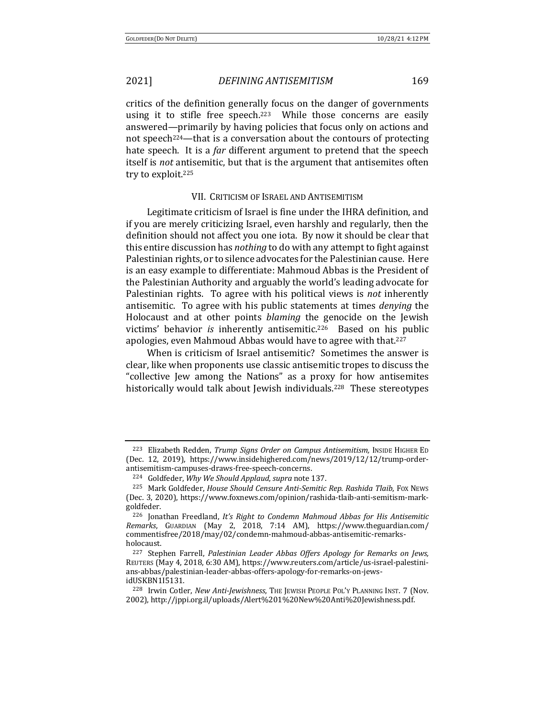critics of the definition generally focus on the danger of governments using it to stifle free speech.<sup>223</sup> While those concerns are easily answered—primarily by having policies that focus only on actions and not speech<sup>224</sup>—that is a conversation about the contours of protecting hate speech. It is a *far* different argument to pretend that the speech itself is *not* antisemitic, but that is the argument that antisemites often try to exploit.<sup>225</sup>

### VII. CRITICISM OF ISRAEL AND ANTISEMITISM

Legitimate criticism of Israel is fine under the IHRA definition, and if you are merely criticizing Israel, even harshly and regularly, then the definition should not affect you one iota. By now it should be clear that this entire discussion has *nothing* to do with any attempt to fight against Palestinian rights, or to silence advocates for the Palestinian cause. Here is an easy example to differentiate: Mahmoud Abbas is the President of the Palestinian Authority and arguably the world's leading advocate for Palestinian rights. To agree with his political views is *not* inherently antisemitic. To agree with his public statements at times *denying* the Holocaust and at other points *blaming* the genocide on the Jewish victims' behavior *is* inherently antisemitic.<sup>226</sup> Based on his public apologies, even Mahmoud Abbas would have to agree with that.<sup>227</sup>

When is criticism of Israel antisemitic? Sometimes the answer is clear, like when proponents use classic antisemitic tropes to discuss the "collective Jew among the Nations" as a proxy for how antisemites historically would talk about Jewish individuals.<sup>228</sup> These stereotypes

<sup>&</sup>lt;sup>223</sup> Elizabeth Redden, *Trump Signs Order on Campus Antisemitism*, INSIDE HIGHER ED (Dec. 12, 2019), https://www.insidehighered.com/news/2019/12/12/trump-orderantisemitism-campuses-draws-free-speech-concerns.

<sup>&</sup>lt;sup>224</sup> Goldfeder, Why We Should Applaud, supra note 137.

<sup>&</sup>lt;sup>225</sup> Mark Goldfeder, *House Should Censure Anti-Semitic Rep. Rashida Tlaib*, Fox News (Dec. 3, 2020), https://www.foxnews.com/opinion/rashida-tlaib-anti-semitism-markgoldfeder.

<sup>&</sup>lt;sup>226</sup> Jonathan Freedland, It's Right to Condemn Mahmoud Abbas for His Antisemitic *Remarks*, GUARDIAN (May 2, 2018, 7:14 AM), https://www.theguardian.com/ commentisfree/2018/may/02/condemn-mahmoud-abbas-antisemitic-remarksholocaust.

<sup>&</sup>lt;sup>227</sup> Stephen Farrell, *Palestinian Leader Abbas Offers Apology for Remarks on Jews*, REUTERS (May 4, 2018, 6:30 AM), https://www.reuters.com/article/us-israel-palestinians-abbas/palestinian-leader-abbas-offers-apology-for-remarks-on-jewsidUSKBN1I5131.

<sup>&</sup>lt;sup>228</sup> Irwin Cotler, *New Anti-Jewishness*, The Jewish People Pol'y Planning Inst. 7 (Nov. 2002), http://jppi.org.il/uploads/Alert%201%20New%20Anti%20Jewishness.pdf.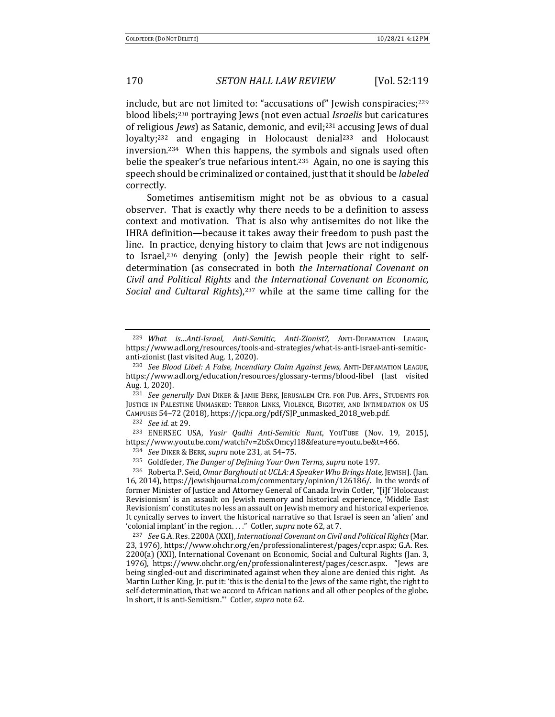include, but are not limited to: "accusations of" Jewish conspiracies;<sup>229</sup> blood libels;<sup>230</sup> portraying Jews (not even actual *Israelis* but caricatures of religious *Jews*) as Satanic, demonic, and evil;<sup>231</sup> accusing Jews of dual loyalty; $232$  and engaging in Holocaust denial $233$  and Holocaust inversion.<sup>234</sup> When this happens, the symbols and signals used often belie the speaker's true nefarious intent.<sup>235</sup> Again, no one is saying this speech should be criminalized or contained, just that it should be *labeled* correctly.

Sometimes antisemitism might not be as obvious to a casual observer. That is exactly why there needs to be a definition to assess context and motivation. That is also why antisemites do not like the IHRA definition—because it takes away their freedom to push past the line. In practice, denying history to claim that Jews are not indigenous to Israel, $236$  denying (only) the Jewish people their right to selfdetermination (as consecrated in both *the International Covenant on Civil and Political Rights* and *the International Covenant on Economic, Social and Cultural Rights*),<sup>237</sup> while at the same time calling for the

<sup>&</sup>lt;sup>229</sup> What is...Anti-Israel, Anti-Semitic, Anti-Zionist?, ANTI-DEFAMATION LEAGUE, https://www.adl.org/resources/tools-and-strategies/what-is-anti-israel-anti-semiticanti-zionist (last visited Aug. 1, 2020).

<sup>&</sup>lt;sup>230</sup> *See Blood Libel: A False, Incendiary Claim Against Jews, ANTI-DEFAMATION LEAGUE,* https://www.adl.org/education/resources/glossary-terms/blood-libel (last visited Aug. 1, 2020).

<sup>&</sup>lt;sup>231</sup> *See generally* DAN DIKER & JAMIE BERK, JERUSALEM CTR. FOR PUB. AFFS., STUDENTS FOR JUSTICE IN PALESTINE UNMASKED: TERROR LINKS, VIOLENCE, BIGOTRY, AND INTIMIDATION ON US CAMPUSES 54-72 (2018), https://jcpa.org/pdf/SJP\_unmasked\_2018\_web.pdf.

<sup>232</sup> *See id.* at 29. 

<sup>233</sup> ENERSEC USA, *Yasir Qadhi Anti-Semitic Rant*, YOUTUBE (Nov. 19, 2015), https://www.youtube.com/watch?v=2bSxOmcyI18&feature=youtu.be&t=466.

<sup>&</sup>lt;sup>234</sup> *See* DIKER & BERK, *supra* note 231, at 54-75.

<sup>&</sup>lt;sup>235</sup> Goldfeder, *The Danger of Defining Your Own Terms, supra* note 197.

<sup>&</sup>lt;sup>236</sup> Roberta P. Seid, *Omar Barghouti at UCLA: A Speaker Who Brings Hate*, JEWISH J. (Jan. 16, 2014), https://jewishjournal.com/commentary/opinion/126186/. In the words of former Minister of Justice and Attorney General of Canada Irwin Cotler, "[i]f 'Holocaust Revisionism' is an assault on Jewish memory and historical experience, 'Middle East Revisionism' constitutes no less an assault on Jewish memory and historical experience. It cynically serves to invert the historical narrative so that Israel is seen an 'alien' and 'colonial implant' in the region. . . ." Cotler, *supra* note 62, at 7.

<sup>&</sup>lt;sup>237</sup> *See* G.A. Res. 2200A (XXI), *International Covenant on Civil and Political Rights* (Mar. 23, 1976), https://www.ohchr.org/en/professionalinterest/pages/ccpr.aspx; G.A. Res.  $2200(a)$  (XXI), International Covenant on Economic, Social and Cultural Rights (Jan. 3, 1976), https://www.ohchr.org/en/professionalinterest/pages/cescr.aspx. "Jews are being singled-out and discriminated against when they alone are denied this right. As Martin Luther King, Jr. put it: 'this is the denial to the Jews of the same right, the right to self-determination, that we accord to African nations and all other peoples of the globe. In short, it is anti-Semitism."' Cotler, *supra* note 62.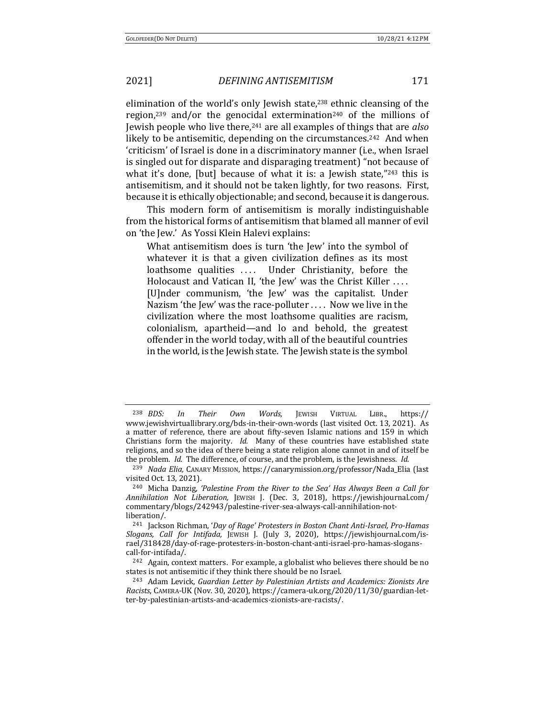elimination of the world's only Jewish state,<sup>238</sup> ethnic cleansing of the region,<sup>239</sup> and/or the genocidal extermination<sup>240</sup> of the millions of Jewish people who live there,<sup>241</sup> are all examples of things that are *also* likely to be antisemitic, depending on the circumstances.<sup>242</sup> And when 'criticism' of Israel is done in a discriminatory manner (i.e., when Israel is singled out for disparate and disparaging treatment) "not because of what it's done, [but] because of what it is: a Jewish state," $243$  this is antisemitism, and it should not be taken lightly, for two reasons. First, because it is ethically objectionable; and second, because it is dangerous.

This modern form of antisemitism is morally indistinguishable from the historical forms of antisemitism that blamed all manner of evil on 'the Jew.' As Yossi Klein Halevi explains:

What antisemitism does is turn 'the Jew' into the symbol of whatever it is that a given civilization defines as its most loathsome qualities .... Under Christianity, before the Holocaust and Vatican II, 'the Jew' was the Christ Killer .... [U]nder communism, 'the Jew' was the capitalist. Under Nazism 'the Jew' was the race-polluter  $\dots$ . Now we live in the civilization where the most loathsome qualities are racism, colonialism, apartheid—and lo and behold, the greatest offender in the world today, with all of the beautiful countries in the world, is the Jewish state. The Jewish state is the symbol

<sup>&</sup>lt;sup>238</sup> BDS: In Their Own Words, JEWISH VIRTUAL LIBR., https:// www.jewishvirtuallibrary.org/bds-in-their-own-words (last visited Oct. 13, 2021). As a matter of reference, there are about fifty-seven Islamic nations and 159 in which Christians form the majority. *Id.* Many of these countries have established state religions, and so the idea of there being a state religion alone cannot in and of itself be the problem. *Id.* The difference, of course, and the problem, is the Jewishness. *Id.* 

<sup>&</sup>lt;sup>239</sup> *Nada Elia,* CANARY MISSION, https://canarymission.org/professor/Nada\_Elia (last visited Oct. 13, 2021).

<sup>&</sup>lt;sup>240</sup> Micha Danzig, 'Palestine From the River to the Sea' Has Always Been a Call for *Annihilation Not Liberation,*  JEWISH J. (Dec. 3, 2018), https://jewishjournal.com/ commentary/blogs/242943/palestine-river-sea-always-call-annihilation-notliberation/.

<sup>&</sup>lt;sup>241</sup> Jackson Richman, '*Day of Rage' Protesters in Boston Chant Anti-Israel, Pro-Hamas Slogans, Call for Intifada,* JEWISH J. (July 3, 2020), https://jewishjournal.com/israel/318428/day-of-rage-protesters-in-boston-chant-anti-israel-pro-hamas-sloganscall-for-intifada/.

 $242$  Again, context matters. For example, a globalist who believes there should be no states is not antisemitic if they think there should be no Israel.

<sup>&</sup>lt;sup>243</sup> Adam Levick, *Guardian Letter by Palestinian Artists and Academics: Zionists Are Racists*, CAMERA-UK (Nov. 30, 2020), https://camera-uk.org/2020/11/30/guardian-letter-by-palestinian-artists-and-academics-zionists-are-racists/.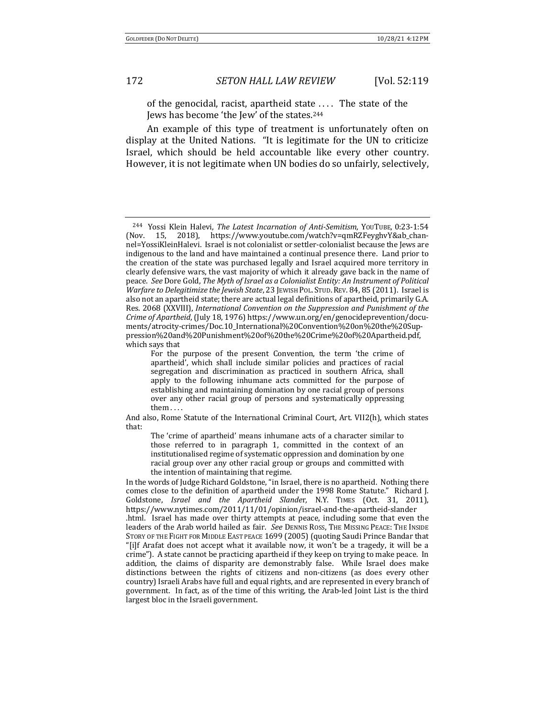of the genocidal, racist, apartheid state .... The state of the Jews has become 'the Jew' of the states.<sup>244</sup>

An example of this type of treatment is unfortunately often on display at the United Nations. "It is legitimate for the UN to criticize Israel, which should be held accountable like every other country. However, it is not legitimate when UN bodies do so unfairly, selectively,

And also, Rome Statute of the International Criminal Court, Art. VII2(h), which states that:

<sup>244</sup> Yossi Klein Halevi, *The Latest Incarnation of Anti-Semitism*, YOUTUBE, 0:23-1:54 (Nov. 15, 2018), https://www.youtube.com/watch?v=qmRZFeyghvY&ab\_channel=YossiKleinHalevi. Israel is not colonialist or settler-colonialist because the Jews are indigenous to the land and have maintained a continual presence there. Land prior to the creation of the state was purchased legally and Israel acquired more territory in clearly defensive wars, the vast majority of which it already gave back in the name of peace. See Dore Gold, *The Myth of Israel as a Colonialist Entity: An Instrument of Political Warfare to Delegitimize the Jewish State,* 23 JEWISH POL. STUD. REV. 84, 85 (2011). Israel is also not an apartheid state; there are actual legal definitions of apartheid, primarily G.A. Res. 2068 (XXVIII), *International Convention on the Suppression and Punishment of the Crime of Apartheid,* (July 18, 1976) https://www.un.org/en/genocideprevention/documents/atrocity-crimes/Doc.10\_International%20Convention%20on%20the%20Suppression%20and%20Punishment%20of%20the%20Crime%20of%20Apartheid.pdf, which says that

For the purpose of the present Convention, the term 'the crime of apartheid', which shall include similar policies and practices of racial segregation and discrimination as practiced in southern Africa, shall apply to the following inhumane acts committed for the purpose of establishing and maintaining domination by one racial group of persons over any other racial group of persons and systematically oppressing them . . .

The 'crime of apartheid' means inhumane acts of a character similar to those referred to in paragraph 1, committed in the context of an institutionalised regime of systematic oppression and domination by one racial group over any other racial group or groups and committed with the intention of maintaining that regime.

In the words of Judge Richard Goldstone, "in Israel, there is no apartheid. Nothing there comes close to the definition of apartheid under the 1998 Rome Statute." Richard J. Goldstone, *Israel and the Apartheid Slander*, N.Y. TIMES (Oct. 31, 2011), https://www.nytimes.com/2011/11/01/opinion/israel-and-the-apartheid-slander .html. Israel has made over thirty attempts at peace, including some that even the leaders of the Arab world hailed as fair. See DENNIS Ross, THE MISSING PEACE: THE INSIDE STORY OF THE FIGHT FOR MIDDLE EAST PEACE 1699 (2005) (quoting Saudi Prince Bandar that "[i]f Arafat does not accept what it available now, it won't be a tragedy, it will be a crime"). A state cannot be practicing apartheid if they keep on trying to make peace. In addition, the claims of disparity are demonstrably false. While Israel does make distinctions between the rights of citizens and non-citizens (as does every other country) Israeli Arabs have full and equal rights, and are represented in every branch of government. In fact, as of the time of this writing, the Arab-led Joint List is the third largest bloc in the Israeli government.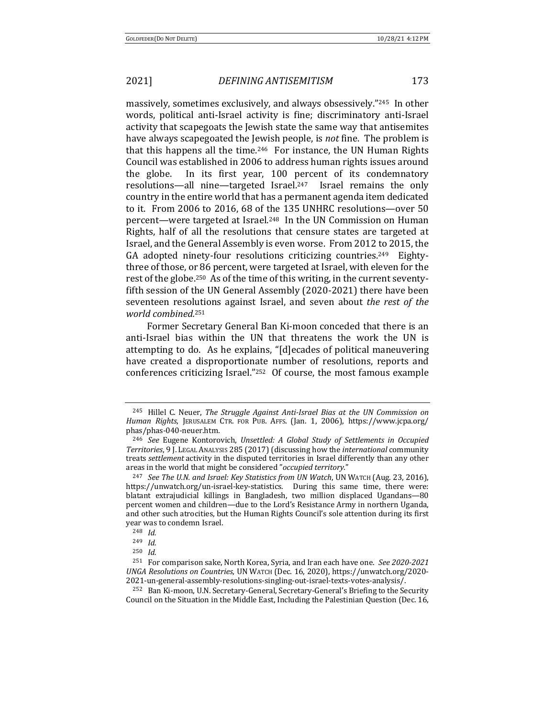massively, sometimes exclusively, and always obsessively."245 In other words, political anti-Israel activity is fine; discriminatory anti-Israel activity that scapegoats the Jewish state the same way that antisemites have always scapegoated the Jewish people, is *not* fine. The problem is that this happens all the time.<sup>246</sup> For instance, the UN Human Rights Council was established in 2006 to address human rights issues around the globe. In its first year, 100 percent of its condemnatory resolutions—all nine—targeted Israel.<sup>247</sup> Israel remains the only country in the entire world that has a permanent agenda item dedicated to it. From 2006 to 2016, 68 of the 135 UNHRC resolutions—over 50 percent—were targeted at Israel.<sup>248</sup> In the UN Commission on Human Rights, half of all the resolutions that censure states are targeted at Israel, and the General Assembly is even worse. From 2012 to 2015, the GA adopted ninety-four resolutions criticizing countries.<sup>249</sup> Eightythree of those, or 86 percent, were targeted at Israel, with eleven for the rest of the globe.<sup>250</sup> As of the time of this writing, in the current seventyfifth session of the UN General Assembly (2020-2021) there have been seventeen resolutions against Israel, and seven about *the rest of the world combined.*<sup>251</sup>

Former Secretary General Ban Ki-moon conceded that there is an anti-Israel bias within the UN that threatens the work the UN is attempting to do. As he explains, "[d]ecades of political maneuvering have created a disproportionate number of resolutions, reports and conferences criticizing Israel." $252$  Of course, the most famous example

<sup>&</sup>lt;sup>245</sup> Hillel C. Neuer, *The Struggle Against Anti-Israel Bias at the UN Commission on Human Rights*, JERUSALEM CTR. FOR PUB. AFFS. (Jan. 1, 2006), https://www.jcpa.org/ phas/phas-040-neuer.htm.

<sup>&</sup>lt;sup>246</sup> See Eugene Kontorovich, Unsettled: A Global Study of Settlements in Occupied *Territories*, 9 J. LEGAL ANALYSIS 285 (2017) (discussing how the *international* community treats *settlement* activity in the disputed territories in Israel differently than any other areas in the world that might be considered "occupied territory."

<sup>&</sup>lt;sup>247</sup> *See The U.N. and Israel: Key Statistics from UN Watch*, UN WATCH (Aug. 23, 2016), https://unwatch.org/un-israel-key-statistics. During this same time, there were: blatant extrajudicial killings in Bangladesh, two million displaced Ugandans—80 percent women and children—due to the Lord's Resistance Army in northern Uganda. and other such atrocities, but the Human Rights Council's sole attention during its first year was to condemn Israel.

<sup>248</sup> *Id.*

<sup>249</sup> *Id.*

<sup>250</sup> *Id.*

<sup>&</sup>lt;sup>251</sup> For comparison sake, North Korea, Syria, and Iran each have one. *See 2020-2021 UNGA Resolutions on Countries*, UN WATCH (Dec. 16, 2020), https://unwatch.org/2020- 2021-un-general-assembly-resolutions-singling-out-israel-texts-votes-analysis/. 

 $252$  Ban Ki-moon, U.N. Secretary-General, Secretary-General's Briefing to the Security Council on the Situation in the Middle East, Including the Palestinian Question (Dec. 16,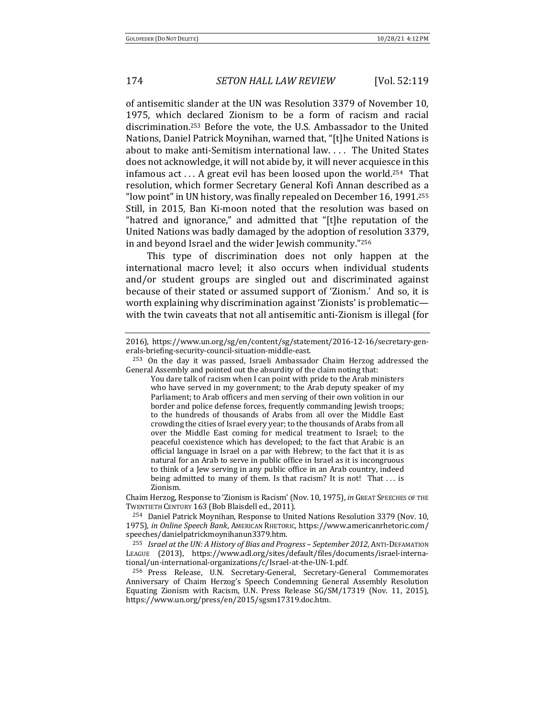of antisemitic slander at the UN was Resolution 3379 of November 10, 1975, which declared Zionism to be a form of racism and racial discrimination.<sup>253</sup> Before the vote, the U.S. Ambassador to the United Nations, Daniel Patrick Moynihan, warned that, "[t]he United Nations is about to make anti-Semitism international law. . . . The United States does not acknowledge, it will not abide by, it will never acquiesce in this infamous  $act \ldots$  A great evil has been loosed upon the world.<sup>254</sup> That resolution, which former Secretary General Kofi Annan described as a "low point" in UN history, was finally repealed on December  $16$ , 1991.<sup>255</sup> Still, in 2015, Ban Ki-moon noted that the resolution was based on "hatred and ignorance," and admitted that "[t]he reputation of the United Nations was badly damaged by the adoption of resolution 3379, in and beyond Israel and the wider Jewish community."256

This type of discrimination does not only happen at the international macro level; it also occurs when individual students and/or student groups are singled out and discriminated against because of their stated or assumed support of 'Zionism.' And so, it is worth explaining why discrimination against 'Zionists' is problematic with the twin caveats that not all antisemitic anti-Zionism is illegal (for

<sup>2016),</sup> https://www.un.org/sg/en/content/sg/statement/2016-12-16/secretary-generals-briefing-security-council-situation-middle-east.

 $253$  On the day it was passed, Israeli Ambassador Chaim Herzog addressed the General Assembly and pointed out the absurdity of the claim noting that:

You dare talk of racism when I can point with pride to the Arab ministers who have served in my government; to the Arab deputy speaker of my Parliament; to Arab officers and men serving of their own volition in our border and police defense forces, frequently commanding Jewish troops; to the hundreds of thousands of Arabs from all over the Middle East crowding the cities of Israel every year; to the thousands of Arabs from all over the Middle East coming for medical treatment to Israel; to the peaceful coexistence which has developed; to the fact that Arabic is an official language in Israel on a par with Hebrew; to the fact that it is as natural for an Arab to serve in public office in Israel as it is incongruous to think of a Jew serving in any public office in an Arab country, indeed being admitted to many of them. Is that racism? It is not! That ... is Zionism.

Chaim Herzog, Response to 'Zionism is Racism' (Nov. 10, 1975), *in* GREAT SPEECHES OF THE TWENTIETH CENTURY 163 (Bob Blaisdell ed., 2011).

<sup>&</sup>lt;sup>254</sup> Daniel Patrick Moynihan, Response to United Nations Resolution 3379 (Nov. 10, 1975), *in Online Speech Bank*, AMERICAN RHETORIC, https://www.americanrhetoric.com/ speeches/danielpatrickmoynihanun3379.htm. 

<sup>&</sup>lt;sup>255</sup> *Israel at the UN: A History of Bias and Progress – September 2012*, ANTI-DEFAMATION LEAGUE (2013), https://www.adl.org/sites/default/files/documents/israel-international/un-international-organizations/c/Israel-at-the-UN-1.pdf.

<sup>&</sup>lt;sup>256</sup> Press Release, U.N. Secretary-General, Secretary-General Commemorates Anniversary of Chaim Herzog's Speech Condemning General Assembly Resolution Equating Zionism with Racism, U.N. Press Release  $SG/SM/17319$  (Nov. 11, 2015), https://www.un.org/press/en/2015/sgsm17319.doc.htm.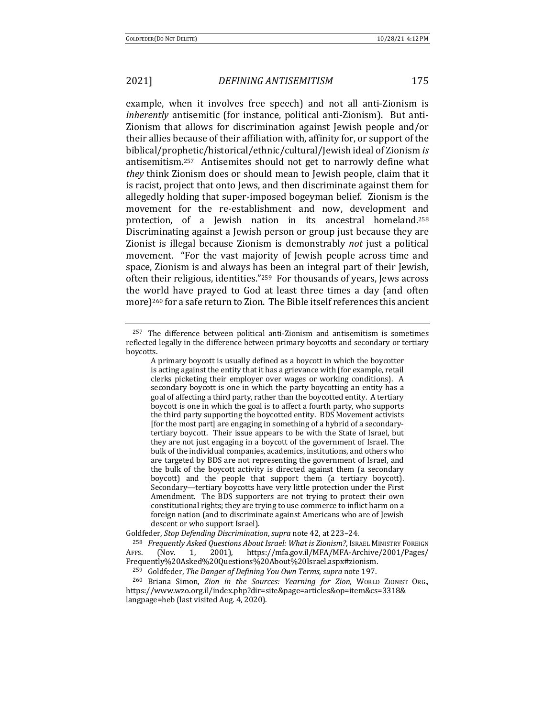example, when it involves free speech) and not all anti-Zionism is *inherently* antisemitic (for instance, political anti-Zionism). But anti-Zionism that allows for discrimination against Jewish people and/or their allies because of their affiliation with, affinity for, or support of the biblical/prophetic/historical/ethnic/cultural/Jewish ideal of Zionism *is* antisemitism.<sup>257</sup> Antisemites should not get to narrowly define what *they* think Zionism does or should mean to Jewish people, claim that it is racist, project that onto Jews, and then discriminate against them for allegedly holding that super-imposed bogeyman belief. Zionism is the movement for the re-establishment and now, development and protection, of a Jewish nation in its ancestral homeland.<sup>258</sup> Discriminating against a Jewish person or group just because they are Zionist is illegal because Zionism is demonstrably *not* just a political movement. "For the vast majority of Jewish people across time and space, Zionism is and always has been an integral part of their Jewish, often their religious, identities."<sup>259</sup> For thousands of years, Jews across the world have prayed to God at least three times a day (and often more)<sup>260</sup> for a safe return to Zion. The Bible itself references this ancient

Goldfeder, *Stop Defending Discrimination*, *supra* note 42, at 223-24.

<sup>258</sup> *Frequently Asked Questions About Israel: What is Zionism?*, Israel MINISTRY FOREIGN AFFS. (Nov. 1, 2001), https://mfa.gov.il/MFA/MFA-Archive/2001/Pages/ Frequently%20Asked%20Questions%20About%20Israel.aspx#zionism.

 $257$  The difference between political anti-Zionism and antisemitism is sometimes reflected legally in the difference between primary boycotts and secondary or tertiary boycotts. 

A primary boycott is usually defined as a boycott in which the boycotter is acting against the entity that it has a grievance with (for example, retail clerks picketing their employer over wages or working conditions). A secondary boycott is one in which the party boycotting an entity has a goal of affecting a third party, rather than the boycotted entity. A tertiary boycott is one in which the goal is to affect a fourth party, who supports the third party supporting the boycotted entity. BDS Movement activists [for the most part] are engaging in something of a hybrid of a secondarytertiary boycott. Their issue appears to be with the State of Israel, but they are not just engaging in a boycott of the government of Israel. The bulk of the individual companies, academics, institutions, and others who are targeted by BDS are not representing the government of Israel, and the bulk of the boycott activity is directed against them (a secondary boycott) and the people that support them (a tertiary boycott). Secondary—tertiary boycotts have very little protection under the First Amendment. The BDS supporters are not trying to protect their own constitutional rights; they are trying to use commerce to inflict harm on a foreign nation (and to discriminate against Americans who are of Jewish descent or who support Israel).

<sup>&</sup>lt;sup>259</sup> Goldfeder, *The Danger of Defining You Own Terms*, *supra* note 197.

<sup>&</sup>lt;sup>260</sup> Briana Simon, *Zion in the Sources: Yearning for Zion*, WORLD ZIONIST ORG., https://www.wzo.org.il/index.php?dir=site&page=articles&op=item&cs=3318& langpage=heb (last visited Aug. 4, 2020).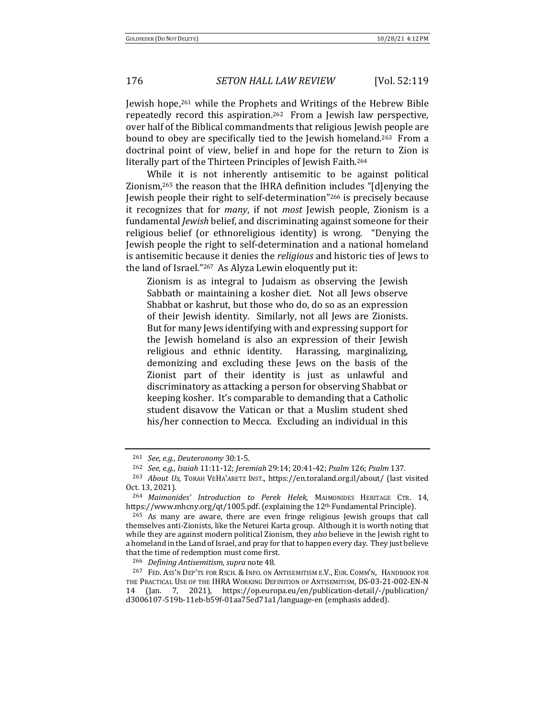Jewish hope,<sup>261</sup> while the Prophets and Writings of the Hebrew Bible repeatedly record this aspiration.<sup>262</sup> From a Jewish law perspective, over half of the Biblical commandments that religious Jewish people are bound to obey are specifically tied to the Jewish homeland.<sup>263</sup> From a doctrinal point of view, belief in and hope for the return to Zion is literally part of the Thirteen Principles of Jewish Faith.<sup>264</sup>

While it is not inherently antisemitic to be against political Zionism,<sup>265</sup> the reason that the IHRA definition includes "[d]enying the Jewish people their right to self-determination"<sup>266</sup> is precisely because it recognizes that for *many*, if not *most* Jewish people, Zionism is a fundamental *Jewish* belief, and discriminating against someone for their religious belief (or ethnoreligious identity) is wrong. "Denying the Jewish people the right to self-determination and a national homeland is antisemitic because it denies the *religious* and historic ties of Jews to the land of Israel."<sup>267</sup> As Alyza Lewin eloquently put it:

Zionism is as integral to Judaism as observing the Jewish Sabbath or maintaining a kosher diet. Not all Jews observe Shabbat or kashrut, but those who do, do so as an expression of their Jewish identity. Similarly, not all Jews are Zionists. But for many Jews identifying with and expressing support for the Jewish homeland is also an expression of their Jewish religious and ethnic identity. Harassing, marginalizing, demonizing and excluding these Jews on the basis of the Zionist part of their identity is just as unlawful and discriminatory as attacking a person for observing Shabbat or keeping kosher. It's comparable to demanding that a Catholic student disavow the Vatican or that a Muslim student shed his/her connection to Mecca. Excluding an individual in this

<sup>261</sup> *See, e.g., Deuteronomy* 30:1-5.

<sup>262</sup> *See, e.g.*, *Isaiah* 11:11-12; *Jeremiah* 29:14; 20:41-42; *Psalm* 126; *Psalm* 137.

<sup>&</sup>lt;sup>263</sup> *About Us,* TORAH VEHA'ARETZ INST., https://en.toraland.org.il/about/ (last visited Oct. 13, 2021).

<sup>264</sup> *Maimonides' Introduction to Perek Helek,* MAIMONIDES HERITAGE CTR. 14, https://www.mhcny.org/qt/1005.pdf. (explaining the 12<sup>th</sup> Fundamental Principle).

 $265$  As many are aware, there are even fringe religious Jewish groups that call themselves anti-Zionists, like the Neturei Karta group. Although it is worth noting that while they are against modern political Zionism, they also believe in the Jewish right to a homeland in the Land of Israel, and pray for that to happen every day. They just believe that the time of redemption must come first.

<sup>&</sup>lt;sup>266</sup> *Defining Antisemitism, supra note 48.* 

<sup>267</sup> FED. ASS'N DEP'TS FOR RSCH. & INFO. ON ANTISEMITISM E.V., EUR. COMM'N, HANDBOOK FOR THE PRACTICAL USE OF THE IHRA WORKING DEFINITION OF ANTISEMITISM, DS-03-21-002-EN-N 14 (Jan. 7, 2021), https://op.europa.eu/en/publication-detail/-/publication/ d3006107-519b-11eb-b59f-01aa75ed71a1/language-en (emphasis added).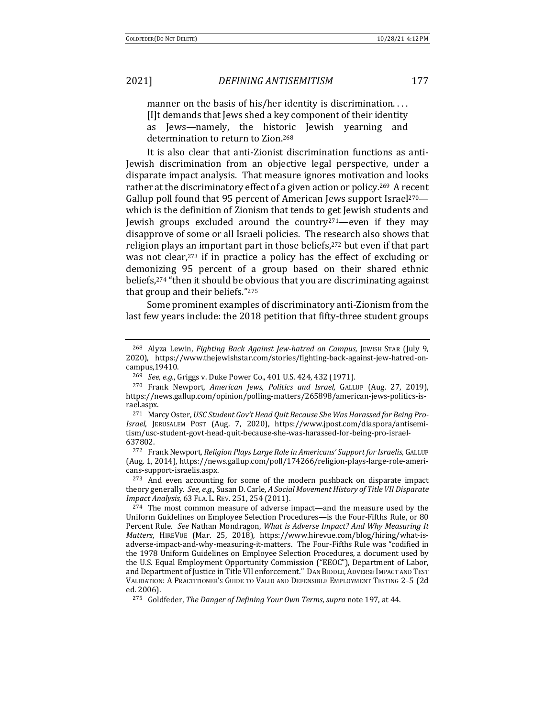manner on the basis of his/her identity is discrimination.... [I]t demands that Jews shed a key component of their identity as Jews—namely, the historic Jewish yearning and determination to return to Zion.<sup>268</sup>

It is also clear that anti-Zionist discrimination functions as anti-Jewish discrimination from an objective legal perspective, under a disparate impact analysis. That measure ignores motivation and looks rather at the discriminatory effect of a given action or policy.<sup>269</sup> A recent Gallup poll found that 95 percent of American Jews support Israel<sup>270</sup> which is the definition of Zionism that tends to get Jewish students and Jewish groups excluded around the country<sup>271</sup>—even if they may disapprove of some or all Israeli policies. The research also shows that religion plays an important part in those beliefs,<sup>272</sup> but even if that part was not clear, $273$  if in practice a policy has the effect of excluding or demonizing 95 percent of a group based on their shared ethnic beliefs, $274$  "then it should be obvious that you are discriminating against that group and their beliefs."275

Some prominent examples of discriminatory anti-Zionism from the last few years include: the 2018 petition that fifty-three student groups

<sup>272</sup> Frank Newport, *Religion Plays Large Role in Americans' Support for Israelis, GALLUP* (Aug. 1, 2014), https://news.gallup.com/poll/174266/religion-plays-large-role-americans-support-israelis.aspx.

<sup>273</sup> And even accounting for some of the modern pushback on disparate impact theory generally. See, e.g., Susan D. Carle, *A Social Movement History of Title VII Disparate Impact Analysis*, 63 FLA. L. REV. 251, 254 (2011).

<sup>&</sup>lt;sup>268</sup> Alyza Lewin, *Fighting Back Against Jew-hatred on Campus*, JEWISH STAR (July 9, 2020), https://www.thejewishstar.com/stories/fighting-back-against-jew-hatred-oncampus,19410.

<sup>&</sup>lt;sup>269</sup> *See, e.g.*, Griggs v. Duke Power Co., 401 U.S. 424, 432 (1971).

<sup>&</sup>lt;sup>270</sup> Frank Newport, *American Jews, Politics and Israel*, GALLUP (Aug. 27, 2019), https://news.gallup.com/opinion/polling-matters/265898/american-jews-politics-israel.aspx.

<sup>&</sup>lt;sup>271</sup> Marcy Oster, *USC Student Gov't Head Quit Because She Was Harassed for Being Pro-Israel*, JERUSALEM POST (Aug. 7, 2020), https://www.jpost.com/diaspora/antisemitism/usc-student-govt-head-quit-because-she-was-harassed-for-being-pro-israel-637802.

 $274$  The most common measure of adverse impact—and the measure used by the Uniform Guidelines on Employee Selection Procedures—is the Four-Fifths Rule, or 80 Percent Rule. See Nathan Mondragon, *What is Adverse Impact? And Why Measuring It Matters*, HIREVUE (Mar. 25, 2018), https://www.hirevue.com/blog/hiring/what-isadverse-impact-and-why-measuring-it-matters. The Four-Fifths Rule was "codified in the 1978 Uniform Guidelines on Employee Selection Procedures, a document used by the U.S. Equal Employment Opportunity Commission ("EEOC"), Department of Labor, and Department of Justice in Title VII enforcement." DAN BIDDLE, ADVERSE IMPACT AND TEST VALIDATION: A PRACTITIONER'S GUIDE TO VALID AND DEFENSIBLE EMPLOYMENT TESTING 2-5 (2d ed. 2006). 

<sup>&</sup>lt;sup>275</sup> Goldfeder, *The Danger of Defining Your Own Terms, supra* note 197, at 44.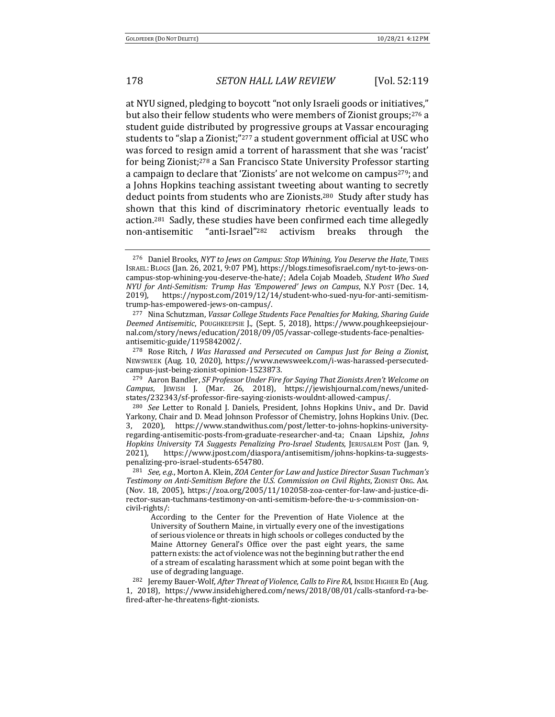at NYU signed, pledging to boycott "not only Israeli goods or initiatives," but also their fellow students who were members of Zionist groups;<sup>276</sup> a student guide distributed by progressive groups at Vassar encouraging students to "slap a Zionist;"<sup>277</sup> a student government official at USC who was forced to resign amid a torrent of harassment that she was 'racist' for being Zionist;<sup>278</sup> a San Francisco State University Professor starting a campaign to declare that 'Zionists' are not welcome on campus<sup>279</sup>; and a Johns Hopkins teaching assistant tweeting about wanting to secretly deduct points from students who are Zionists.<sup>280</sup> Study after study has shown that this kind of discriminatory rhetoric eventually leads to action.<sup>281</sup> Sadly, these studies have been confirmed each time allegedly non-antisemitic "anti-Israel"<sup>282</sup> activism breaks through

<sup>278</sup> Rose Ritch, *I Was Harassed and Persecuted on Campus Just for Being a Zionist,* NEWSWEEK (Aug. 10, 2020), https://www.newsweek.com/i-was-harassed-persecutedcampus-just-being-zionist-opinion-1523873.

<sup>279</sup> Aaron Bandler, *SF Professor Under Fire for Saying That Zionists Aren't Welcome on Campus*, JEWISH J. (Mar. 26, 2018), https://jewishjournal.com/news/unitedstates/232343/sf-professor-fire-saying-zionists-wouldnt-allowed-campus/.

According to the Center for the Prevention of Hate Violence at the University of Southern Maine, in virtually every one of the investigations of serious violence or threats in high schools or colleges conducted by the Maine Attorney General's Office over the past eight years, the same pattern exists: the act of violence was not the beginning but rather the end of a stream of escalating harassment which at some point began with the use of degrading language.

<sup>282</sup> Jeremy Bauer-Wolf, *After Threat of Violence, Calls to Fire RA*, Inside Higher Ed (Aug. 1, 2018), https://www.insidehighered.com/news/2018/08/01/calls-stanford-ra-befired-after-he-threatens-fight-zionists.

<sup>&</sup>lt;sup>276</sup> Daniel Brooks, *NYT* to Jews on Campus: Stop Whining, You Deserve the Hate, TIMES ISRAEL: BLOGS (Jan. 26, 2021, 9:07 PM), https://blogs.timesofisrael.com/nyt-to-jews-oncampus-stop-whining-you-deserve-the-hate/; Adela Cojab Moadeb, *Student Who Sued NYU for Anti-Semitism: Trump Has 'Empowered' Jews on Campus*, N.Y POST (Dec. 14, 2019), https://nypost.com/2019/12/14/student-who-sued-nyu-for-anti-semitismtrump-has-empowered-jews-on-campus/.

<sup>&</sup>lt;sup>277</sup> Nina Schutzman, *Vassar College Students Face Penalties for Making, Sharing Guide* Deemed Antisemitic, POUGHKEEPSIE J., (Sept. 5, 2018), https://www.poughkeepsiejournal.com/story/news/education/2018/09/05/vassar-college-students-face-penaltiesantisemitic-guide/1195842002/.

<sup>&</sup>lt;sup>280</sup> See Letter to Ronald J. Daniels, President, Johns Hopkins Univ., and Dr. David Yarkony, Chair and D. Mead Johnson Professor of Chemistry, Johns Hopkins Univ. (Dec. 3, 2020), https://www.standwithus.com/post/letter-to-johns-hopkins-universityregarding-antisemitic-posts-from-graduate-researcher-and-ta; Cnaan Lipshiz, *Johns Hopkins University TA Suggests Penalizing Pro-Israel Students*, JERUSALEM POST (Jan. 9, 2021), https://www.jpost.com/diaspora/antisemitism/johns-hopkins-ta-suggestspenalizing-pro-israel-students-654780. 

<sup>&</sup>lt;sup>281</sup> *See, e.g.*, Morton A. Klein, *ZOA Center for Law and Justice Director Susan Tuchman's* Testimony on Anti-Semitism Before the U.S. Commission on Civil Rights, ZIONIST ORG. AM. (Nov. 18, 2005), https://zoa.org/2005/11/102058-zoa-center-for-law-and-justice-director-susan-tuchmans-testimony-on-anti-semitism-before-the-u-s-commission-oncivil-rights/: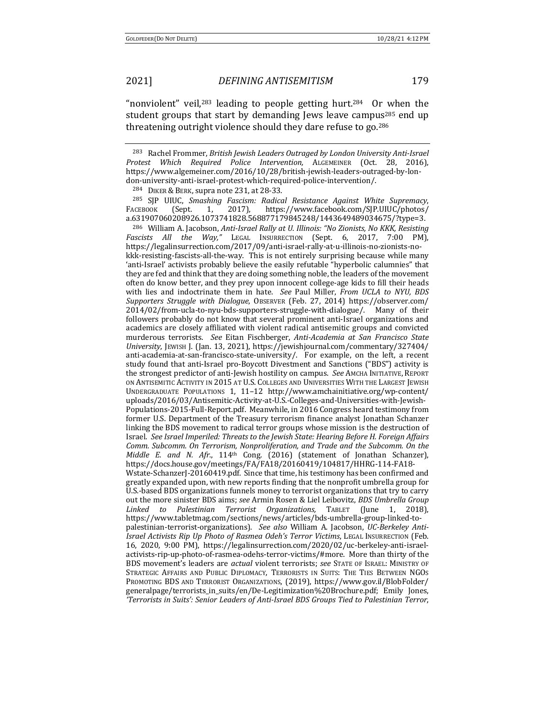"nonviolent" veil,<sup>283</sup> leading to people getting hurt.<sup>284</sup> Or when the student groups that start by demanding Jews leave campus<sup>285</sup> end up threatening outright violence should they dare refuse to go.<sup>286</sup>

<sup>283</sup> Rachel Frommer, *British Jewish Leaders Outraged by London University Anti-Israel Protest Which Required Police Intervention,*  ALGEMEINER (Oct. 28, 2016), https://www.algemeiner.com/2016/10/28/british-jewish-leaders-outraged-by-london-university-anti-israel-protest-which-required-police-intervention/. 

<sup>285</sup> SJP UIUC, *Smashing Fascism: Radical Resistance Against White Supremacy*, FACEBOOK (Sept. 1, 2017), https://www.facebook.com/SJP.UIUC/photos/ a.631907060208926.1073741828.568877179845248/1443649489034675/?type=3.

<sup>286</sup> William A. Jacobson, Anti-Israel Rally at U. Illinois: "No Zionists, No KKK, Resisting Fascists All the Way," LEGAL INSURRECTION (Sept. 6, 2017, 7:00 PM), https://legalinsurrection.com/2017/09/anti-israel-rally-at-u-illinois-no-zionists-nokkk-resisting-fascists-all-the-way. This is not entirely surprising because while many 'anti-Israel' activists probably believe the easily refutable "hyperbolic calumnies" that they are fed and think that they are doing something noble, the leaders of the movement often do know better, and they prey upon innocent college-age kids to fill their heads with lies and indoctrinate them in hate. See Paul Miller, *From UCLA to NYU, BDS Supporters Struggle with Dialogue*, OBSERVER (Feb. 27, 2014) https://observer.com/ 2014/02/from-ucla-to-nyu-bds-supporters-struggle-with-dialogue/. Many of their followers probably do not know that several prominent anti-Israel organizations and academics are closely affiliated with violent radical antisemitic groups and convicted murderous terrorists. See Eitan Fischberger, Anti-Academia at San Francisco State *University*, [EWISH J. (Jan. 13, 2021), https://jewishjournal.com/commentary/327404/ anti-academia-at-san-francisco-state-university/. For example, on the left, a recent study found that anti-Israel pro-Boycott Divestment and Sanctions ("BDS") activity is the strongest predictor of anti-Jewish hostility on campus. See AMCHA INITIATIVE, REPORT ON ANTISEMITIC ACTIVITY IN 2015 AT U.S. COLLEGES AND UNIVERSITIES WITH THE LARGEST JEWISH UNDERGRADUATE POPULATIONS 1, 11-12 http://www.amchainitiative.org/wp-content/ uploads/2016/03/Antisemitic-Activity-at-U.S.-Colleges-and-Universities-with-Jewish-Populations-2015-Full-Report.pdf. Meanwhile, in 2016 Congress heard testimony from former U.S. Department of the Treasury terrorism finance analyst Jonathan Schanzer linking the BDS movement to radical terror groups whose mission is the destruction of Israel. See Israel Imperiled: Threats to the Jewish State: Hearing Before H. Foreign Affairs *Comm. Subcomm. On Terrorism, Nonproliferation, and Trade and the Subcomm. On the Middle E. and N. Afr.*, 114<sup>th</sup> Cong. (2016) (statement of Jonathan Schanzer), https://docs.house.gov/meetings/FA/FA18/20160419/104817/HHRG-114-FA18- Wstate-SchanzerJ-20160419.pdf. Since that time, his testimony has been confirmed and greatly expanded upon, with new reports finding that the nonprofit umbrella group for U.S.-based BDS organizations funnels money to terrorist organizations that try to carry out the more sinister BDS aims; see Armin Rosen & Liel Leibovitz, *BDS Umbrella Group Linked to Palestinian Terrorist Organizations,*  TABLET (June 1, 2018), https://www.tabletmag.com/sections/news/articles/bds-umbrella-group-linked-topalestinian-terrorist-organizations). See also William A. Jacobson, UC-Berkeley Anti-*Israel Activists Rip Up Photo of Rasmea Odeh's Terror Victims*, LEGAL INSURRECTION (Feb. 16, 2020, 9:00 PM), https://legalinsurrection.com/2020/02/uc-berkeley-anti-israelactivists-rip-up-photo-of-rasmea-odehs-terror-victims/#more. More than thirty of the BDS movement's leaders are *actual* violent terrorists; see STATE OF ISRAEL: MINISTRY OF STRATEGIC AFFAIRS AND PUBLIC DIPLOMACY, TERRORISTS IN SUITS: THE TIES BETWEEN NGOS PROMOTING BDS AND TERRORIST ORGANIZATIONS, (2019), https://www.gov.il/BlobFolder/ generalpage/terrorists\_in\_suits/en/De-Legitimization%20Brochure.pdf; Emily Iones, *'Terrorists in Suits': Senior Leaders of Anti-Israel BDS Groups Tied to Palestinian Terror,* 

<sup>&</sup>lt;sup>284</sup> DIKER & BERK, supra note 231, at 28-33.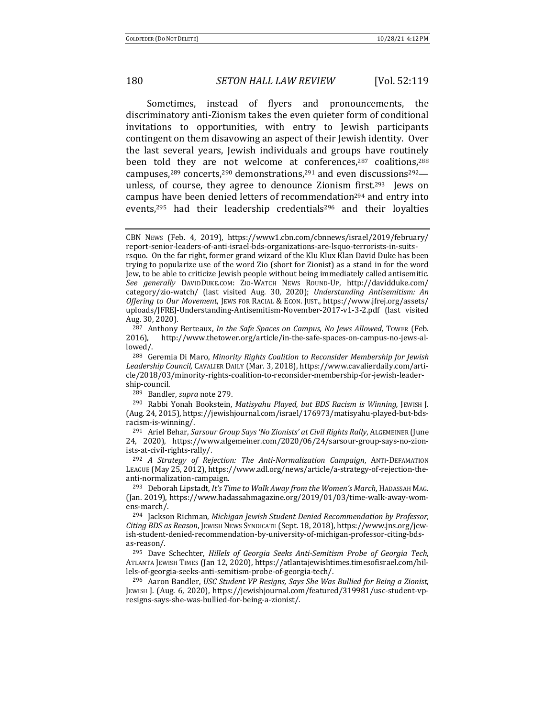Sometimes, instead of flyers and pronouncements, the discriminatory anti-Zionism takes the even quieter form of conditional invitations to opportunities, with entry to Jewish participants contingent on them disavowing an aspect of their Jewish identity. Over the last several years, Jewish individuals and groups have routinely been told they are not welcome at conferences, $287$  coalitions, $288$ campuses, $289$  concerts, $290$  demonstrations, $291$  and even discussions $292$  unless, of course, they agree to denounce Zionism first.<sup>293</sup> lews on campus have been denied letters of recommendation<sup>294</sup> and entry into events,<sup>295</sup> had their leadership credentials<sup>296</sup> and their loyalties

<sup>287</sup> Anthony Berteaux, *In the Safe Spaces on Campus, No Jews Allowed,* Tower (Feb. 2016), http://www.thetower.org/article/in-the-safe-spaces-on-campus-no-jews-allowed/. 

<sup>289</sup> Bandler, *supra* note 279.

<sup>290</sup> Rabbi Yonah Bookstein, *Matisyahu Played, but BDS Racism is Winning*, [EWISH ]. (Aug. 24, 2015), https://jewishjournal.com/israel/176973/matisyahu-played-but-bdsracism-is-winning/.

<sup>291</sup> Ariel Behar, *Sarsour Group Says 'No Zionists' at Civil Rights Rally*, ALGEMEINER (June 24, 2020), https://www.algemeiner.com/2020/06/24/sarsour-group-says-no-zionists-at-civil-rights-rally/.

<sup>292</sup> *A Strategy of Rejection: The Anti-Normalization Campaign, ANTI-DEFAMATION* LEAGUE (May 25, 2012), https://www.adl.org/news/article/a-strategy-of-rejection-theanti-normalization-campaign.

<sup>293</sup> Deborah Lipstadt, *It's Time to Walk Away from the Women's March*, HADASSAH MAG. (Jan. 2019), https://www.hadassahmagazine.org/2019/01/03/time-walk-away-womens-march/.

<sup>295</sup> Dave Schechter, *Hillels of Georgia Seeks Anti-Semitism Probe of Georgia Tech*, ATLANTA JEWISH TIMES (Jan 12, 2020), https://atlantajewishtimes.timesofisrael.com/hillels-of-georgia-seeks-anti-semitism-probe-of-georgia-tech/.

<sup>296</sup> Aaron Bandler, *USC Student VP Resigns, Says She Was Bullied for Being a Zionist*, JEWISH J. (Aug. 6, 2020), https://jewishjournal.com/featured/319981/usc-student-vpresigns-says-she-was-bullied-for-being-a-zionist/.

CBN NEWS (Feb. 4, 2019), https://www1.cbn.com/cbnnews/israel/2019/february/ report-senior-leaders-of-anti-israel-bds-organizations-are-lsquo-terrorists-in-suits-

rsquo. On the far right, former grand wizard of the Klu Klux Klan David Duke has been trying to popularize use of the word Zio (short for Zionist) as a stand in for the word Jew, to be able to criticize Jewish people without being immediately called antisemitic. *See generally*  DAVIDDUKE.COM: ZIO-WATCH NEWS ROUND-UP, http://davidduke.com/ category/zio-watch/ (last visited Aug. 30, 2020); *Understanding Antisemitism: An Offering to Our Movement*, JEWS FOR RACIAL & ECON. JUST., https://www.jfrej.org/assets/ uploads/JFREJ-Understanding-Antisemitism-November-2017-v1-3-2.pdf (last visited Aug. 30, 2020).

<sup>&</sup>lt;sup>288</sup> Geremia Di Maro, *Minority Rights Coalition to Reconsider Membership for Jewish* Leadership Council, CAVALIER DAILY (Mar. 3, 2018), https://www.cavalierdaily.com/article/2018/03/minority-rights-coalition-to-reconsider-membership-for-jewish-leadership-council.

<sup>&</sup>lt;sup>294</sup> Jackson Richman, *Michigan Jewish Student Denied Recommendation by Professor, Citing BDS as Reason*, JEWISH NEWS SYNDICATE (Sept. 18, 2018), https://www.jns.org/jewish-student-denied-recommendation-by-university-of-michigan-professor-citing-bdsas-reason/.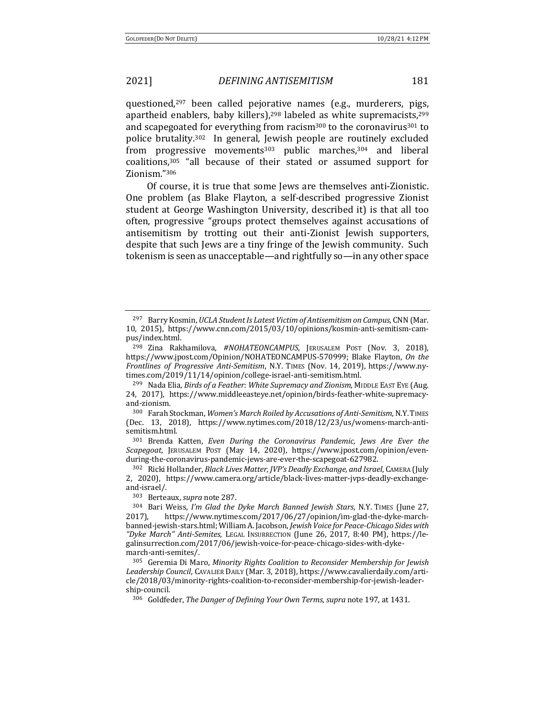questioned,<sup>297</sup> been called pejorative names (e.g., murderers, pigs, apartheid enablers, baby killers),<sup>298</sup> labeled as white supremacists,<sup>299</sup> and scapegoated for everything from racism<sup>300</sup> to the coronavirus<sup>301</sup> to police brutality.<sup>302</sup> In general, Jewish people are routinely excluded from progressive movements<sup>303</sup> public marches,<sup>304</sup> and liberal coalitions,<sup>305</sup> "all because of their stated or assumed support for Zionism."306

Of course, it is true that some Jews are themselves anti-Zionistic. One problem (as Blake Flayton, a self-described progressive Zionist student at George Washington University, described it) is that all too often, progressive "groups protect themselves against accusations of antisemitism by trotting out their anti-Zionist Jewish supporters, despite that such Jews are a tiny fringe of the Jewish community. Such tokenism is seen as unacceptable—and rightfully so—in any other space

<sup>301</sup> Brenda Katten, *Even During the Coronavirus Pandemic*, *Jews Are Ever the Scapegoat*, JERUSALEM POST (May 14, 2020), https://www.jpost.com/opinion/evenduring-the-coronavirus-pandemic-jews-are-ever-the-scapegoat-627982.

302 Ricki Hollander, *Black Lives Matter, JVP's Deadly Exchange, and Israel*, CAMERA (July 2, 2020), https://www.camera.org/article/black-lives-matter-jvps-deadly-exchangeand-israel/.

303 Berteaux, *supra* note 287.

<sup>&</sup>lt;sup>297</sup> Barry Kosmin, *UCLA Student Is Latest Victim of Antisemitism on Campus*, CNN (Mar. 10, 2015), https://www.cnn.com/2015/03/10/opinions/kosmin-anti-semitism-campus/index.html.

<sup>&</sup>lt;sup>298</sup> Zina Rakhamilova, #NOHATEONCAMPUS, JERUSALEM POST (Nov. 3, 2018), https://www.jpost.com/Opinion/NOHATEONCAMPUS-570999; Blake Flayton, On the *Frontlines of Progressive Anti-Semitism*, N.Y. TIMES (Nov. 14, 2019), https://www.nytimes.com/2019/11/14/opinion/college-israel-anti-semitism.html.

<sup>&</sup>lt;sup>299</sup> Nada Elia, *Birds of a Feather: White Supremacy and Zionism*, MIDDLE EAST EYE (Aug. 24, 2017), https://www.middleeasteye.net/opinion/birds-feather-white-supremacyand-zionism.

<sup>300</sup> Farah Stockman, *Women's March Roiled by Accusations of Anti-Semitism*, N.Y. TIMES (Dec. 13, 2018), https://www.nytimes.com/2018/12/23/us/womens-march-antisemitism.html.

<sup>304</sup> Bari Weiss, I'm Glad the Dyke March Banned Jewish Stars, N.Y. TIMES (June 27, 2017), https://www.nytimes.com/2017/06/27/opinion/im-glad-the-dyke-marchbanned-jewish-stars.html; William A. Jacobson, *Jewish Voice for Peace-Chicago Sides with "Dyke March" Anti-Semites*, LEGAL INSURRECTION (June 26, 2017, 8:40 PM), https://legalinsurrection.com/2017/06/jewish-voice-for-peace-chicago-sides-with-dykemarch-anti-semites/.

<sup>&</sup>lt;sup>305</sup> Geremia Di Maro, *Minority Rights Coalition to Reconsider Membership for Jewish* Leadership Council, CAVALIER DAILY (Mar. 3, 2018), https://www.cavalierdaily.com/article/2018/03/minority-rights-coalition-to-reconsider-membership-for-jewish-leadership-council.

<sup>306</sup> Goldfeder, *The Danger of Defining Your Own Terms*, *supra* note 197, at 1431.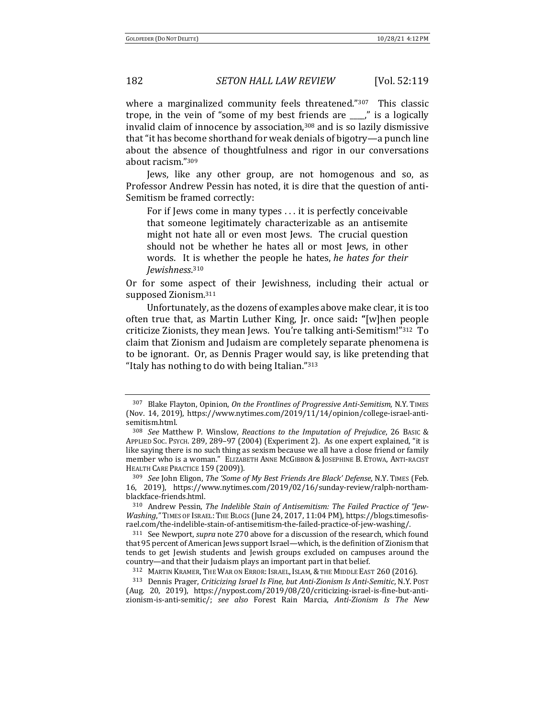where a marginalized community feels threatened."<sup>307</sup> This classic trope, in the vein of "some of my best friends are  $\frac{1}{\sqrt{2}}$ " is a logically invalid claim of innocence by association,<sup>308</sup> and is so lazily dismissive that "it has become shorthand for weak denials of bigotry—a punch line about the absence of thoughtfulness and rigor in our conversations about racism."309

Jews, like any other group, are not homogenous and so, as Professor Andrew Pessin has noted, it is dire that the question of anti-Semitism be framed correctly:

For if lews come in many types  $\dots$  it is perfectly conceivable that someone legitimately characterizable as an antisemite might not hate all or even most Jews. The crucial question should not be whether he hates all or most Jews, in other words. It is whether the people he hates, *he hates for their Jewishness*. 310 

Or for some aspect of their Jewishness, including their actual or supposed Zionism.<sup>311</sup>

Unfortunately, as the dozens of examples above make clear, it is too often true that, as Martin Luther King, Jr. once said: "[w]hen people criticize Zionists, they mean Jews. You're talking anti-Semitism!"312 To claim that Zionism and Judaism are completely separate phenomena is to be ignorant. Or, as Dennis Prager would say, is like pretending that "Italy has nothing to do with being Italian." $313$ 

<sup>307</sup> Blake Flayton, Opinion, On the Frontlines of Progressive Anti-Semitism, N.Y. TIMES (Nov. 14, 2019), https://www.nytimes.com/2019/11/14/opinion/college-israel-antisemitism.html.

<sup>&</sup>lt;sup>308</sup> See Matthew P. Winslow, Reactions to the Imputation of Prejudice, 26 BASIC & APPLIED Soc. PSYCH. 289, 289-97 (2004) (Experiment 2). As one expert explained, "it is like saying there is no such thing as sexism because we all have a close friend or family member who is a woman." ELIZABETH ANNE MCGIBBON & JOSEPHINE B. ETOWA, ANTI-RACIST HEALTH CARE PRACTICE 159 (2009)).

<sup>309</sup> *See* John Eligon, *The 'Some of My Best Friends Are Black' Defense*, N.Y. TIMES (Feb. 16, 2019), https://www.nytimes.com/2019/02/16/sunday-review/ralph-northamblackface-friends.html. 

<sup>&</sup>lt;sup>310</sup> Andrew Pessin, *The Indelible Stain of Antisemitism: The Failed Practice of "Jew-Washing*," TIMES OF ISRAEL: THE BLOGS (June 24, 2017, 11:04 PM), https://blogs.timesofisrael.com/the-indelible-stain-of-antisemitism-the-failed-practice-of-jew-washing/.

<sup>&</sup>lt;sup>311</sup> See Newport, *supra* note 270 above for a discussion of the research, which found that 95 percent of American Jews support Israel—which, is the definition of Zionism that tends to get Jewish students and Jewish groups excluded on campuses around the country—and that their Judaism plays an important part in that belief.

<sup>312</sup> MARTIN KRAMER, THE WAR ON ERROR: ISRAEL, ISLAM, & THE MIDDLE EAST 260 (2016).

<sup>313</sup> Dennis Prager, *Criticizing Israel Is Fine, but Anti-Zionism Is Anti-Semitic*, N.Y. Post (Aug. 20, 2019), https://nypost.com/2019/08/20/criticizing-israel-is-fine-but-antizionism-is-anti-semitic/; *see also* Forest Rain Marcia, *Anti-Zionism Is The New*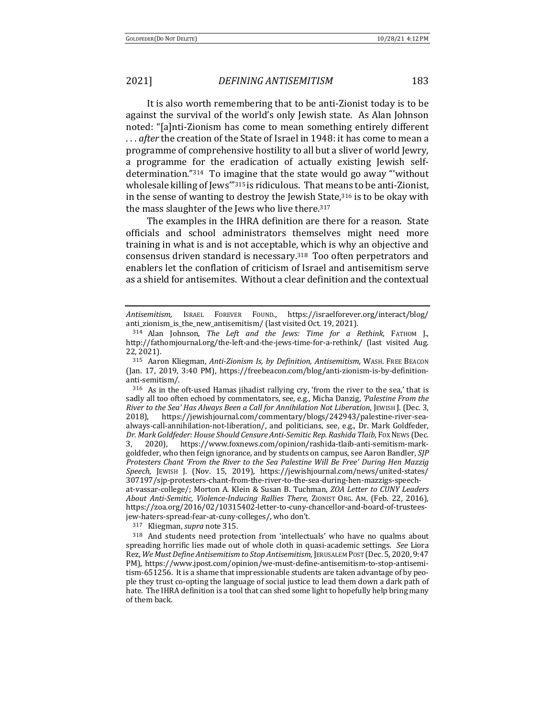It is also worth remembering that to be anti-Zionist today is to be against the survival of the world's only Jewish state. As Alan Johnson noted: "[a]nti-Zionism has come to mean something entirely different ... *after* the creation of the State of Israel in 1948: it has come to mean a programme of comprehensive hostility to all but a sliver of world Jewry, a programme for the eradication of actually existing Jewish selfdetermination." $314$  To imagine that the state would go away "without wholesale killing of Jews" $315$  is ridiculous. That means to be anti-Zionist, in the sense of wanting to destroy the Jewish State, $316$  is to be okay with the mass slaughter of the Jews who live there.<sup>317</sup>

The examples in the IHRA definition are there for a reason. State officials and school administrators themselves might need more training in what is and is not acceptable, which is why an objective and consensus driven standard is necessary.<sup>318</sup> Too often perpetrators and enablers let the conflation of criticism of Israel and antisemitism serve as a shield for antisemites. Without a clear definition and the contextual

317 Kliegman, *supra* note 315.

*Antisemitism*, ISRAEL FOREVER FOUND., https://israelforever.org/interact/blog/ anti\_zionism\_is\_the\_new\_antisemitism/ (last visited Oct. 19, 2021).

<sup>&</sup>lt;sup>314</sup> Alan Johnson, *The Left and the Jews: Time for a Rethink*, FATHOM J., http://fathomjournal.org/the-left-and-the-jews-time-for-a-rethink/ (last visited Aug. 22, 2021). 

<sup>315</sup> Aaron Kliegman, *Anti-Zionism Is, by Definition, Antisemitism*, WASH. FREE BEACON (Jan. 17, 2019, 3:40 PM), https://freebeacon.com/blog/anti-zionism-is-by-definitionanti-semitism/. 

 $316$  As in the oft-used Hamas jihadist rallying cry, 'from the river to the sea,' that is sadly all too often echoed by commentators, see, e.g., Micha Danzig, 'Palestine From the *River to the Sea' Has Always Been a Call for Annihilation Not Liberation, JEWISH J. (Dec. 3,* 2018), https://jewishjournal.com/commentary/blogs/242943/palestine-river-seaalways-call-annihilation-not-liberation/, and politicians, see, e.g., Dr. Mark Goldfeder, *Dr. Mark Goldfeder: House Should Censure Anti-Semitic Rep. Rashida Tlaib*, FOX NEWS (Dec. 3, 2020), https://www.foxnews.com/opinion/rashida-tlaib-anti-semitism-markgoldfeder, who then feign ignorance, and by students on campus, see Aaron Bandler, SJP *Protesters Chant 'From the River to the Sea Palestine Will Be Free' During Hen Mazzig* Speech, JEWISH J. (Nov. 15, 2019), https://jewishjournal.com/news/united-states/ 307197/sjp-protesters-chant-from-the-river-to-the-sea-during-hen-mazzigs-speechat-vassar-college/; Morton A. Klein & Susan B. Tuchman, *ZOA Letter to CUNY Leaders* About Anti-Semitic, Violence-Inducing Rallies There, ZIONIST ORG. AM. (Feb. 22, 2016), https://zoa.org/2016/02/10315402-letter-to-cuny-chancellor-and-board-of-trusteesjew-haters-spread-fear-at-cuny-colleges/, who don't.

<sup>&</sup>lt;sup>318</sup> And students need protection from 'intellectuals' who have no qualms about spreading horrific lies made out of whole cloth in quasi-academic settings. See Liora Rez, We Must Define Antisemitism to Stop Antisemitism, [ERUSALEM POST (Dec. 5, 2020, 9:47 PM), https://www.jpost.com/opinion/we-must-define-antisemitism-to-stop-antisemitism-651256. It is a shame that impressionable students are taken advantage of by people they trust co-opting the language of social justice to lead them down a dark path of hate. The IHRA definition is a tool that can shed some light to hopefully help bring many of them back.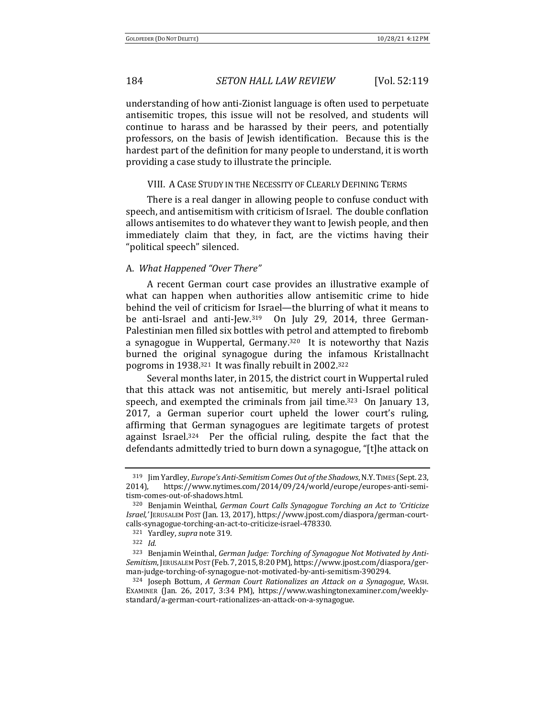understanding of how anti-Zionist language is often used to perpetuate antisemitic tropes, this issue will not be resolved, and students will continue to harass and be harassed by their peers, and potentially professors, on the basis of Jewish identification. Because this is the hardest part of the definition for many people to understand, it is worth providing a case study to illustrate the principle.

### VIII. A CASE STUDY IN THE NECESSITY OF CLEARLY DEFINING TERMS

There is a real danger in allowing people to confuse conduct with speech, and antisemitism with criticism of Israel. The double conflation allows antisemites to do whatever they want to Jewish people, and then immediately claim that they, in fact, are the victims having their "political speech" silenced.

# A. *What Happened "Over There"*

A recent German court case provides an illustrative example of what can happen when authorities allow antisemitic crime to hide behind the veil of criticism for Israel—the blurring of what it means to be anti-Israel and anti-Jew.<sup>319</sup> On July 29, 2014, three German-Palestinian men filled six bottles with petrol and attempted to firebomb a synagogue in Wuppertal, Germany. $320$  It is noteworthy that Nazis burned the original synagogue during the infamous Kristallnacht pogroms in 1938.<sup>321</sup> It was finally rebuilt in 2002.<sup>322</sup>

Several months later, in 2015, the district court in Wuppertal ruled that this attack was not antisemitic, but merely anti-Israel political speech, and exempted the criminals from jail time.<sup>323</sup> On January 13, 2017, a German superior court upheld the lower court's ruling, affirming that German synagogues are legitimate targets of protest against Israel. $324$  Per the official ruling, despite the fact that the defendants admittedly tried to burn down a synagogue, "[t]he attack on

<sup>&</sup>lt;sup>319</sup> Jim Yardley, *Europe's Anti-Semitism Comes Out of the Shadows*, N.Y. TIMES (Sept. 23, 2014), https://www.nytimes.com/2014/09/24/world/europe/europes-anti-semitism-comes-out-of-shadows.html.

<sup>&</sup>lt;sup>320</sup> Benjamin Weinthal, *German Court Calls Synagogue Torching an Act to 'Criticize Israel*,*'* JERUSALEM POST (Jan. 13, 2017), https://www.jpost.com/diaspora/german-courtcalls-synagogue-torching-an-act-to-criticize-israel-478330.

<sup>&</sup>lt;sup>321</sup> Yardley, *supra* note 319.

<sup>322</sup> *Id.*

<sup>&</sup>lt;sup>323</sup> Benjamin Weinthal, German Judge: Torching of Synagogue Not Motivated by Anti-Semitism, JERUSALEM POST (Feb. 7, 2015, 8:20 PM), https://www.jpost.com/diaspora/german-judge-torching-of-synagogue-not-motivated-by-anti-semitism-390294.

<sup>324</sup> Joseph Bottum, A German Court Rationalizes an Attack on a Synagogue, WASH. EXAMINER (Jan. 26, 2017, 3:34 PM), https://www.washingtonexaminer.com/weeklystandard/a-german-court-rationalizes-an-attack-on-a-synagogue.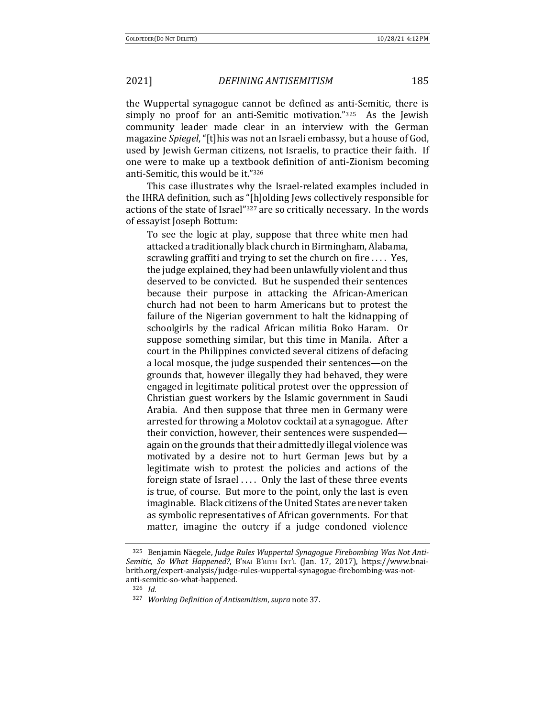the Wuppertal synagogue cannot be defined as anti-Semitic, there is simply no proof for an anti-Semitic motivation." $325$  As the Jewish community leader made clear in an interview with the German magazine *Spiegel*, "[t]his was not an Israeli embassy, but a house of God, used by Jewish German citizens, not Israelis, to practice their faith. If one were to make up a textbook definition of anti-Zionism becoming anti-Semitic, this would be it."326

This case illustrates why the Israel-related examples included in the IHRA definition, such as "[h]olding Jews collectively responsible for actions of the state of Israel"<sup>327</sup> are so critically necessary. In the words of essayist Joseph Bottum:

To see the logic at play, suppose that three white men had attacked a traditionally black church in Birmingham, Alabama, scrawling graffiti and trying to set the church on fire  $\dots$ . Yes, the judge explained, they had been unlawfully violent and thus deserved to be convicted. But he suspended their sentences because their purpose in attacking the African-American church had not been to harm Americans but to protest the failure of the Nigerian government to halt the kidnapping of schoolgirls by the radical African militia Boko Haram. Or suppose something similar, but this time in Manila. After a court in the Philippines convicted several citizens of defacing a local mosque, the judge suspended their sentences—on the grounds that, however illegally they had behaved, they were engaged in legitimate political protest over the oppression of Christian guest workers by the Islamic government in Saudi Arabia. And then suppose that three men in Germany were arrested for throwing a Molotov cocktail at a synagogue. After their conviction, however, their sentences were suspended again on the grounds that their admittedly illegal violence was motivated by a desire not to hurt German Jews but by a legitimate wish to protest the policies and actions of the foreign state of Israel  $\dots$  Only the last of these three events is true, of course. But more to the point, only the last is even imaginable. Black citizens of the United States are never taken as symbolic representatives of African governments. For that matter, imagine the outcry if a judge condoned violence

<sup>&</sup>lt;sup>325</sup> Benjamin Näegele, Judge Rules Wuppertal Synagogue Firebombing Was Not Anti-*Semitic, So What Happened?*, B'NAI B'RITH INT'L (Jan. 17, 2017), https://www.bnaibrith.org/expert-analysis/judge-rules-wuppertal-synagogue-firebombing-was-notanti-semitic-so-what-happened.

<sup>326</sup> *Id.*

<sup>327</sup> *Working Definition of Antisemitism, supra note 37.*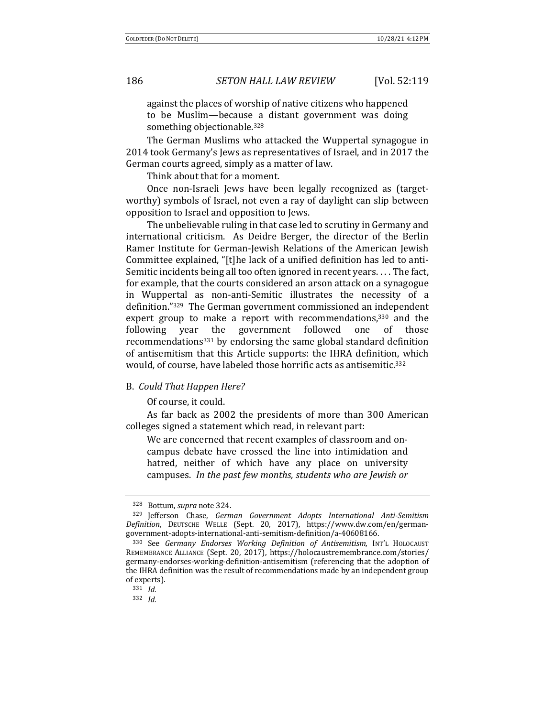against the places of worship of native citizens who happened to be Muslim—because a distant government was doing something objectionable.<sup>328</sup>

The German Muslims who attacked the Wuppertal synagogue in 2014 took Germany's Jews as representatives of Israel, and in 2017 the German courts agreed, simply as a matter of law.

Think about that for a moment.

Once non-Israeli Jews have been legally recognized as (targetworthy) symbols of Israel, not even a ray of daylight can slip between opposition to Israel and opposition to Jews.

The unbelievable ruling in that case led to scrutiny in Germany and international criticism. As Deidre Berger, the director of the Berlin Ramer Institute for German-Jewish Relations of the American Jewish Committee explained, "[t]he lack of a unified definition has led to anti-Semitic incidents being all too often ignored in recent years.  $\dots$  The fact, for example, that the courts considered an arson attack on a synagogue in Wuppertal as non-anti-Semitic illustrates the necessity of a definition."<sup>329</sup> The German government commissioned an independent expert group to make a report with recommendations, $330$  and the following year the government followed one of those recommendations<sup>331</sup> by endorsing the same global standard definition of antisemitism that this Article supports: the IHRA definition, which would, of course, have labeled those horrific acts as antisemitic.<sup>332</sup>

### B. *Could That Happen Here?*

Of course, it could.

As far back as 2002 the presidents of more than 300 American colleges signed a statement which read, in relevant part:

We are concerned that recent examples of classroom and oncampus debate have crossed the line into intimidation and hatred, neither of which have any place on university campuses. In the past few months, students who are *Jewish or* 

<sup>&</sup>lt;sup>328</sup> Bottum, *supra* note 324.

<sup>&</sup>lt;sup>329</sup> Jefferson Chase, *German Government Adopts International Anti-Semitism Definition*, DEUTSCHE WELLE (Sept. 20, 2017), https://www.dw.com/en/germangovernment-adopts-international-anti-semitism-definition/a-40608166.

<sup>330</sup> See Germany Endorses Working Definition of Antisemitism, INT'L HOLOCAUST REMEMBRANCE ALLIANCE (Sept. 20, 2017), https://holocaustremembrance.com/stories/ germany-endorses-working-definition-antisemitism (referencing that the adoption of the IHRA definition was the result of recommendations made by an independent group of experts).

<sup>331</sup> *Id.*

<sup>332</sup> *Id.*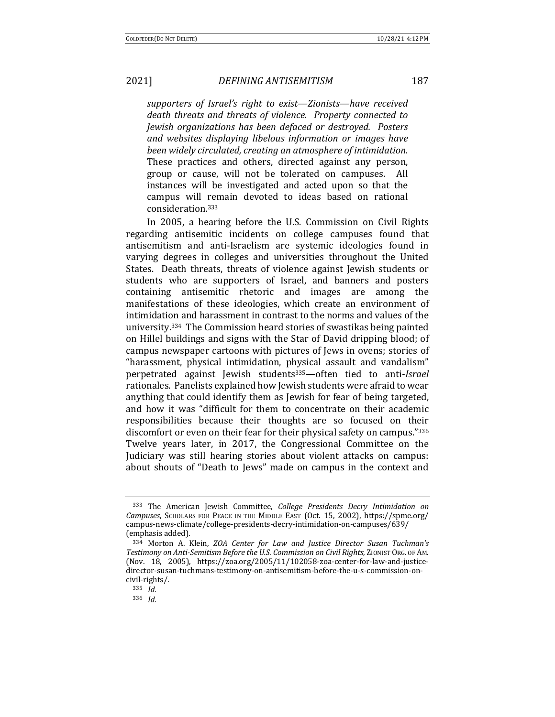supporters of Israel's right to exist-Zionists-have received death threats and threats of violence. Property connected to *Jewish organizations has been defaced or destroyed. Posters* and websites displaying libelous information or *images* have *been* widely circulated, creating an atmosphere of intimidation. These practices and others, directed against any person, group or cause, will not be tolerated on campuses. All instances will be investigated and acted upon so that the campus will remain devoted to ideas based on rational consideration.333

In 2005, a hearing before the U.S. Commission on Civil Rights regarding antisemitic incidents on college campuses found that antisemitism and anti-Israelism are systemic ideologies found in varying degrees in colleges and universities throughout the United States. Death threats, threats of violence against Jewish students or students who are supporters of Israel, and banners and posters containing antisemitic rhetoric and images are among the manifestations of these ideologies, which create an environment of intimidation and harassment in contrast to the norms and values of the university.<sup>334</sup> The Commission heard stories of swastikas being painted on Hillel buildings and signs with the Star of David dripping blood; of campus newspaper cartoons with pictures of Jews in ovens; stories of "harassment, physical intimidation, physical assault and vandalism" perpetrated against Jewish students335—often tied to anti-*Israel* rationales. Panelists explained how Jewish students were afraid to wear anything that could identify them as Jewish for fear of being targeted, and how it was "difficult for them to concentrate on their academic responsibilities because their thoughts are so focused on their discomfort or even on their fear for their physical safety on campus."336 Twelve years later, in 2017, the Congressional Committee on the Judiciary was still hearing stories about violent attacks on campus: about shouts of "Death to Jews" made on campus in the context and

<sup>333</sup> The American Jewish Committee, *College Presidents Decry Intimidation on Campuses*, SCHOLARS FOR PEACE IN THE MIDDLE EAST (Oct. 15, 2002), https://spme.org/ campus-news-climate/college-presidents-decry-intimidation-on-campuses/639/ (emphasis added).

<sup>&</sup>lt;sup>334</sup> Morton A. Klein, *ZOA Center for Law and Justice Director Susan Tuchman's* Testimony on Anti-Semitism Before the U.S. Commission on Civil Rights, ZIONIST ORG. OF AM. (Nov. 18, 2005), https://zoa.org/2005/11/102058-zoa-center-for-law-and-justicedirector-susan-tuchmans-testimony-on-antisemitism-before-the-u-s-commission-oncivil-rights/.

<sup>335</sup> *Id.*

<sup>336</sup> *Id.*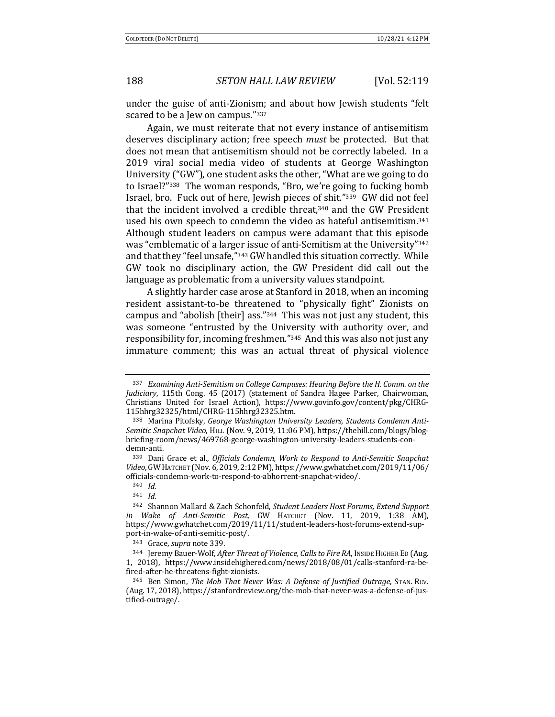under the guise of anti-Zionism; and about how Jewish students "felt scared to be a Jew on campus."337

Again, we must reiterate that not every instance of antisemitism deserves disciplinary action; free speech *must* be protected. But that does not mean that antisemitism should not be correctly labeled. In a 2019 viral social media video of students at George Washington University ("GW"), one student asks the other, "What are we going to do to Israel?"<sup>338</sup> The woman responds, "Bro, we're going to fucking bomb Israel, bro. Fuck out of here, Jewish pieces of shit."339 GW did not feel that the incident involved a credible threat, $340$  and the GW President used his own speech to condemn the video as hateful antisemitism.<sup>341</sup> Although student leaders on campus were adamant that this episode was "emblematic of a larger issue of anti-Semitism at the University"<sup>342</sup> and that they "feel unsafe,"343 GW handled this situation correctly. While GW took no disciplinary action, the GW President did call out the language as problematic from a university values standpoint.

A slightly harder case arose at Stanford in 2018, when an incoming resident assistant-to-be threatened to "physically fight" Zionists on campus and "abolish [their] ass." $344$  This was not just any student, this was someone "entrusted by the University with authority over, and responsibility for, incoming freshmen."<sup>345</sup> And this was also not just any immature comment; this was an actual threat of physical violence

<sup>337</sup> *Examining Anti-Semitism on College Campuses: Hearing Before the H. Comm. on the* Judiciary, 115th Cong. 45 (2017) (statement of Sandra Hagee Parker, Chairwoman, Christians United for Israel Action), https://www.govinfo.gov/content/pkg/CHRG-115hhrg32325/html/CHRG-115hhrg32325.htm.

<sup>&</sup>lt;sup>338</sup> Marina Pitofsky, George Washington University Leaders, Students Condemn Anti-*Semitic Snapchat Video*, HILL (Nov. 9, 2019, 11:06 PM), https://thehill.com/blogs/blogbriefing-room/news/469768-george-washington-university-leaders-students-condemn-anti.

<sup>&</sup>lt;sup>339</sup> Dani Grace et al., *Officials Condemn, Work to Respond to Anti-Semitic Snapchat Video*, GW HATCHET (Nov. 6, 2019, 2:12 PM), https://www.gwhatchet.com/2019/11/06/ officials-condemn-work-to-respond-to-abhorrent-snapchat-video/.

<sup>340</sup> *Id.*

<sup>341</sup> *Id.*

<sup>&</sup>lt;sup>342</sup> Shannon Mallard & Zach Schonfeld, *Student Leaders Host Forums, Extend Support in* Wake of Anti-Semitic Post, GW HATCHET (Nov. 11, 2019, 1:38 AM), https://www.gwhatchet.com/2019/11/11/student-leaders-host-forums-extend-support-in-wake-of-anti-semitic-post/.

<sup>343</sup> Grace, *supra* note 339.

<sup>344</sup> Jeremy Bauer-Wolf, *After Threat of Violence, Calls to Fire RA*, INSIDE HIGHER ED (Aug. 1, 2018), https://www.insidehighered.com/news/2018/08/01/calls-stanford-ra-befired-after-he-threatens-fight-zionists.

<sup>345</sup> Ben Simon, *The Mob That Never Was: A Defense of Justified Outrage*, STAN. REV. (Aug. 17, 2018), https://stanfordreview.org/the-mob-that-never-was-a-defense-of-justified-outrage/.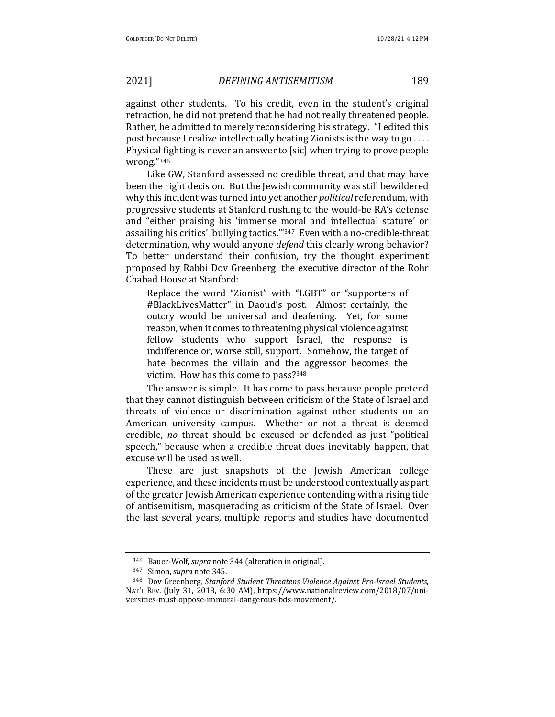against other students. To his credit, even in the student's original retraction, he did not pretend that he had not really threatened people. Rather, he admitted to merely reconsidering his strategy. "I edited this post because I realize intellectually beating Zionists is the way to go  $\dots$ . Physical fighting is never an answer to [sic] when trying to prove people wrong."346

Like GW, Stanford assessed no credible threat, and that may have been the right decision. But the Jewish community was still bewildered why this incident was turned into yet another *political* referendum, with progressive students at Stanford rushing to the would-be RA's defense and "either praising his 'immense moral and intellectual stature' or assailing his critics' 'bullying tactics.'"<sup>347</sup> Even with a no-credible-threat determination, why would anyone *defend* this clearly wrong behavior? To better understand their confusion, try the thought experiment proposed by Rabbi Dov Greenberg, the executive director of the Rohr Chabad House at Stanford:

Replace the word "Zionist" with "LGBT" or "supporters of #BlackLivesMatter" in Daoud's post. Almost certainly, the outcry would be universal and deafening. Yet, for some reason, when it comes to threatening physical violence against fellow students who support Israel, the response is indifference or, worse still, support. Somehow, the target of hate becomes the villain and the aggressor becomes the victim. How has this come to pass?<sup>348</sup>

The answer is simple. It has come to pass because people pretend that they cannot distinguish between criticism of the State of Israel and threats of violence or discrimination against other students on an American university campus. Whether or not a threat is deemed credible, *no* threat should be excused or defended as just "political speech," because when a credible threat does inevitably happen, that excuse will be used as well.

These are just snapshots of the Jewish American college experience, and these incidents must be understood contextually as part of the greater Jewish American experience contending with a rising tide of antisemitism, masquerading as criticism of the State of Israel. Over the last several years, multiple reports and studies have documented

<sup>346</sup> Bauer-Wolf, *supra* note 344 (alteration in original).

<sup>347</sup> Simon, *supra* note 345.

<sup>&</sup>lt;sup>348</sup> Dov Greenberg, *Stanford Student Threatens Violence Against Pro-Israel Students*, NAT'L REV. (July 31, 2018, 6:30 AM), https://www.nationalreview.com/2018/07/universities-must-oppose-immoral-dangerous-bds-movement/.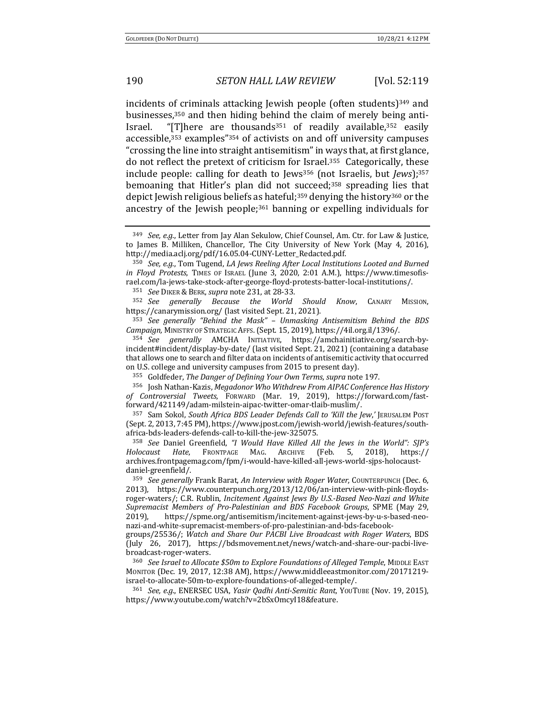incidents of criminals attacking Jewish people (often students)<sup>349</sup> and businesses,<sup>350</sup> and then hiding behind the claim of merely being anti-Israel. "[T]here are thousands<sup>351</sup> of readily available,<sup>352</sup> easily accessible,<sup>353</sup> examples<sup>"354</sup> of activists on and off university campuses "crossing the line into straight antisemitism" in ways that, at first glance, do not reflect the pretext of criticism for Israel.<sup>355</sup> Categorically, these include people: calling for death to Jews<sup>356</sup> (not Israelis, but *Jews*);<sup>357</sup> bemoaning that Hitler's plan did not succeed;<sup>358</sup> spreading lies that depict Jewish religious beliefs as hateful;<sup>359</sup> denying the history<sup>360</sup> or the ancestry of the Jewish people; $361$  banning or expelling individuals for

355 Goldfeder, *The Danger of Defining Your Own Terms*, *supra* note 197.

357 Sam Sokol, *South Africa BDS Leader Defends Call to 'Kill the Jew,'* JERUSALEM POST (Sept. 2, 2013, 7:45 PM), https://www.jpost.com/jewish-world/jewish-features/southafrica-bds-leaders-defends-call-to-kill-the-jew-325075. 

<sup>358</sup> *See* Daniel Greenfield, *"I Would Have Killed All the Jews in the World": SJP's*<br> *'olocaust Hate*. Frontpage Mag. Archive (Feb. 5, 2018), https:// *Holocaust Hate*, FRONTPAGE MAG. ARCHIVE (Feb. 5, 2018), https:// archives.frontpagemag.com/fpm/i-would-have-killed-all-jews-world-sjps-holocaustdaniel-greenfield/.

359 *See generally* Frank Barat, An Interview with Roger Water, COUNTERPUNCH (Dec. 6, 2013), https://www.counterpunch.org/2013/12/06/an-interview-with-pink-floydsroger-waters/; C.R. Rublin, *Incitement Against Jews By U.S.-Based Neo-Nazi and White* Supremacist Members of Pro-Palestinian and BDS Facebook Groups, SPME (May 29, 2019), https://spme.org/antisemitism/incitement-against-jews-by-u-s-based-neonazi-and-white-supremacist-members-of-pro-palestinian-and-bds-facebook-

groups/25536/; Watch and Share Our PACBI Live Broadcast with Roger Waters, BDS (July 26, 2017), https://bdsmovement.net/news/watch-and-share-our-pacbi-livebroadcast-roger-waters.

<sup>360</sup> *See Israel to Allocate \$50m to Explore Foundations of Alleged Temple*, MIDDLE EAST MONITOR (Dec. 19, 2017, 12:38 AM), https://www.middleeastmonitor.com/20171219israel-to-allocate-50m-to-explore-foundations-of-alleged-temple/.

<sup>361</sup> *See, e.g.*, ENERSEC USA, *Yasir Qadhi Anti-Semitic Rant*, YOUTUBE (Nov. 19, 2015), https://www.youtube.com/watch?v=2bSxOmcyI18&feature.

<sup>349</sup> *See, e.g.*, Letter from Jay Alan Sekulow, Chief Counsel, Am. Ctr. for Law & Justice, to James B. Milliken, Chancellor, The City University of New York (May 4, 2016), http://media.aclj.org/pdf/16.05.04-CUNY-Letter\_Redacted.pdf.

<sup>&</sup>lt;sup>350</sup> *See, e.g.*, Tom Tugend, *LA Jews Reeling After Local Institutions Looted and Burned in Floyd Protests*, TIMES OF ISRAEL (June 3, 2020, 2:01 A.M.), https://www.timesofisrael.com/la-jews-take-stock-after-george-floyd-protests-batter-local-institutions/.

<sup>351</sup> *See* DIKER & BERK, *supra* note 231, at 28-33.

<sup>352</sup> *See generally Because the World Should Know*, CANARY MISSION, https://canarymission.org/ (last visited Sept. 21, 2021).

<sup>353</sup> *See generally "Behind the Mask" – Unmasking Antisemitism Behind the BDS*  Campaign, MINISTRY OF STRATEGIC AFFS. (Sept. 15, 2019), https://4il.org.il/1396/.

<sup>&</sup>lt;sup>354</sup> *See* generally AMCHA INITIATIVE, https://amchainitiative.org/search-byincident#incident/display-by-date/ (last visited Sept. 21, 2021) (containing a database that allows one to search and filter data on incidents of antisemitic activity that occurred on U.S. college and university campuses from 2015 to present day).

<sup>&</sup>lt;sup>356</sup> Josh Nathan-Kazis, *Megadonor Who Withdrew From AIPAC Conference Has History of Controversial Tweets*, FORWARD (Mar. 19, 2019), https://forward.com/fastforward/421149/adam-milstein-aipac-twitter-omar-tlaib-muslim/.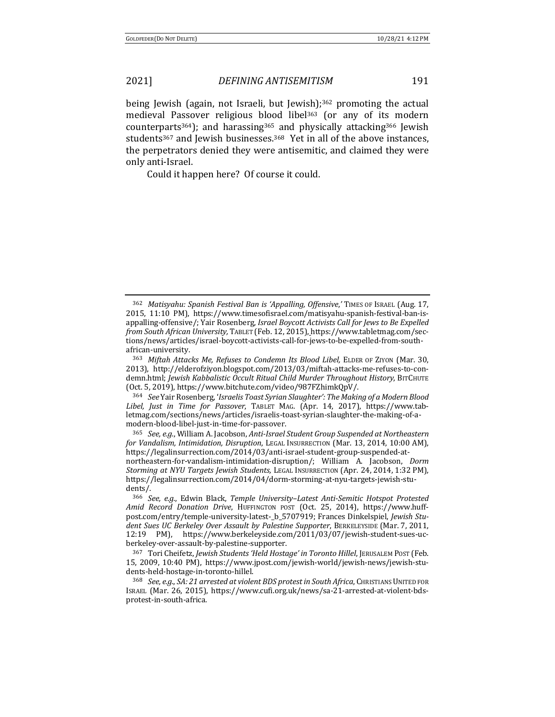being Jewish (again, not Israeli, but Jewish);<sup>362</sup> promoting the actual medieval Passover religious blood libel<sup>363</sup> (or any of its modern counterparts<sup>364</sup>); and harassing<sup>365</sup> and physically attacking<sup>366</sup> Jewish students<sup>367</sup> and Jewish businesses.<sup>368</sup> Yet in all of the above instances, the perpetrators denied they were antisemitic, and claimed they were only anti-Israel.

Could it happen here? Of course it could.

365 *See, e.g.*, William A. Jacobson, *Anti-Israel Student Group Suspended at Northeastern for Vandalism, Intimidation, Disruption, LEGAL INSURRECTION (Mar. 13, 2014, 10:00 AM),* https://legalinsurrection.com/2014/03/anti-israel-student-group-suspended-atnortheastern-for-vandalism-intimidation-disruption/; William A. Jacobson, *Dorm Storming at NYU Targets Jewish Students, LEGAL INSURRECTION* (Apr. 24, 2014, 1:32 PM), https://legalinsurrection.com/2014/04/dorm-storming-at-nyu-targets-jewish-students/.

<sup>362</sup> Matisyahu: Spanish Festival Ban is 'Appalling, Offensive,' TIMES OF ISRAEL (Aug. 17, 2015, 11:10 PM), https://www.timesofisrael.com/matisyahu-spanish-festival-ban-isappalling-offensive/; Yair Rosenberg, *Israel Boycott Activists Call for Jews to Be Expelled from South African University,* TABLET (Feb. 12, 2015), https://www.tabletmag.com/sections/news/articles/israel-boycott-activists-call-for-jews-to-be-expelled-from-southafrican-university.

<sup>&</sup>lt;sup>363</sup> Miftah Attacks Me, Refuses to Condemn Its Blood Libel, ELDER OF ZIYON (Mar. 30, 2013), http://elderofziyon.blogspot.com/2013/03/miftah-attacks-me-refuses-to-condemn.html; *Jewish Kabbalistic Occult Ritual Child Murder Throughout History*, BITCHUTE (Oct. 5, 2019), https://www.bitchute.com/video/987FZhimkQpV/.

<sup>364</sup> *See* Yair Rosenberg, '*Israelis Toast Syrian Slaughter': The Making of a Modern Blood* Libel, Just in Time for Passover, TABLET MAG. (Apr. 14, 2017), https://www.tabletmag.com/sections/news/articles/israelis-toast-syrian-slaughter-the-making-of-amodern-blood-libel-just-in-time-for-passover.

<sup>&</sup>lt;sup>366</sup> *See, e.g.,* Edwin Black, *Temple University-Latest Anti-Semitic Hotspot Protested Amid Record Donation Drive*, HUFFINGTON POST (Oct. 25, 2014), https://www.huffpost.com/entry/temple-university-latest-\_b\_5707919; Frances Dinkelspiel, *Jewish Student Sues UC Berkeley Over Assault by Palestine Supporter*, BERKELEYSIDE (Mar. 7, 2011, 12:19 PM), https://www.berkeleyside.com/2011/03/07/jewish-student-sues-ucberkeley-over-assault-by-palestine-supporter.

<sup>367</sup> Tori Cheifetz, *Jewish Students 'Held Hostage' in Toronto Hillel*, JERUSALEM POST (Feb. 15, 2009, 10:40 PM), https://www.jpost.com/jewish-world/jewish-news/jewish-students-held-hostage-in-toronto-hillel.

<sup>368</sup> *See, e.g., SA: 21 arrested at violent BDS protest in South Africa, CHRISTIANS UNITED FOR* ISRAEL (Mar. 26, 2015), https://www.cufi.org.uk/news/sa-21-arrested-at-violent-bdsprotest-in-south-africa.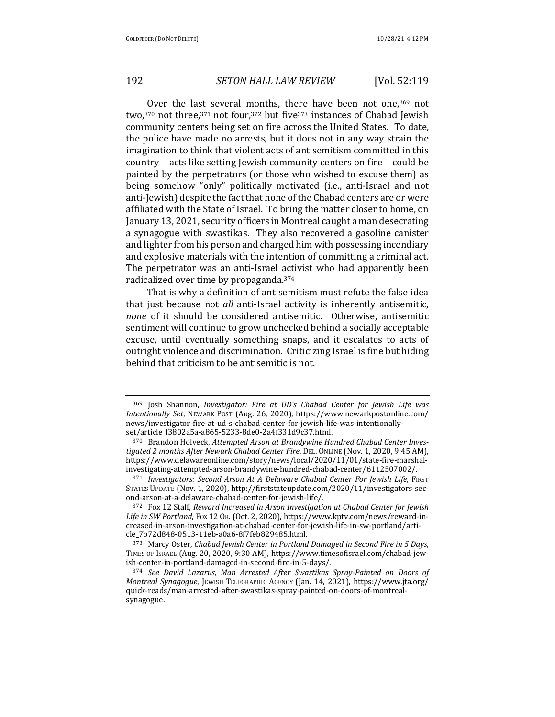## 192 *SETON HALL LAW REVIEW* [Vol. 52:119]

Over the last several months, there have been not one, $369$  not two, $370$  not three, $371$  not four, $372$  but five  $373$  instances of Chabad Jewish community centers being set on fire across the United States. To date, the police have made no arrests, but it does not in any way strain the imagination to think that violent acts of antisemitism committed in this country—acts like setting Jewish community centers on fire—could be painted by the perpetrators (or those who wished to excuse them) as being somehow "only" politically motivated (i.e., anti-Israel and not anti-Jewish) despite the fact that none of the Chabad centers are or were affiliated with the State of Israel. To bring the matter closer to home, on January 13, 2021, security officers in Montreal caught a man desecrating a synagogue with swastikas. They also recovered a gasoline canister and lighter from his person and charged him with possessing incendiary and explosive materials with the intention of committing a criminal act. The perpetrator was an anti-Israel activist who had apparently been radicalized over time by propaganda.<sup>374</sup>

That is why a definition of antisemitism must refute the false idea that just because not *all* anti-Israel activity is inherently antisemitic, *none* of it should be considered antisemitic. Otherwise, antisemitic sentiment will continue to grow unchecked behind a socially acceptable excuse, until eventually something snaps, and it escalates to acts of outright violence and discrimination. Criticizing Israel is fine but hiding behind that criticism to be antisemitic is not.

<sup>&</sup>lt;sup>369</sup> Josh Shannon, *Investigator: Fire at UD's Chabad Center for Jewish Life was Intentionally Set*, NEWARK POST (Aug. 26, 2020), https://www.newarkpostonline.com/ news/investigator-fire-at-ud-s-chabad-center-for-jewish-life-was-intentionallyset/article\_f3802a5a-a865-5233-8de0-2a4f331d9c37.html. 

<sup>&</sup>lt;sup>370</sup> Brandon Holveck, *Attempted Arson at Brandywine Hundred Chabad Center Investigated 2 months After Newark Chabad Center Fire*, DEL. ONLINE (Nov. 1, 2020, 9:45 AM), https://www.delawareonline.com/story/news/local/2020/11/01/state-fire-marshalinvestigating-attempted-arson-brandywine-hundred-chabad-center/6112507002/.

<sup>371</sup> Investigators: Second Arson At A Delaware Chabad Center For Jewish Life, FIRST STATES UPDATE (Nov. 1, 2020), http://firststateupdate.com/2020/11/investigators-second-arson-at-a-delaware-chabad-center-for-jewish-life/.

<sup>&</sup>lt;sup>372</sup> Fox 12 Staff, *Reward Increased in Arson Investigation at Chabad Center for Jewish* Life in SW Portland, Fox 12 Or. (Oct. 2, 2020), https://www.kptv.com/news/reward-increased-in-arson-investigation-at-chabad-center-for-jewish-life-in-sw-portland/article\_7b72d848-0513-11eb-a0a6-8f7feb829485.html.

<sup>373</sup> Marcy Oster, *Chabad Jewish Center in Portland Damaged in Second Fire in 5 Days*, TIMES OF ISRAEL (Aug. 20, 2020, 9:30 AM), https://www.timesofisrael.com/chabad-jewish-center-in-portland-damaged-in-second-fire-in-5-days/.

<sup>&</sup>lt;sup>374</sup> See David Lazarus, Man Arrested After Swastikas Spray-Painted on Doors of *Montreal Synagogue*, JEWISH ТЕLЕGRAPHIC AGENCY (Jan. 14, 2021), https://www.jta.org/ quick-reads/man-arrested-after-swastikas-spray-painted-on-doors-of-montrealsynagogue.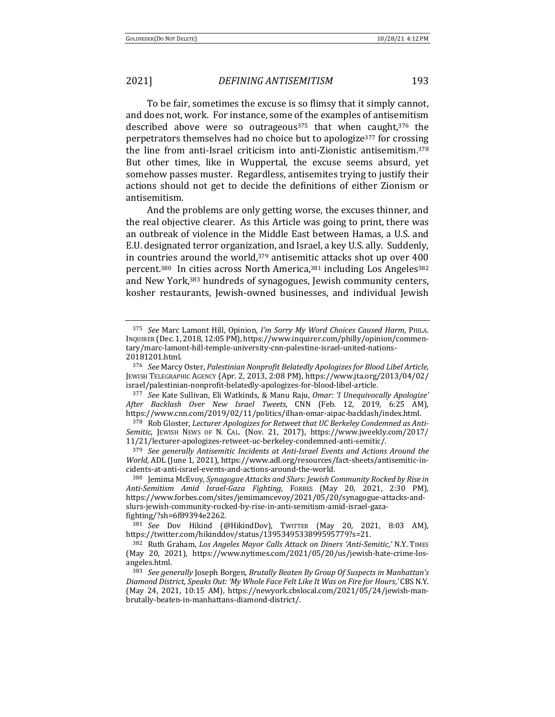To be fair, sometimes the excuse is so flimsy that it simply cannot, and does not, work. For instance, some of the examples of antisemitism described above were so outrageous<sup>375</sup> that when caught,<sup>376</sup> the perpetrators themselves had no choice but to apologize<sup>377</sup> for crossing the line from anti-Israel criticism into anti-Zionistic antisemitism. $378$ But other times, like in Wuppertal, the excuse seems absurd, yet somehow passes muster. Regardless, antisemites trying to justify their actions should not get to decide the definitions of either Zionism or antisemitism.

And the problems are only getting worse, the excuses thinner, and the real objective clearer. As this Article was going to print, there was an outbreak of violence in the Middle East between Hamas, a U.S. and E.U. designated terror organization, and Israel, a key U.S. ally. Suddenly, in countries around the world, $379$  antisemitic attacks shot up over  $400$ percent.<sup>380</sup> In cities across North America,<sup>381</sup> including Los Angeles<sup>382</sup> and New York,<sup>383</sup> hundreds of synagogues, Jewish community centers, kosher restaurants, Jewish-owned businesses, and individual Jewish

<sup>375</sup> *See* Marc Lamont Hill, Opinion, *I'm Sorry My Word Choices Caused Harm*, PHILA. INQUIRER (Dec. 1, 2018, 12:05 PM), https://www.inquirer.com/philly/opinion/commentary/marc-lamont-hill-temple-university-cnn-palestine-israel-united-nations-20181201.html.

<sup>376</sup> *See* Marcy Oster, *Palestinian Nonprofit Belatedly Apologizes for Blood Libel Article*, JEWISH TELEGRAPHIC AGENCY (Apr. 2, 2013, 2:08 PM), https://www.jta.org/2013/04/02/ israel/palestinian-nonprofit-belatedly-apologizes-for-blood-libel-article.

<sup>377</sup> *See* Kate Sullivan, Eli Watkinds, & Manu Raju, *Omar: 'I Unequivocally Apologize' After Backlash Over New Israel Tweets*, CNN (Feb. 12, 2019, 6:25 AM), https://www.cnn.com/2019/02/11/politics/ilhan-omar-aipac-backlash/index.html.

<sup>&</sup>lt;sup>378</sup> Rob Gloster, *Lecturer Apologizes for Retweet that UC Berkeley Condemned as Anti-*Semitic, JEWISH NEWS OF N. CAL. (Nov. 21, 2017), https://www.jweekly.com/2017/ 11/21/lecturer-apologizes-retweet-uc-berkeley-condemned-anti-semitic/.

<sup>&</sup>lt;sup>379</sup> See generally Antisemitic Incidents at Anti-Israel Events and Actions Around the *World,* ADL (June 1, 2021), https://www.adl.org/resources/fact-sheets/antisemitic-incidents-at-anti-israel-events-and-actions-around-the-world.

<sup>&</sup>lt;sup>380</sup> Jemima McEvoy, *Synagogue Attacks and Slurs: Jewish Community Rocked by Rise in Anti-Semitism Amid Israel-Gaza Fighting*, FORBES (May 20, 2021, 2:30 PM), https://www.forbes.com/sites/jemimamcevoy/2021/05/20/synagogue-attacks-andslurs-jewish-community-rocked-by-rise-in-anti-semitism-amid-israel-gazafighting/?sh=6f89394e2262.

<sup>&</sup>lt;sup>381</sup> *See* Dov Hikind (@HikindDov), TWITTER (May 20, 2021, 8:03 AM), https://twitter.com/hikinddov/status/1395349533899595779?s=21.

<sup>382</sup> Ruth Graham, Los Angeles Mayor Calls Attack on Diners 'Anti-Semitic,' N.Y. TIMES (May 20, 2021), https://www.nytimes.com/2021/05/20/us/jewish-hate-crime-losangeles.html.

<sup>&</sup>lt;sup>383</sup> See generally Joseph Borgen, Brutally Beaten By Group Of Suspects in Manhattan's *Diamond District, Speaks Out: 'My Whole Face Felt Like It Was on Fire for Hours*,*'* CBSN.Y. (May 24, 2021, 10:15 AM), https://newyork.cbslocal.com/2021/05/24/jewish-manbrutally-beaten-in-manhattans-diamond-district/.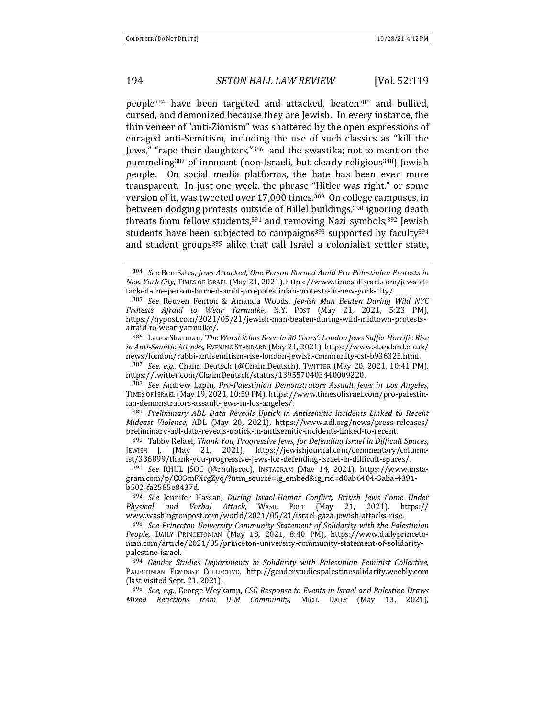### 194 *SETON HALL LAW REVIEW* [Vol. 52:119]

people<sup>384</sup> have been targeted and attacked, beaten<sup>385</sup> and bullied, cursed, and demonized because they are Jewish. In every instance, the thin veneer of "anti-Zionism" was shattered by the open expressions of enraged anti-Semitism, including the use of such classics as "kill the Jews," "rape their daughters,"<sup>386</sup> and the swastika; not to mention the pummeling<sup>387</sup> of innocent (non-Israeli, but clearly religious<sup>388</sup>) Jewish people. On social media platforms, the hate has been even more transparent. In just one week, the phrase "Hitler was right," or some version of it, was tweeted over  $17,000$  times.<sup>389</sup> On college campuses, in between dodging protests outside of Hillel buildings,<sup>390</sup> ignoring death threats from fellow students,  $391$  and removing Nazi symbols,  $392$  Jewish students have been subjected to campaigns<sup>393</sup> supported by faculty<sup>394</sup> and student groups<sup>395</sup> alike that call Israel a colonialist settler state,

<sup>386</sup> Laura Sharman, 'The Worst it has Been in 30 Years': London Jews Suffer Horrific Rise *in Anti-Semitic Attacks*, EVENING STANDARD (May 21, 2021), https://www.standard.co.uk/ news/london/rabbi-antisemitism-rise-london-jewish-community-cst-b936325.html.

<sup>387</sup> *See, e.g.*, Chaim Deutsch (@ChaimDeutsch), TWITTER (May 20, 2021, 10:41 PM), https://twitter.com/ChaimDeutsch/status/1395570403440009220.

<sup>388</sup> *See*  Andrew Lapin, *Pro-Palestinian Demonstrators Assault Jews in Los Angeles*, TIMES OF ISRAEL (May 19, 2021, 10:59 PM), https://www.timesofisrael.com/pro-palestinian-demonstrators-assault-jews-in-los-angeles/.

<sup>389</sup> *Preliminary ADL Data Reveals Uptick in Antisemitic Incidents Linked to Recent Mideast Violence*, ADL (May 20, 2021), https://www.adl.org/news/press-releases/ preliminary-adl-data-reveals-uptick-in-antisemitic-incidents-linked-to-recent.

<sup>390</sup> Tabby Refael, *Thank You, Progressive Jews, for Defending Israel in Difficult Spaces,* JEWISH J. (May 21, 2021), https://jewishjournal.com/commentary/columnist/336899/thank-you-progressive-jews-for-defending-israel-in-difficult-spaces/.

391 *See* RHUL JSOC (@rhuljscoc), INSTAGRAM (May 14, 2021), https://www.instagram.com/p/CO3mFXcgZyq/?utm\_source=ig\_embed&ig\_rid=d0ab6404-3aba-4391 b502-fa2585e8437d. 

<sup>392</sup> See Jennifer Hassan, During Israel-Hamas Conflict, British Jews Come Under *Physical and Verbal Attack*, WASH. POST (May 21, 2021), https:// www.washingtonpost.com/world/2021/05/21/israel-gaza-jewish-attacks-rise.

394 *Gender Studies Departments in Solidarity with Palestinian Feminist Collective*, PALESTINIAN FEMINIST COLLECTIVE, http://genderstudiespalestinesolidarity.weebly.com (last visited Sept. 21, 2021).

395 *See, e.g.*, George Weykamp, *CSG Response to Events in Israel and Palestine Draws Mixed Reactions from U-M Community*, MICH. DAILY (May 13, 2021), 

<sup>&</sup>lt;sup>384</sup> See Ben Sales, *Jews Attacked, One Person Burned Amid Pro-Palestinian Protests in New York City*, TIMES OF ISRAEL (May 21, 2021), https://www.timesofisrael.com/jews-attacked-one-person-burned-amid-pro-palestinian-protests-in-new-york-city/.

<sup>&</sup>lt;sup>385</sup> *See* Reuven Fenton & Amanda Woods, *Jewish Man Beaten During Wild NYC Protests Afraid to Wear Yarmulke*, N.Y. POST (May 21, 2021, 5:23 PM), https://nypost.com/2021/05/21/jewish-man-beaten-during-wild-midtown-protestsafraid-to-wear-yarmulke/.

<sup>&</sup>lt;sup>393</sup> See Princeton University Community Statement of Solidarity with the Palestinian *People*, DAILY PRINCETONIAN (May 18, 2021, 8:40 PM), https://www.dailyprincetonian.com/article/2021/05/princeton-university-community-statement-of-solidaritypalestine-israel.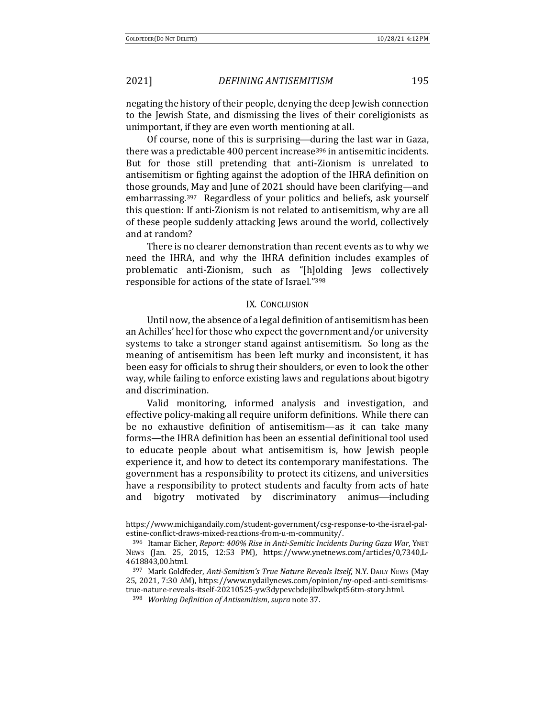negating the history of their people, denying the deep Jewish connection to the Jewish State, and dismissing the lives of their coreligionists as unimportant, if they are even worth mentioning at all.

Of course, none of this is surprising—during the last war in Gaza, there was a predictable  $400$  percent increase<sup>396</sup> in antisemitic incidents. But for those still pretending that anti-Zionism is unrelated to antisemitism or fighting against the adoption of the IHRA definition on those grounds, May and June of 2021 should have been clarifying—and embarrassing.<sup>397</sup> Regardless of your politics and beliefs, ask yourself this question: If anti-Zionism is not related to antisemitism, why are all of these people suddenly attacking Jews around the world, collectively and at random?

There is no clearer demonstration than recent events as to why we need the IHRA, and why the IHRA definition includes examples of problematic anti-Zionism, such as "[h]olding Jews collectively responsible for actions of the state of Israel."398

### IX. CONCLUSION

Until now, the absence of a legal definition of antisemitism has been an Achilles' heel for those who expect the government and/or university systems to take a stronger stand against antisemitism. So long as the meaning of antisemitism has been left murky and inconsistent, it has been easy for officials to shrug their shoulders, or even to look the other way, while failing to enforce existing laws and regulations about bigotry and discrimination.

Valid monitoring, informed analysis and investigation, and effective policy-making all require uniform definitions. While there can be no exhaustive definition of antisemitism—as it can take many forms—the IHRA definition has been an essential definitional tool used to educate people about what antisemitism is, how Jewish people experience it, and how to detect its contemporary manifestations. The government has a responsibility to protect its citizens, and universities have a responsibility to protect students and faculty from acts of hate and bigotry motivated by discriminatory animus—including

https://www.michigandaily.com/student-government/csg-response-to-the-israel-palestine-conflict-draws-mixed-reactions-from-u-m-community/.

<sup>396</sup> Itamar Eicher, *Report: 400% Rise in Anti-Semitic Incidents During Gaza War*, YNET NEWS (Jan. 25, 2015, 12:53 PM), https://www.ynetnews.com/articles/0,7340,L-4618843,00.html.

<sup>397</sup> Mark Goldfeder, *Anti-Semitism's True Nature Reveals Itself*, N.Y. DAILY NEWS (May 25, 2021, 7:30 AM), https://www.nydailynews.com/opinion/ny-oped-anti-semitismstrue-nature-reveals-itself-20210525-yw3dypevcbdejibzlbwkpt56tm-story.html.

<sup>398</sup> *Working Definition of Antisemitism, supra note* 37.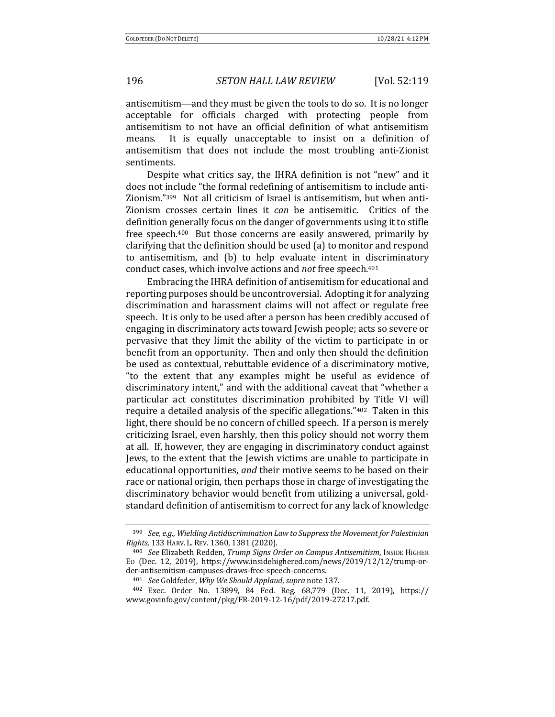196 *SETON HALL LAW REVIEW* [Vol. 52:119]

antisemitism—and they must be given the tools to do so. It is no longer acceptable for officials charged with protecting people from antisemitism to not have an official definition of what antisemitism means. It is equally unacceptable to insist on a definition of antisemitism that does not include the most troubling anti-Zionist sentiments.

Despite what critics say, the IHRA definition is not "new" and it does not include "the formal redefining of antisemitism to include anti-Zionism."<sup>399</sup> Not all criticism of Israel is antisemitism, but when anti-Zionism crosses certain lines it *can* be antisemitic. Critics of the definition generally focus on the danger of governments using it to stifle free speech. $400$  But those concerns are easily answered, primarily by clarifying that the definition should be used  $(a)$  to monitor and respond to antisemitism, and (b) to help evaluate intent in discriminatory conduct cases, which involve actions and *not* free speech.<sup>401</sup>

Embracing the IHRA definition of antisemitism for educational and reporting purposes should be uncontroversial. Adopting it for analyzing discrimination and harassment claims will not affect or regulate free speech. It is only to be used after a person has been credibly accused of engaging in discriminatory acts toward Jewish people; acts so severe or pervasive that they limit the ability of the victim to participate in or benefit from an opportunity. Then and only then should the definition be used as contextual, rebuttable evidence of a discriminatory motive, "to the extent that any examples might be useful as evidence of discriminatory intent," and with the additional caveat that "whether a particular act constitutes discrimination prohibited by Title VI will require a detailed analysis of the specific allegations." $402$  Taken in this light, there should be no concern of chilled speech. If a person is merely criticizing Israel, even harshly, then this policy should not worry them at all. If, however, they are engaging in discriminatory conduct against Jews, to the extent that the Jewish victims are unable to participate in educational opportunities, *and* their motive seems to be based on their race or national origin, then perhaps those in charge of investigating the discriminatory behavior would benefit from utilizing a universal, goldstandard definition of antisemitism to correct for any lack of knowledge

<sup>&</sup>lt;sup>399</sup> *See, e.g., Wielding Antidiscrimination Law to Suppress the Movement for Palestinian Rights*, 133 HARV. L. REV. 1360, 1381 (2020).

<sup>400</sup> *See* Elizabeth Redden, *Trump Signs Order on Campus Antisemitism*, INSIDE HIGHER ED (Dec. 12, 2019), https://www.insidehighered.com/news/2019/12/12/trump-order-antisemitism-campuses-draws-free-speech-concerns.

<sup>401</sup> *See* Goldfeder, *Why We Should Applaud*, *supra* note 137. 

<sup>402</sup> Exec. Order No. 13899, 84 Fed. Reg. 68,779 (Dec. 11, 2019), https:// www.govinfo.gov/content/pkg/FR-2019-12-16/pdf/2019-27217.pdf.